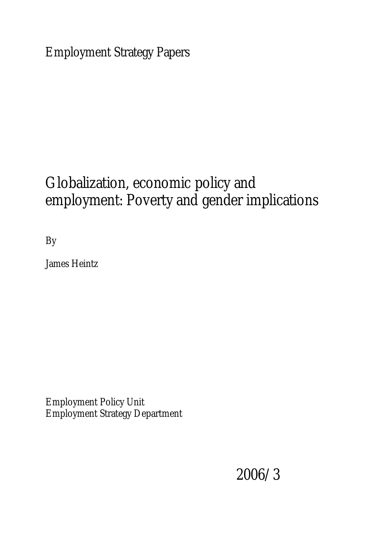Employment Strategy Papers

# Globalization, economic policy and employment: Poverty and gender implications

By

James Heintz

Employment Policy Unit Employment Strategy Department

2006/3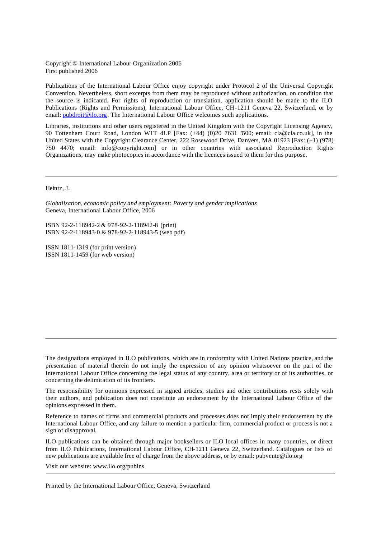Copyright © International Labour Organization 2006 First published 2006

Publications of the International Labour Office enjoy copyright under Protocol 2 of the Universal Copyright Convention. Nevertheless, short excerpts from them may be reproduced without authorization, on condition that the source is indicated. For rights of reproduction or translation, application should be made to the ILO Publications (Rights and Permissions), International Labour Office, CH-1211 Geneva 22, Switzerland, or by email: pubdroit@ilo.org. The International Labour Office welcomes such applications.

Libraries, institutions and other users registered in the United Kingdom with the Copyright Licensing Agency, 90 Tottenham Court Road, London W1T 4LP [Fax: (+44) (0)20 7631 5500; email: cla@cla.co.uk], in the United States with the Copyright Clearance Center, 222 Rosewood Drive, Danvers, MA 01923 [Fax: (+1) (978) 750 4470; email: info@copyright.com] or in other countries with associated Reproduction Rights Organizations, may make photocopies in accordance with the licences issued to them for this purpose.

Heintz, J.

*Globalization, economic policy and employment: Poverty and gender implications*  Geneva, International Labour Office, 2006

ISBN 92-2-118942-2 & 978-92-2-118942-8 (print) ISBN 92-2-118943-0 & 978-92-2-118943-5 (web pdf)

ISSN 1811-1319 (for print version) ISSN 1811-1459 (for web version)

The designations employed in ILO publications, which are in conformity with United Nations practice, and the presentation of material therein do not imply the expression of any opinion whatsoever on the part of the International Labour Office concerning the legal status of any country, area or territory or of its authorities, or concerning the delimitation of its frontiers.

The responsibility for opinions expressed in signed articles, studies and other contributions rests solely with their authors, and publication does not constitute an endorsement by the International Labour Office of the opinions exp ressed in them.

Reference to names of firms and commercial products and processes does not imply their endorsement by the International Labour Office, and any failure to mention a particular firm, commercial product or process is not a sign of disapproval.

ILO publications can be obtained through major booksellers or ILO local offices in many countries, or direct from ILO Publications, International Labour Office, CH-1211 Geneva 22, Switzerland. Catalogues or lists of new publications are available free of charge from the above address, or by email: pubvente@ilo.org

Visit our website: www.ilo.org/publns

Printed by the International Labour Office, Geneva, Switzerland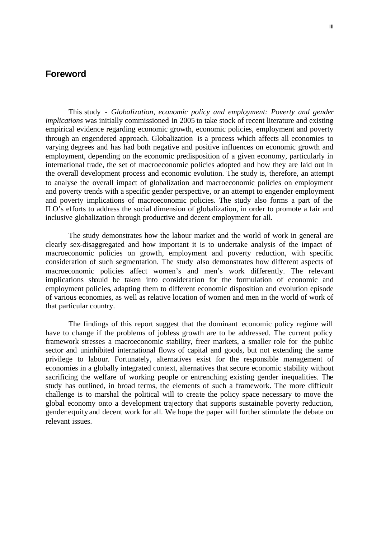### **Foreword**

This study - *Globalization, economic policy and employment: Poverty and gender implications* was initially commissioned in 2005 to take stock of recent literature and existing empirical evidence regarding economic growth, economic policies, employment and poverty through an engendered approach. Globalization is a process which affects all economies to varying degrees and has had both negative and positive influences on economic growth and employment, depending on the economic predisposition of a given economy, particularly in international trade, the set of macroeconomic policies adopted and how they are laid out in the overall development process and economic evolution. The study is, therefore, an attempt to analyse the overall impact of globalization and macroeconomic policies on employment and poverty trends with a specific gender perspective, or an attempt to engender employment and poverty implications of macroeconomic policies. The study also forms a part of the ILO's efforts to address the social dimension of globalization, in order to promote a fair and inclusive globalization through productive and decent employment for all.

The study demonstrates how the labour market and the world of work in general are clearly sex-disaggregated and how important it is to undertake analysis of the impact of macroeconomic policies on growth, employment and poverty reduction, with specific consideration of such segmentation. The study also demonstrates how different aspects of macroeconomic policies affect women's and men's work differently. The relevant implications should be taken into consideration for the formulation of economic and employment policies, adapting them to different economic disposition and evolution episode of various economies, as well as relative location of women and men in the world of work of that particular country.

The findings of this report suggest that the dominant economic policy regime will have to change if the problems of jobless growth are to be addressed. The current policy framework stresses a macroeconomic stability, freer markets, a smaller role for the public sector and uninhibited international flows of capital and goods, but not extending the same privilege to labour. Fortunately, alternatives exist for the responsible management of economies in a globally integrated context, alternatives that secure economic stability without sacrificing the welfare of working people or entrenching existing gender inequalities. The study has outlined, in broad terms, the elements of such a framework. The more difficult challenge is to marshal the political will to create the policy space necessary to move the global economy onto a development trajectory that supports sustainable poverty reduction, gender equity and decent work for all. We hope the paper will further stimulate the debate on relevant issues.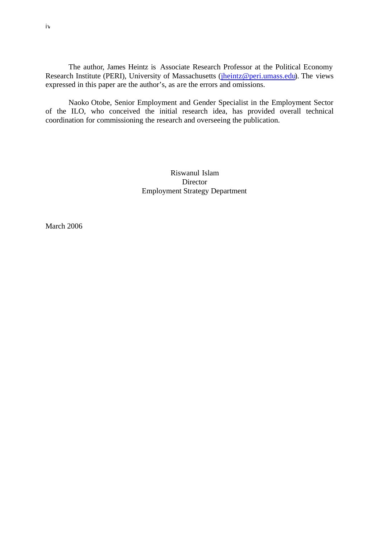The author, James Heintz is Associate Research Professor at the Political Economy Research Institute (PERI), University of Massachusetts (jheintz@peri.umass.edu). The views expressed in this paper are the author's, as are the errors and omissions.

Naoko Otobe, Senior Employment and Gender Specialist in the Employment Sector of the ILO, who conceived the initial research idea, has provided overall technical coordination for commissioning the research and overseeing the publication.

> Riswanul Islam **Director** Employment Strategy Department

March 2006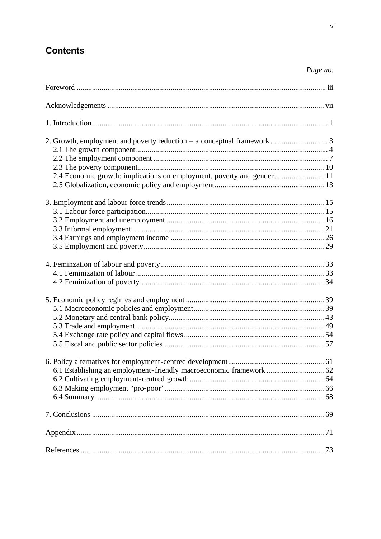# **Contents**

# Page no.

| 2.4 Economic growth: implications on employment, poverty and gender 11 |  |
|------------------------------------------------------------------------|--|
|                                                                        |  |
|                                                                        |  |
|                                                                        |  |
|                                                                        |  |
|                                                                        |  |
|                                                                        |  |
|                                                                        |  |
|                                                                        |  |
|                                                                        |  |
|                                                                        |  |
|                                                                        |  |
|                                                                        |  |
|                                                                        |  |
|                                                                        |  |
|                                                                        |  |
|                                                                        |  |
| 6.1 Establishing an employment-friendly macroeconomic framework  62    |  |
|                                                                        |  |
|                                                                        |  |
|                                                                        |  |
|                                                                        |  |
|                                                                        |  |
|                                                                        |  |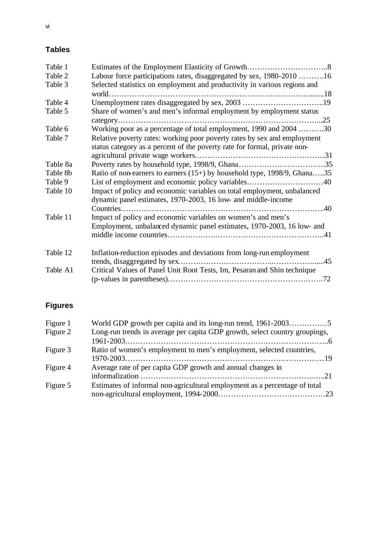# **Tables**

| Table 1  |                                                                           |     |
|----------|---------------------------------------------------------------------------|-----|
| Table 2  | Labour force participations rates, disaggregated by sex, 1980-2010 16     |     |
| Table 3  | Selected statistics on employment and productivity in various regions and |     |
|          |                                                                           |     |
| Table 4  |                                                                           |     |
| Table 5  | Share of women's and men's informal employment by employment status       |     |
|          |                                                                           |     |
| Table 6  | Working poor as a percentage of total employment, 1990 and 2004 30        |     |
| Table 7  | Relative poverty rates: working poor poverty rates by sex and employment  |     |
|          | status category as a percent of the poverty rate for formal, private non- |     |
|          |                                                                           |     |
| Table 8a |                                                                           |     |
| Table 8b | Ratio of non-earners to earners (15+) by household type, 1998/9, Ghana35  |     |
| Table 9  |                                                                           |     |
| Table 10 | Impact of policy and economic variables on total employment, unbalanced   |     |
|          | dynamic panel estimates, 1970-2003, 16 low- and middle-income             |     |
|          |                                                                           |     |
| Table 11 | Impact of policy and economic variables on women's and men's              |     |
|          | Employment, unbalanced dynamic panel estimates, 1970-2003, 16 low- and    |     |
|          |                                                                           |     |
| Table 12 | Inflation-reduction episodes and deviations from long-run employment      |     |
|          |                                                                           | .45 |
| Table A1 | Critical Values of Panel Unit Root Tests, Im, Pesaran and Shin technique  |     |
|          |                                                                           |     |

# **Figures**

| Figure 1 | World GDP growth per capita and its long-run trend, 1961-20035              |  |
|----------|-----------------------------------------------------------------------------|--|
| Figure 2 | Long-run trends in average per capita GDP growth, select country groupings, |  |
|          |                                                                             |  |
| Figure 3 | Ratio of women's employment to men's employment, selected countries,        |  |
|          |                                                                             |  |
| Figure 4 | Average rate of per capita GDP growth and annual changes in                 |  |
|          |                                                                             |  |
| Figure 5 | Estimates of informal non-agricultural employment as a percentage of total  |  |
|          |                                                                             |  |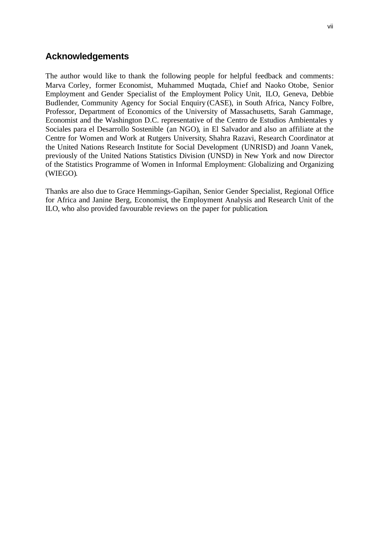## **Acknowledgements**

The author would like to thank the following people for helpful feedback and comments: Marva Corley, former Economist, Muhammed Muqtada, Chief and Naoko Otobe, Senior Employment and Gender Specialist of the Employment Policy Unit, ILO, Geneva, Debbie Budlender, Community Agency for Social Enquiry (CASE), in South Africa, Nancy Folbre, Professor, Department of Economics of the University of Massachusetts, Sarah Gammage, Economist and the Washington D.C. representative of the Centro de Estudios Ambientales y Sociales para el Desarrollo Sostenible (an NGO), in El Salvador and also an affiliate at the Centre for Women and Work at Rutgers University, Shahra Razavi, Research Coordinator at the United Nations Research Institute for Social Development (UNRISD) and Joann Vanek, previously of the United Nations Statistics Division (UNSD) in New York and now Director of the Statistics Programme of Women in Informal Employment: Globalizing and Organizing (WIEGO).

Thanks are also due to Grace Hemmings-Gapihan, Senior Gender Specialist, Regional Office for Africa and Janine Berg, Economist, the Employment Analysis and Research Unit of the ILO, who also provided favourable reviews on the paper for publication.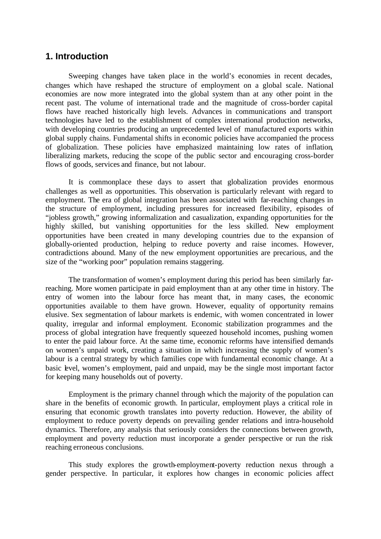### **1. Introduction**

Sweeping changes have taken place in the world's economies in recent decades, changes which have reshaped the structure of employment on a global scale. National economies are now more integrated into the global system than at any other point in the recent past. The volume of international trade and the magnitude of cross-border capital flows have reached historically high levels. Advances in communications and transport technologies have led to the establishment of complex international production networks, with developing countries producing an unprecedented level of manufactured exports within global supply chains. Fundamental shifts in economic policies have accompanied the process of globalization. These policies have emphasized maintaining low rates of inflation, liberalizing markets, reducing the scope of the public sector and encouraging cross-border flows of goods, services and finance, but not labour.

It is commonplace these days to assert that globalization provides enormous challenges as well as opportunities. This observation is particularly relevant with regard to employment. The era of global integration has been associated with far-reaching changes in the structure of employment, including pressures for increased flexibility, episodes of "jobless growth," growing informalization and casualization, expanding opportunities for the highly skilled, but vanishing opportunities for the less skilled. New employment opportunities have been created in many developing countries due to the expansion of globally-oriented production, helping to reduce poverty and raise incomes. However, contradictions abound. Many of the new employment opportunities are precarious, and the size of the "working poor" population remains staggering.

The transformation of women's employment during this period has been similarly farreaching. More women participate in paid employment than at any other time in history. The entry of women into the labour force has meant that, in many cases, the economic opportunities available to them have grown. However, equality of opportunity remains elusive. Sex segmentation of labour markets is endemic, with women concentrated in lower quality, irregular and informal employment. Economic stabilization programmes and the process of global integration have frequently squeezed household incomes, pushing women to enter the paid labour force. At the same time, economic reforms have intensified demands on women's unpaid work, creating a situation in which increasing the supply of women's labour is a central strategy by which families cope with fundamental economic change. At a basic level, women's employment, paid and unpaid, may be the single most important factor for keeping many households out of poverty.

Employment is the primary channel through which the majority of the population can share in the benefits of economic growth. In particular, employment plays a critical role in ensuring that economic growth translates into poverty reduction. However, the ability of employment to reduce poverty depends on prevailing gender relations and intra-household dynamics. Therefore, any analysis that seriously considers the connections between growth, employment and poverty reduction must incorporate a gender perspective or run the risk reaching erroneous conclusions.

This study explores the growth-employment-poverty reduction nexus through a gender perspective. In particular, it explores how changes in economic policies affect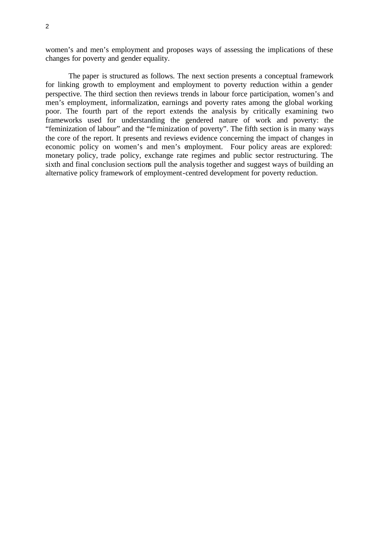women's and men's employment and proposes ways of assessing the implications of these changes for poverty and gender equality.

The paper is structured as follows. The next section presents a conceptual framework for linking growth to employment and employment to poverty reduction within a gender perspective. The third section then reviews trends in labour force participation, women's and men's employment, informalization, earnings and poverty rates among the global working poor. The fourth part of the report extends the analysis by critically examining two frameworks used for understanding the gendered nature of work and poverty: the "feminization of labour" and the "feminization of poverty". The fifth section is in many ways the core of the report. It presents and reviews evidence concerning the impact of changes in economic policy on women's and men's employment. Four policy areas are explored: monetary policy, trade policy, exchange rate regimes and public sector restructuring. The sixth and final conclusion sections pull the analysis together and suggest ways of building an alternative policy framework of employment-centred development for poverty reduction.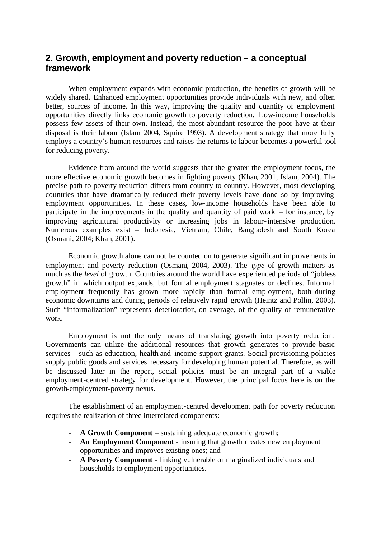# **2. Growth, employment and poverty reduction – a conceptual framework**

When employment expands with economic production, the benefits of growth will be widely shared. Enhanced employment opportunities provide individuals with new, and often better, sources of income. In this way, improving the quality and quantity of employment opportunities directly links economic growth to poverty reduction. Low-income households possess few assets of their own. Instead, the most abundant resource the poor have at their disposal is their labour (Islam 2004, Squire 1993). A development strategy that more fully employs a country's human resources and raises the returns to labour becomes a powerful tool for reducing poverty.

Evidence from around the world suggests that the greater the employment focus, the more effective economic growth becomes in fighting poverty (Khan, 2001; Islam, 2004). The precise path to poverty reduction differs from country to country. However, most developing countries that have dramatically reduced their poverty levels have done so by improving employment opportunities. In these cases, low-income households have been able to participate in the improvements in the quality and quantity of paid work – for instance, by improving agricultural productivity or increasing jobs in labour-intensive production. Numerous examples exist – Indonesia, Vietnam, Chile, Bangladesh and South Korea (Osmani, 2004; Khan, 2001).

Economic growth alone can not be counted on to generate significant improvements in employment and poverty reduction (Osmani, 2004, 2003). The *type* of growth matters as much as the *level* of growth. Countries around the world have experienced periods of "jobless growth" in which output expands, but formal employment stagnates or declines. Informal employment frequently has grown more rapidly than formal employment, both during economic downturns and during periods of relatively rapid growth (Heintz and Pollin, 2003). Such "informalization" represents deterioration, on average, of the quality of remunerative work.

Employment is not the only means of translating growth into poverty reduction. Governments can utilize the additional resources that growth generates to provide basic services – such as education, health and income-support grants. Social provisioning policies supply public goods and services necessary for developing human potential. Therefore, as will be discussed later in the report, social policies must be an integral part of a viable employment-centred strategy for development. However, the princ ipal focus here is on the growth-employment-poverty nexus.

The establishment of an employment-centred development path for poverty reduction requires the realization of three interrelated components:

- **A Growth Component** sustaining adequate economic growth;
- **An Employment Component** insuring that growth creates new employment opportunities and improves existing ones; and
- **A Poverty Component** linking vulnerable or marginalized individuals and households to employment opportunities.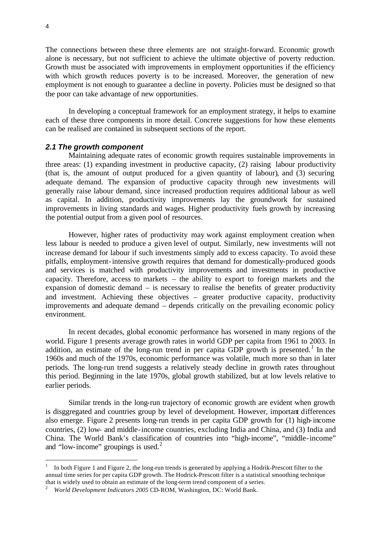The connections between these three elements are not straight-forward. Economic growth alone is necessary, but not sufficient to achieve the ultimate objective of poverty reduction. Growth must be associated with improvements in employment opportunities if the efficiency with which growth reduces poverty is to be increased. Moreover, the generation of new employment is not enough to guarantee a decline in poverty. Policies must be designed so that the poor can take advantage of new opportunities.

In developing a conceptual framework for an employment strategy, it helps to examine each of these three components in more detail. Concrete suggestions for how these elements can be realised are contained in subsequent sections of the report.

#### *2.1 The growth component*

Maintaining adequate rates of economic growth requires sustainable improvements in three areas: (1) expanding investment in productive capacity, (2) raising labour productivity (that is, the amount of output produced for a given quantity of labour), and (3) securing adequate demand. The expansion of productive capacity through new investments will generally raise labour demand, since increased production requires additional labour as well as capital. In addition, productivity improvements lay the groundwork for sustained improvements in living standards and wages. Higher productivity fuels growth by increasing the potential output from a given pool of resources.

However, higher rates of productivity may work against employment creation when less labour is needed to produce a given level of output. Similarly, new investments will not increase demand for labour if such investments simply add to excess capacity. To avoid these pitfalls, employment-intensive growth requires that demand for domestically-produced goods and services is matched with productivity improvements and investments in productive capacity. Therefore, access to markets – the ability to export to foreign markets and the expansion of domestic demand – is necessary to realise the benefits of greater productivity and investment. Achieving these objectives – greater productive capacity, productivity improvements and adequate demand – depends critically on the prevailing economic policy environment.

In recent decades, global economic performance has worsened in many regions of the world. Figure 1 presents average growth rates in world GDP per capita from 1961 to 2003. In addition, an estimate of the long-run trend in per capita GDP growth is presented.<sup>1</sup> In the 1960s and much of the 1970s, economic performance was volatile, much more so than in later periods. The long-run trend suggests a relatively steady decline in growth rates throughout this period. Beginning in the late 1970s, global growth stabilized, but at low levels relative to earlier periods.

Similar trends in the long-run trajectory of economic growth are evident when growth is disggregated and countries group by level of development. However, important differences also emerge. Figure 2 presents long-run trends in per capita GDP growth for (1) high-income countries, (2) low- and middle-income countries, excluding India and China, and (3) India and China. The World Bank's classification of countries into "high-income", "middle-income" and "low-income" groupings is used. $2^2$ 

l

<sup>1</sup> In both Figure 1 and Figure 2, the long-run trends is generated by applying a Hodrik-Prescott filter to the annual time series for per capita GDP growth. The Hodrick-Prescott filter is a statistical smoothing technique that is widely used to obtain an estimate of the long-term trend component of a series.

<sup>&</sup>lt;sup>2</sup> World Development Indicators 2005 CD-ROM, Washington, DC: World Bank.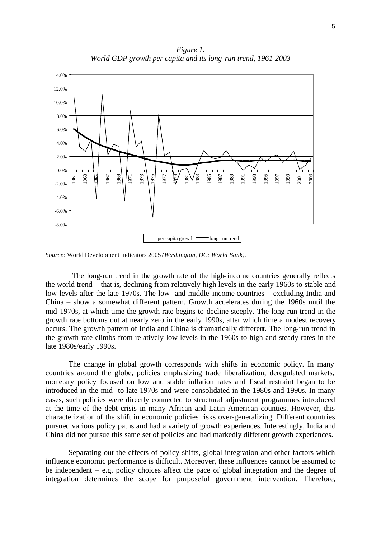*Figure 1. World GDP growth per capita and its long-run trend, 1961-2003*



*Source:* World Development Indicators 2005 *(Washington, DC: World Bank).*

 The long-run trend in the growth rate of the high-income countries generally reflects the world trend – that is, declining from relatively high levels in the early 1960s to stable and low levels after the late 1970s. The low- and middle-income countries – excluding India and China – show a somewhat different pattern. Growth accelerates during the 1960s until the mid-1970s, at which time the growth rate begins to decline steeply. The long-run trend in the growth rate bottoms out at nearly zero in the early 1990s, after which time a modest recovery occurs. The growth pattern of India and China is dramatically different. The long-run trend in the growth rate climbs from relatively low levels in the 1960s to high and steady rates in the late 1980s/early 1990s.

The change in global growth corresponds with shifts in economic policy. In many countries around the globe, policies emphasizing trade liberalization, deregulated markets, monetary policy focused on low and stable inflation rates and fiscal restraint began to be introduced in the mid- to late 1970s and were consolidated in the 1980s and 1990s. In many cases, such policies were directly connected to structural adjustment programmes introduced at the time of the debt crisis in many African and Latin American counties. However, this characterization of the shift in economic policies risks over-generalizing. Different countries pursued various policy paths and had a variety of growth experiences. Interestingly, India and China did not pursue this same set of policies and had markedly different growth experiences.

Separating out the effects of policy shifts, global integration and other factors which influence economic performance is difficult. Moreover, these influences cannot be assumed to be independent – e.g. policy choices affect the pace of global integration and the degree of integration determines the scope for purposeful government intervention. Therefore,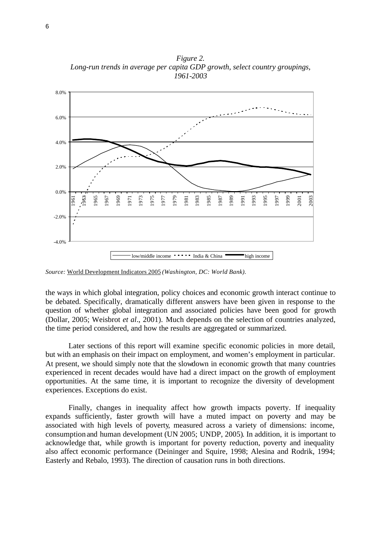*Figure 2. Long-run trends in average per capita GDP growth, select country groupings, 1961-2003*



*Source:* World Development Indicators 2005 *(Washington, DC: World Bank).*

the ways in which global integration, policy choices and economic growth interact continue to be debated. Specifically, dramatically different answers have been given in response to the question of whether global integration and associated policies have been good for growth (Dollar, 2005; Weisbrot *et al*., 2001). Much depends on the selection of countries analyzed, the time period considered, and how the results are aggregated or summarized.

Later sections of this report will examine specific economic policies in more detail, but with an emphasis on their impact on employment, and women's employment in particular. At present, we should simply note that the slowdown in economic growth that many countries experienced in recent decades would have had a direct impact on the growth of employment opportunities. At the same time, it is important to recognize the diversity of development experiences. Exceptions do exist.

Finally, changes in inequality affect how growth impacts poverty. If inequality expands sufficiently, faster growth will have a muted impact on poverty and may be associated with high levels of poverty, measured across a variety of dimensions: income, consumption and human development (UN 2005; UNDP, 2005). In addition, it is important to acknowledge that, while growth is important for poverty reduction, poverty and inequality also affect economic performance (Deininger and Squire, 1998; Alesina and Rodrik, 1994; Easterly and Rebalo, 1993). The direction of causation runs in both directions.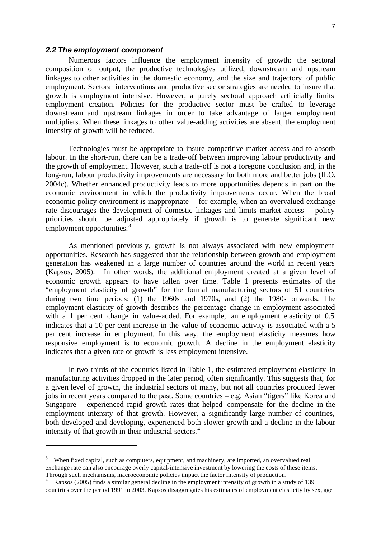#### *2.2 The employment component*

l

Numerous factors influence the employment intensity of growth: the sectoral composition of output, the productive technologies utilized, downstream and upstream linkages to other activities in the domestic economy, and the size and trajectory of public employment. Sectoral interventions and productive sector strategies are needed to insure that growth is employment intensive. However, a purely sectoral approach artificially limits employment creation. Policies for the productive sector must be crafted to leverage downstream and upstream linkages in order to take advantage of larger employment multipliers. When these linkages to other value-adding activities are absent, the employment intensity of growth will be reduced.

Technologies must be appropriate to insure competitive market access and to absorb labour. In the short-run, there can be a trade-off between improving labour productivity and the growth of employment. However, such a trade-off is not a foregone conclusion and, in the long-run, labour productivity improvements are necessary for both more and better jobs (ILO, 2004c). Whether enhanced productivity leads to more opportunities depends in part on the economic environment in which the productivity improvements occur. When the broad economic policy environment is inappropriate – for example, when an overvalued exchange rate discourages the development of domestic linkages and limits market access – policy priorities should be adjusted appropriately if growth is to generate significant new employment opportunities.<sup>3</sup>

As mentioned previously, growth is not always associated with new employment opportunities. Research has suggested that the relationship between growth and employment generation has weakened in a large number of countries around the world in recent years (Kapsos, 2005). In other words, the additional employment created at a given level of economic growth appears to have fallen over time. Table 1 presents estimates of the "employment elasticity of growth" for the formal manufacturing sectors of 51 countries during two time periods: (1) the 1960s and 1970s, and (2) the 1980s onwards. The employment elasticity of growth describes the percentage change in employment associated with a 1 per cent change in value-added. For example, an employment elasticity of 0.5 indicates that a 10 per cent increase in the value of economic activity is associated with a 5 per cent increase in employment. In this way, the employment elasticity measures how responsive employment is to economic growth. A decline in the employment elasticity indicates that a given rate of growth is less employment intensive.

In two-thirds of the countries listed in Table 1, the estimated employment elasticity in manufacturing activities dropped in the later period, often significantly. This suggests that, for a given level of growth, the industrial sectors of many, but not all countries produced fewer jobs in recent years compared to the past. Some countries – e.g. Asian "tigers" like Korea and Singapore – experienced rapid growth rates that helped compensate for the decline in the employment intensity of that growth. However, a significantly large number of countries, both developed and developing, experienced both slower growth and a decline in the labour intensity of that growth in their industrial sectors. $4$ 

 $3$  When fixed capital, such as computers, equipment, and machinery, are imported, an overvalued real exchange rate can also encourage overly capital-intensive investment by lowering the costs of these items. Through such mechanisms, macroeconomic policies impact the factor intensity of production.<br><sup>4</sup> Engage (2005) finds a cimilar capacel dealing in the employment intensity of growth in a st

Kapsos (2005) finds a similar general decline in the employment intensity of growth in a study of 139 countries over the period 1991 to 2003. Kapsos disaggregates his estimates of employment elasticity by sex, age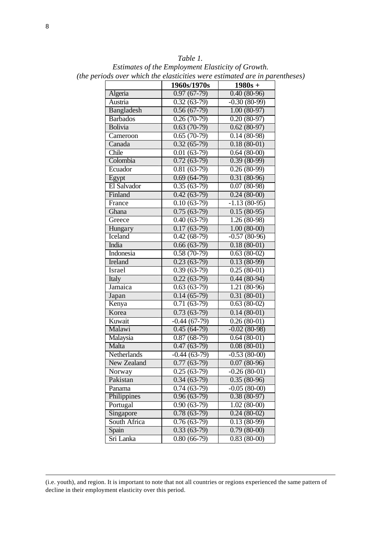| Table 1.                                                                    |
|-----------------------------------------------------------------------------|
| Estimates of the Employment Elasticity of Growth.                           |
| (the periods over which the elasticities were estimated are in parentheses) |

|                   |                            | oseeneevou ur o ere       |
|-------------------|----------------------------|---------------------------|
|                   | 1960s/1970s                | $1980s +$                 |
| Algeria           | $0.97(67-79)$              | $0.40(80-96)$             |
| Austria           | $0.32(63-79)$              | $-0.30(80-99)$            |
| <b>Bangladesh</b> | $0.56(67-79)$              | $1.00(80-97)$             |
| <b>Barbados</b>   | $0.26(70-79)$              | $0.20(80-97)$             |
| Bolivia           | $0.63(70-79)$              | $0.62(80-97)$             |
| Cameroon          | $0.65(70-79)$              | $0.14(80-98)$             |
| Canada            | $0.32(65-79)$              | $0.18(80-01)$             |
| Chile             | $0.01(63-79)$              | $0.64(80-00)$             |
| Colombia          | $\overline{0.7}2(63-79)$   | $0.39(80-99)$             |
| Ecuador           | $\overline{0.81}$ (63-79)  | $0.26(80-99)$             |
| Egypt             | $0.69(64-79)$              | $0.31(80-96)$             |
| El Salvador       | $0.35(63-79)$              | $0.07(80-98)$             |
| Finland           | $0.42(63-79)$              | $0.24(80-00)$             |
| France            | $\overline{0.10}$ (63-79)  | $-1.13(80-95)$            |
| Ghana             | $0.75(63-79)$              | $0.15(80-95)$             |
| Greece            | $\overline{0.40}$ (63-79)  | $1.26(80-98)$             |
| Hungary           | $0.17(63-79)$              | $1.00(80-00)$             |
| Iceland           | $0.42(68-79)$              | $-0.57(80-96)$            |
| India             | $0.66(63-79)$              | $0.18(80-01)$             |
| Indonesia         | $0.58(70-79)$              | $\overline{0.63}$ (80-02) |
| Ireland           | $0.23(63-79)$              | $0.13(80-99)$             |
| Israel            | $0.39(63-79)$              | $0.25(80-01)$             |
| Italy             | $\overline{0.2}2(63-79)$   | $0.44(80-94)$             |
| Jamaica           | $\overline{0.63}$ (63-79)  | 1.21 (80-96)              |
| Japan             | $0.14(65-79)$              | $0.31(80-01)$             |
| Kenya             | $\overline{0.71}$ (63-79)  | $0.63(80-02)$             |
| Korea             | $0.73(63-79)$              | $\overline{0.14}$ (80-01) |
| Kuwait            | $-0.44(67-79)$             | $0.26(80-01)$             |
| Malawi            | $0.45(64-79)$              | $-0.02(80-98)$            |
| Malaysia          | $0.87(68-79)$              | $0.64(80-01)$             |
| Malta             | $0.47(63-79)$              | $0.08(80-01)$             |
| Netherlands       | $-0.44(63-79)$             | $-0.53(80-00)$            |
| New Zealand       | $0.77(63-79)$              | $0.07(80-96)$             |
| Norway            | $0.25(63-79)$              | $-0.26(80-01)$            |
| Pakistan          | $\overline{0.34(63-79)}$   | $0.35(80-96)$             |
| Panama            | $\overline{0.7}$ 4 (63-79) | $-0.05(80-00)$            |
| Philippines       | $0.96(63-79)$              | $0.38(80-97)$             |
| Portugal          | $0.90(63-79)$              | $1.02(80-00)$             |
| Singapore         | $0.78(63-79)$              | $0.24(80-02)$             |
| South Africa      | $0.76(63-79)$              | $0.13(80-99)$             |
| Spain             | $\overline{0.3}3(63-79)$   | $\overline{0.7}9(80-00)$  |
| Sri Lanka         | $0.80(66-79)$              | $0.83(80-00)$             |

l

<sup>(</sup>i.e. youth), and region. It is important to note that not all countries or regions experienced the same pattern of decline in their employment elasticity over this period.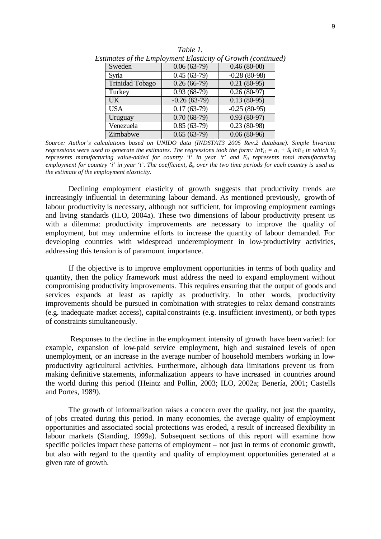|                 |                | umates of the Employment Etasticity of Growth (continue |
|-----------------|----------------|---------------------------------------------------------|
| Sweden          | $0.06(63-79)$  | $0.46(80-00)$                                           |
| Syria           | $0.45(63-79)$  | $-0.28(80-98)$                                          |
| Trinidad Tobago | $0.26(66-79)$  | $0.21(80-95)$                                           |
| Turkey          | $0.93(68-79)$  | $0.26(80-97)$                                           |
| $\overline{UK}$ | $-0.26(63-79)$ | $0.13(80-95)$                                           |
| <b>USA</b>      | $0.17(63-79)$  | $-0.25(80-95)$                                          |
| Uruguay         | $0.70(68-79)$  | $0.93(80-97)$                                           |
| Venezuela       | $0.85(63-79)$  | $0.23(80-98)$                                           |
| Zimbabwe        | $0.65(63-79)$  | $0.06(80-96)$                                           |

*Table 1. Estimates of the Employment Elasticity of Growth (continued)*

*Source: Author's calculations based on UNIDO data (INDSTAT3 2005 Rev.2 database). Simple bivariate regressions were used to generate the estimates. The regressions took the form:*  $lnY_{it} = a_i + \beta_i lnE_{it}$  *in which*  $Y_{it}$ *represents manufacturing value-added for country 'i' in year 't' and Eit represents total manufacturing employment for country 'i' in year 't'. The coefficient, ß<sup>i</sup> , over the two time periods for each country is used as the estimate of the employment elasticity.*

Declining employment elasticity of growth suggests that productivity trends are increasingly influential in determining labour demand. As mentioned previously, growth of labour productivity is necessary, although not sufficient, for improving employment earnings and living standards (ILO, 2004a). These two dimensions of labour productivity present us with a dilemma: productivity improvements are necessary to improve the quality of employment, but may undermine efforts to increase the quantity of labour demanded. For developing countries with widespread underemployment in low-productivity activities, addressing this tension is of paramount importance.

If the objective is to improve employment opportunities in terms of both quality and quantity, then the policy framework must address the need to expand employment without compromising productivity improvements. This requires ensuring that the output of goods and services expands at least as rapidly as productivity. In other words, productivity improvements should be pursued in combination with strategies to relax demand constraints (e.g. inadequate market access), capital constraints (e.g. insufficient investment), or both types of constraints simultaneously.

Responses to the decline in the employment intensity of growth have been varied: for example, expansion of low-paid service employment, high and sustained levels of open unemployment, or an increase in the average number of household members working in lowproductivity agricultural activities. Furthermore, although data limitations prevent us from making definitive statements, informalization appears to have increased in countries around the world during this period (Heintz and Pollin, 2003; ILO, 2002a; Benería, 2001; Castells and Portes, 1989).

The growth of informalization raises a concern over the quality, not just the quantity, of jobs created during this period. In many economies, the average quality of employment opportunities and associated social protections was eroded, a result of increased flexibility in labour markets (Standing, 1999a). Subsequent sections of this report will examine how specific policies impact these patterns of employment – not just in terms of economic growth, but also with regard to the quantity and quality of employment opportunities generated at a given rate of growth.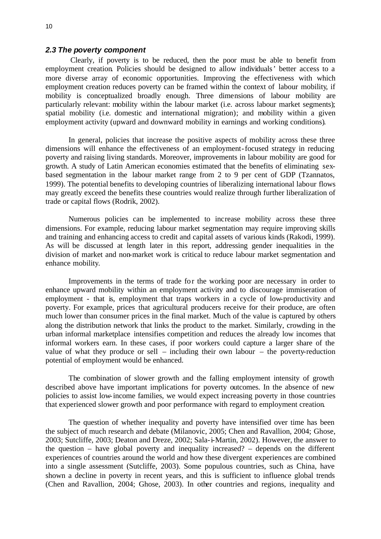#### *2.3 The poverty component*

 Clearly, if poverty is to be reduced, then the poor must be able to benefit from employment creation. Policies should be designed to allow individuals' better access to a more diverse array of economic opportunities. Improving the effectiveness with which employment creation reduces poverty can be framed within the context of labour mobility, if mobility is conceptualized broadly enough. Three dimensions of labour mobility are particularly relevant: mobility within the labour market (i.e. across labour market segments); spatial mobility (i.e. domestic and international migration); and mobility within a given employment activity (upward and downward mobility in earnings and working conditions).

In general, policies that increase the positive aspects of mobility across these three dimensions will enhance the effectiveness of an employment-focused strategy in reducing poverty and raising living standards. Moreover, improvements in labour mobility are good for growth. A study of Latin American economies estimated that the benefits of eliminating sexbased segmentation in the labour market range from 2 to 9 per cent of GDP (Tzannatos, 1999). The potential benefits to developing countries of liberalizing international labour flows may greatly exceed the benefits these countries would realize through further liberalization of trade or capital flows (Rodrik, 2002).

Numerous policies can be implemented to increase mobility across these three dimensions. For example, reducing labour market segmentation may require improving skills and training and enhancing access to credit and capital assets of various kinds (Rakodi, 1999). As will be discussed at length later in this report, addressing gender inequalities in the division of market and non-market work is critical to reduce labour market segmentation and enhance mobility.

Improvements in the terms of trade for the working poor are necessary in order to enhance upward mobility within an employment activity and to discourage immiseration of employment - that is, employment that traps workers in a cycle of low-productivity and poverty. For example, prices that agricultural producers receive for their produce, are often much lower than consumer prices in the final market. Much of the value is captured by others along the distribution network that links the product to the market. Similarly, crowding in the urban informal marketplace intensifies competition and reduces the already low incomes that informal workers earn. In these cases, if poor workers could capture a larger share of the value of what they produce or sell – including their own labour – the poverty-reduction potential of employment would be enhanced.

The combination of slower growth and the falling employment intensity of growth described above have important implications for poverty outcomes. In the absence of new policies to assist low-income families, we would expect increasing poverty in those countries that experienced slower growth and poor performance with regard to employment creation.

The question of whether inequality and poverty have intensified over time has been the subject of much research and debate (Milanovic, 2005; Chen and Ravallion, 2004; Ghose, 2003; Sutcliffe, 2003; Deaton and Dreze, 2002; Sala-i-Martin, 2002). However, the answer to the question – have global poverty and inequality increased? – depends on the different experiences of countries around the world and how these divergent experiences are combined into a single assessment (Sutcliffe, 2003). Some populous countries, such as China, have shown a decline in poverty in recent years, and this is sufficient to influence global trends (Chen and Ravallion, 2004; Ghose, 2003). In other countries and regions, inequality and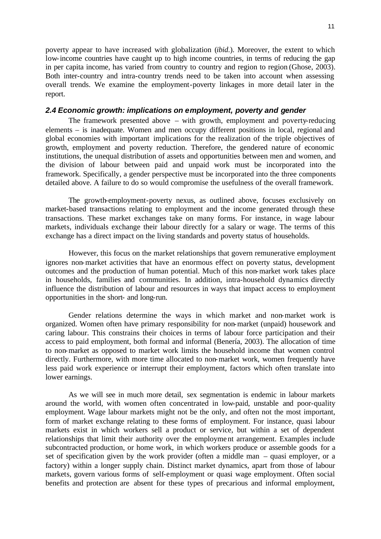poverty appear to have increased with globalization (*ibid*.). Moreover, the extent to which low-income countries have caught up to high income countries, in terms of reducing the gap in per capita income, has varied from country to country and region to region (Ghose, 2003). Both inter-country and intra-country trends need to be taken into account when assessing overall trends. We examine the employment-poverty linkages in more detail later in the report.

### *2.4 Economic growth: implications on employment, poverty and gender*

The framework presented above – with growth, employment and poverty-reducing elements – is inadequate. Women and men occupy different positions in local, regional and global economies with important implications for the realization of the triple objectives of growth, employment and poverty reduction. Therefore, the gendered nature of economic institutions, the unequal distribution of assets and opportunities between men and women, and the division of labour between paid and unpaid work must be incorporated into the framework. Specifically, a gender perspective must be incorporated into the three components detailed above. A failure to do so would compromise the usefulness of the overall framework.

The growth-employment-poverty nexus, as outlined above, focuses exclusively on market-based transactions relating to employment and the income generated through these transactions. These market exchanges take on many forms. For instance, in wage labour markets, individuals exchange their labour directly for a salary or wage. The terms of this exchange has a direct impact on the living standards and poverty status of households.

However, this focus on the market relationships that govern remunerative employment ignores non-market activities that have an enormous effect on poverty status, development outcomes and the production of human potential. Much of this non-market work takes place in households, families and communities. In addition, intra-household dynamics directly influence the distribution of labour and resources in ways that impact access to employment opportunities in the short- and long-run.

Gender relations determine the ways in which market and non-market work is organized. Women often have primary responsibility for non-market (unpaid) housework and caring labour. This constrains their choices in terms of labour force participation and their access to paid employment, both formal and informal (Benería, 2003). The allocation of time to non-market as opposed to market work limits the household income that women control directly. Furthermore, with more time allocated to non-market work, women frequently have less paid work experience or interrupt their employment, factors which often translate into lower earnings.

As we will see in much more detail, sex segmentation is endemic in labour markets around the world, with women often concentrated in low-paid, unstable and poor-quality employment. Wage labour markets might not be the only, and often not the most important, form of market exchange relating to these forms of employment. For instance, quasi labour markets exist in which workers sell a product or service, but within a set of dependent relationships that limit their authority over the employment arrangement. Examples include subcontracted production, or home work, in which workers produce or assemble goods for a set of specification given by the work provider (often a middle man – quasi employer, or a factory) within a longer supply chain. Distinct market dynamics, apart from those of labour markets, govern various forms of self-employment or quasi wage employment. Often social benefits and protection are absent for these types of precarious and informal employment,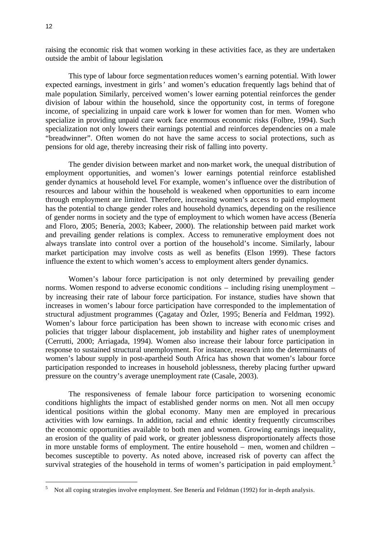raising the economic risk that women working in these activities face, as they are undertaken outside the ambit of labour legislation.

This type of labour force segmentation reduces women's earning potential. With lower expected earnings, investment in girls' and women's education frequently lags behind that of male population. Similarly, perceived women's lower earning potential reinforces the gender division of labour within the household, since the opportunity cost, in terms of foregone income, of specializing in unpaid care work is lower for women than for men. Women who specialize in providing unpaid care work face enormous economic risks (Folbre, 1994). Such specialization not only lowers their earnings potential and reinforces dependencies on a male "breadwinner". Often women do not have the same access to social protections, such as pensions for old age, thereby increasing their risk of falling into poverty.

The gender division between market and non-market work, the unequal distribution of employment opportunities, and women's lower earnings potential reinforce established gender dynamics at household level. For example, women's influence over the distribution of resources and labour within the household is weakened when opportunities to earn income through employment are limited. Therefore, increasing women's access to paid employment has the potential to change gender roles and household dynamics, depending on the resilience of gender norms in society and the type of employment to which women have access (Benería and Floro, 2005; Benería, 2003; Kabeer, 2000). The relationship between paid market work and prevailing gender relations is complex. Access to remunerative employment does not always translate into control over a portion of the household's income. Similarly, labour market participation may involve costs as well as benefits (Elson 1999). These factors influence the extent to which women's access to employment alters gender dynamics.

Women's labour force participation is not only determined by prevailing gender norms. Women respond to adverse economic conditions – including rising unemployment – by increasing their rate of labour force participation. For instance, studies have shown that increases in women's labour force participation have corresponded to the implementation of structural adjustment programmes (Çagatay and Özler, 1995; Benería and Feldman, 1992). Women's labour force participation has been shown to increase with economic crises and policies that trigger labour displacement, job instability and higher rates of unemployment (Cerrutti, 2000; Arriagada, 1994). Women also increase their labour force participation in response to sustained structural unemployment. For instance, research into the determinants of women's labour supply in post-apartheid South Africa has shown that women's labour force participation responded to increases in household joblessness, thereby placing further upward pressure on the country's average unemployment rate (Casale, 2003).

The responsiveness of female labour force participation to worsening economic conditions highlights the impact of established gender norms on men. Not all men occupy identical positions within the global economy. Many men are employed in precarious activities with low earnings. In addition, racial and ethnic identity frequently circumscribes the economic opportunities available to both men and women. Growing earnings inequality, an erosion of the quality of paid work, or greater joblessness disproportionately affects those in more unstable forms of employment. The entire household – men, women and children – becomes susceptible to poverty. As noted above, increased risk of poverty can affect the survival strategies of the household in terms of women's participation in paid employment.<sup>5</sup>

l

<sup>&</sup>lt;sup>5</sup> Not all coping strategies involve employment. See Benería and Feldman (1992) for in-depth analysis.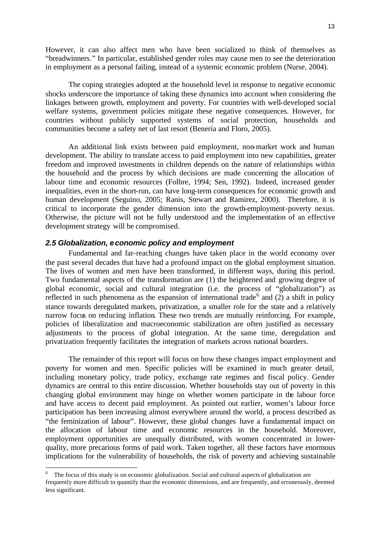However, it can also affect men who have been socialized to think of themselves as "breadwinners." In particular, established gender roles may cause men to see the deterioration in employment as a personal failing, instead of a systemic economic problem (Nurse, 2004).

The coping strategies adopted at the household level in response to negative economic shocks underscore the importance of taking these dynamics into account when considering the linkages between growth, employment and poverty. For countries with well-developed social welfare systems, government policies mitigate these negative consequences. However, for countries without publicly supported systems of social protection, households and communities become a safety net of last resort (Benería and Floro, 2005).

An additional link exists between paid employment, non-market work and human development. The ability to translate access to paid employment into new capabilities, greater freedom and improved investments in children depends on the nature of relationships within the household and the process by which decisions are made concerning the allocation of labour time and economic resources (Folbre, 1994; Sen, 1992). Indeed, increased gender inequalities, even in the short-run, can have long-term consequences for economic growth and human development (Seguino, 2005; Ranis, Stewart and Ramirez, 2000). Therefore, it is critical to incorporate the gender dimension into the growth-employment-poverty nexus. Otherwise, the picture will not be fully understood and the implementation of an effective development strategy will be compromised.

### *2.5 Globalization, economic policy and employment*

l

Fundamental and far-reaching changes have taken place in the world economy over the past several decades that have had a profound impact on the global employment situation. The lives of women and men have been transformed, in different ways, during this period. Two fundamental aspects of the transformation are (1) the heightened and growing degree of global economic, social and cultural integration (i.e. the process of "globalization") as reflected in such phenomena as the expansion of international trade<sup>6</sup> and  $(2)$  a shift in policy stance towards deregulated markets, privatization, a smaller role for the state and a relatively narrow focus on reducing inflation. These two trends are mutually reinforcing. For example, policies of liberalization and macroeconomic stabilization are often justified as necessary adjustments to the process of global integration. At the same time, deregulation and privatization frequently facilitates the integration of markets across national boarders.

The remainder of this report will focus on how these changes impact employment and poverty for women and men. Specific policies will be examined in much greater detail, including monetary policy, trade policy, exchange rate regimes and fiscal policy. Gender dynamics are central to this entire discussion. Whether households stay out of poverty in this changing global environment may hinge on whether women participate in the labour force and have access to decent paid employment. As pointed out earlier, women's labour force participation has been increasing almost everywhere around the world, a process described as "the feminization of labour". However, these global changes have a fundamental impact on the allocation of labour time and economic resources in the household. Moreover, employment opportunities are unequally distributed, with women concentrated in lowerquality, more precarious forms of paid work. Taken together, all these factors have enormous implications for the vulnerability of households, the risk of poverty and achieving sustainable

<sup>6</sup> The focus of this study is on economic globalization. Social and cultural aspects of globalization are frequently more difficult to quantify than the economic dimensions, and are frequently, and erroneously, deemed less significant.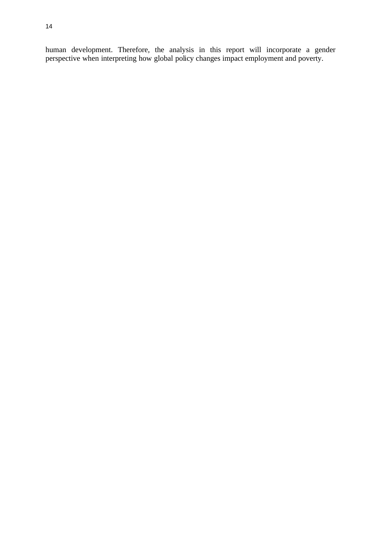human development. Therefore, the analysis in this report will incorporate a gender perspective when interpreting how global policy changes impact employment and poverty.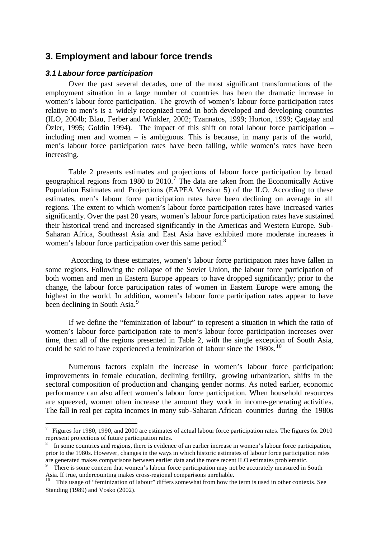## **3. Employment and labour force trends**

### *3.1 Labour force participation*

l

Over the past several decades, one of the most significant transformations of the employment situation in a large number of countries has been the dramatic increase in women's labour force participation. The growth of women's labour force participation rates relative to men's is a widely recognized trend in both developed and developing countries (ILO, 2004b; Blau, Ferber and Winkler, 2002; Tzannatos, 1999; Horton, 1999; Çagatay and Özler, 1995; Goldin 1994). The impact of this shift on total labour force participation – including men and women – is ambiguous. This is because, in many parts of the world, men's labour force participation rates have been falling, while women's rates have been increasing.

Table 2 presents estimates and projections of labour force participation by broad geographical regions from 1980 to  $2010$ .<sup>7</sup> The data are taken from the Economically Active Population Estimates and Projections (EAPEA Version 5) of the ILO. According to these estimates, men's labour force participation rates have been declining on average in all regions. The extent to which women's labour force participation rates have increased varies significantly. Over the past 20 years, women's labour force participation rates have sustained their historical trend and increased significantly in the Americas and Western Europe. Sub-Saharan Africa, Southeast Asia and East Asia have exhibited more moderate increases in women's labour force participation over this same period.<sup>8</sup>

 According to these estimates, women's labour force participation rates have fallen in some regions. Following the collapse of the Soviet Union, the labour force participation of both women and men in Eastern Europe appears to have dropped significantly; prior to the change, the labour force participation rates of women in Eastern Europe were among the highest in the world. In addition, women's labour force participation rates appear to have been declining in South Asia.<sup>9</sup>

If we define the "feminization of labour" to represent a situation in which the ratio of women's labour force participation rate to men's labour force participation increases over time, then all of the regions presented in Table 2, with the single exception of South Asia, could be said to have experienced a feminization of labour since the  $1980s$ .<sup>10</sup>

Numerous factors explain the increase in women's labour force participation: improvements in female education, declining fertility, growing urbanization, shifts in the sectoral composition of production and changing gender norms. As noted earlier, economic performance can also affect women's labour force participation. When household resources are squeezed, women often increase the amount they work in income-generating activities. The fall in real per capita incomes in many sub-Saharan African countries during the 1980s

 $^7$  Figures for 1980, 1990, and 2000 are estimates of actual labour force participation rates. The figures for 2010 represent projections of future participation rates.

<sup>&</sup>lt;sup>8</sup> In some countries and regions, there is evidence of an earlier increase in women's labour force participation, prior to the 1980s. However, changes in the ways in which historic estimates of labour force participation rates are generated makes comparisons between earlier data and the more recent ILO estimates problematic.

<sup>9</sup> There is some concern that women's labour force participation may not be accurately measured in South Asia. If true, undercounting makes cross-regional comparisons unreliable.

<sup>10</sup> This usage of "feminization of labour" differs somewhat from how the term is used in other contexts. See Standing (1989) and Vosko (2002).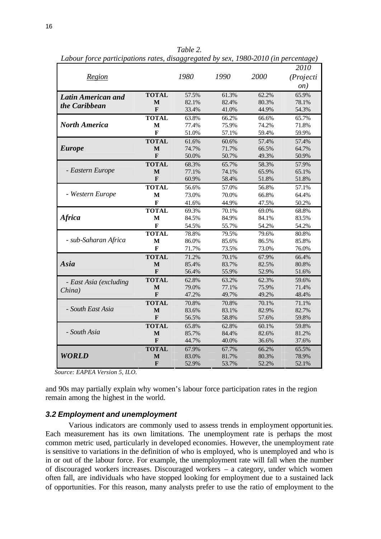| Region                 |                         | 1980  | 1990  | 2000  | 2010<br>(Projecti<br>on) |
|------------------------|-------------------------|-------|-------|-------|--------------------------|
| Latin American and     | <b>TOTAL</b>            | 57.5% | 61.3% | 62.2% | 65.9%                    |
|                        | M                       | 82.1% | 82.4% | 80.3% | 78.1%                    |
| the Caribbean          | F                       | 33.4% | 41.0% | 44.9% | 54.3%                    |
|                        | <b>TOTAL</b>            | 63.8% | 66.2% | 66.6% | 65.7%                    |
| <b>North America</b>   | M                       | 77.4% | 75.9% | 74.2% | 71.8%                    |
|                        | F                       | 51.0% | 57.1% | 59.4% | 59.9%                    |
|                        | <b>TOTAL</b>            | 61.6% | 60.6% | 57.4% | 57.4%                    |
| <b>Europe</b>          | M                       | 74.7% | 71.7% | 66.5% | 64.7%                    |
|                        | F                       | 50.0% | 50.7% | 49.3% | 50.9%                    |
|                        | <b>TOTAL</b>            | 68.3% | 65.7% | 58.3% | 57.9%                    |
| - Eastern Europe       | $\bf{M}$                | 77.1% | 74.1% | 65.9% | 65.1%                    |
|                        | $\mathbf{F}$            | 60.9% | 58.4% | 51.8% | 51.8%                    |
|                        | <b>TOTAL</b>            | 56.6% | 57.0% | 56.8% | 57.1%                    |
| - Western Europe       | M                       | 73.0% | 70.0% | 66.8% | 64.4%                    |
|                        | $\mathbf F$             | 41.6% | 44.9% | 47.5% | 50.2%                    |
|                        | <b>TOTAL</b>            | 69.3% | 70.1% | 69.0% | 68.8%                    |
| <b>Africa</b>          | М                       | 84.5% | 84.9% | 84.1% | 83.5%                    |
|                        | F                       | 54.5% | 55.7% | 54.2% | 54.2%                    |
|                        | <b>TOTAL</b>            | 78.8% | 79.5% | 79.6% | 80.8%                    |
| - sub-Saharan Africa   | M                       | 86.0% | 85.6% | 86.5% | 85.8%                    |
|                        | F                       | 71.7% | 73.5% | 73.0% | 76.0%                    |
|                        | <b>TOTAL</b>            | 71.2% | 70.1% | 67.9% | 66.4%                    |
| Asia                   | M                       | 85.4% | 83.7% | 82.5% | 80.8%                    |
|                        | $\mathbf{F}$            | 56.4% | 55.9% | 52.9% | 51.6%                    |
| - East Asia (excluding | <b>TOTAL</b>            | 62.8% | 63.2% | 62.3% | 59.6%                    |
| China)                 | M                       | 79.0% | 77.1% | 75.9% | 71.4%                    |
|                        | $\overline{\mathbf{F}}$ | 47.2% | 49.7% | 49.2% | 48.4%                    |
|                        | <b>TOTAL</b>            | 70.8% | 70.8% | 70.1% | 71.1%                    |
| - South East Asia      | M                       | 83.6% | 83.1% | 82.9% | 82.7%                    |
|                        | $\mathbf{F}$            | 56.5% | 58.8% | 57.6% | 59.8%                    |
|                        | <b>TOTAL</b>            | 65.8% | 62.8% | 60.1% | 59.8%                    |
| - South Asia           | M                       | 85.7% | 84.4% | 82.6% | 81.2%                    |
|                        | F                       | 44.7% | 40.0% | 36.6% | 37.6%                    |
|                        | <b>TOTAL</b>            | 67.9% | 67.7% | 66.2% | 65.5%                    |
| <b>WORLD</b>           | M                       | 83.0% | 81.7% | 80.3% | 78.9%                    |
|                        | F                       | 52.9% | 53.7% | 52.2% | 52.1%                    |

*Table 2. Labour force participations rates, disaggregated by sex, 1980-2010 (in percentage)*

 *Source: EAPEA Version 5, ILO.*

and 90s may partially explain why women's labour force participation rates in the region remain among the highest in the world.

### *3.2 Employment and unemployment*

Various indicators are commonly used to assess trends in employment opportunities. Each measurement has its own limitations. The unemployment rate is perhaps the most common metric used, particularly in developed economies. However, the unemployment rate is sensitive to variations in the definition of who is employed, who is unemployed and who is in or out of the labour force. For example, the unemployment rate will fall when the number of discouraged workers increases. Discouraged workers – a category, under which women often fall, are individuals who have stopped looking for employment due to a sustained lack of opportunities. For this reason, many analysts prefer to use the ratio of employment to the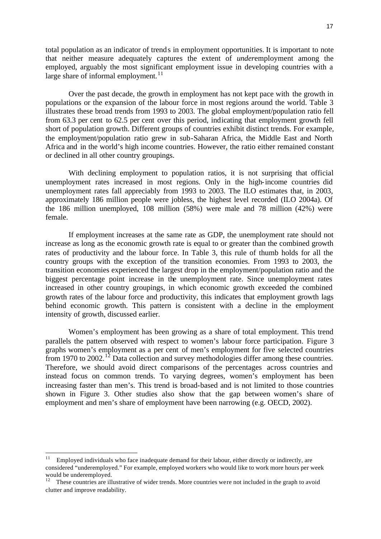total population as an indicator of trends in employment opportunities. It is important to note that neither measure adequately captures the extent of *under*employment among the employed, arguably the most significant employment issue in developing countries with a large share of informal employment. $11$ 

Over the past decade, the growth in employment has not kept pace with the growth in populations or the expansion of the labour force in most regions around the world. Table 3 illustrates these broad trends from 1993 to 2003. The global employment/population ratio fell from 63.3 per cent to 62.5 per cent over this period, indicating that employment growth fell short of population growth. Different groups of countries exhibit distinct trends. For example, the employment/population ratio grew in sub-Saharan Africa, the Middle East and North Africa and in the world's high income countries. However, the ratio either remained constant or declined in all other country groupings.

With declining employment to population ratios, it is not surprising that official unemployment rates increased in most regions. Only in the high-income countries did unemployment rates fall appreciably from 1993 to 2003. The ILO estimates that, in 2003, approximately 186 million people were jobless, the highest level recorded (ILO 2004a). Of the 186 million unemployed, 108 million (58%) were male and 78 million (42%) were female.

If employment increases at the same rate as GDP, the unemployment rate should not increase as long as the economic growth rate is equal to or greater than the combined growth rates of productivity and the labour force. In Table 3, this rule of thumb holds for all the country groups with the exception of the transition economies. From 1993 to 2003, the transition economies experienced the largest drop in the employment/population ratio and the biggest percentage point increase in the unemployment rate. Since unemployment rates increased in other country groupings, in which economic growth exceeded the combined growth rates of the labour force and productivity, this indicates that employment growth lags behind economic growth. This pattern is consistent with a decline in the employment intensity of growth, discussed earlier.

Women's employment has been growing as a share of total employment. This trend parallels the pattern observed with respect to women's labour force participation. Figure 3 graphs women's employment as a per cent of men's employment for five selected countries from 1970 to 2002.<sup>12</sup> Data collection and survey methodologies differ among these countries. Therefore, we should avoid direct comparisons of the percentages across countries and instead focus on common trends. To varying degrees, women's employment has been increasing faster than men's. This trend is broad-based and is not limited to those countries shown in Figure 3. Other studies also show that the gap between women's share of employment and men's share of employment have been narrowing (e.g. OECD, 2002).

l

Employed individuals who face inadequate demand for their labour, either directly or indirectly, are considered "underemployed." For example, employed workers who would like to work more hours per week would be underemployed.

<sup>12</sup> These countries are illustrative of wider trends. More countries were not included in the graph to avoid clutter and improve readability.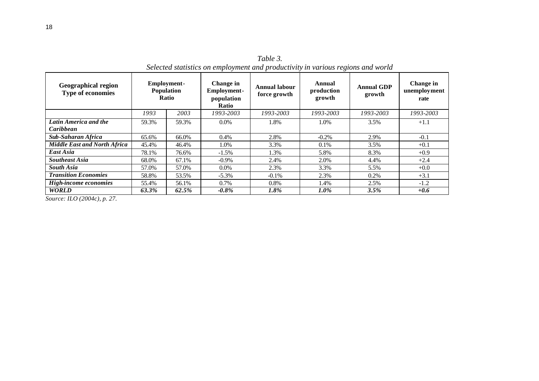| <b>Geographical region</b><br>Type of economies | <b>Employment-</b><br><b>Population</b><br><b>Ratio</b> |          |           |           | Change in<br>Annual labour<br><b>Employment-</b><br>force growth<br>population<br><b>Ratio</b> |           | Annual<br>production<br>growth | <b>Annual GDP</b><br>growth | Change in<br>unemployment<br>rate |  |
|-------------------------------------------------|---------------------------------------------------------|----------|-----------|-----------|------------------------------------------------------------------------------------------------|-----------|--------------------------------|-----------------------------|-----------------------------------|--|
|                                                 | 1993                                                    | 2003     | 1993-2003 | 1993-2003 | 1993-2003                                                                                      | 1993-2003 | 1993-2003                      |                             |                                   |  |
| Latin America and the<br>Caribbean              | 59.3%                                                   | 59.3%    | $0.0\%$   | 1.8%      | 1.0%                                                                                           | 3.5%      | $+1.1$                         |                             |                                   |  |
| Sub-Saharan Africa                              | 66.0%<br>65.6%                                          |          | $0.4\%$   | 2.8%      | $-0.2\%$                                                                                       | 2.9%      | $-0.1$                         |                             |                                   |  |
| <b>Middle East and North Africa</b>             | 45.4%<br>46.4%                                          |          | 1.0%      | 3.3%      | $0.1\%$                                                                                        | 3.5%      | $+0.1$                         |                             |                                   |  |
| East Asia                                       | 78.1%<br>76.6%                                          |          | $-1.5\%$  | 1.3%      | 5.8%                                                                                           | 8.3%      | $+0.9$                         |                             |                                   |  |
| <b>Southeast Asia</b>                           | 67.1%<br>68.0%                                          |          | $-0.9\%$  | 2.4%      | 2.0%                                                                                           | 4.4%      | $+2.4$                         |                             |                                   |  |
| <b>South Asia</b><br>57.0%<br>57.0%             |                                                         | $0.0\%$  | 2.3%      | 3.3%      | 5.5%                                                                                           | $+0.0$    |                                |                             |                                   |  |
| <b>Transition Economies</b><br>58.8%<br>53.5%   |                                                         | $-5.3\%$ | $-0.1\%$  | 2.3%      | 0.2%                                                                                           | $+3.1$    |                                |                             |                                   |  |
| <b>High-income economies</b>                    | 55.4%<br>56.1%                                          |          | 0.7%      | 0.8%      | 1.4%                                                                                           | 2.5%      | $-1.2$                         |                             |                                   |  |
| <b>WORLD</b>                                    | 63.3%                                                   | 62.5%    | $-0.8\%$  | 1.8%      | $1.0\%$                                                                                        | 3.5%      | $+0.6$                         |                             |                                   |  |

*Table 3. Selected statistics on employment and productivity in various regions and world*

*Source: ILO (2004c), p. 27.*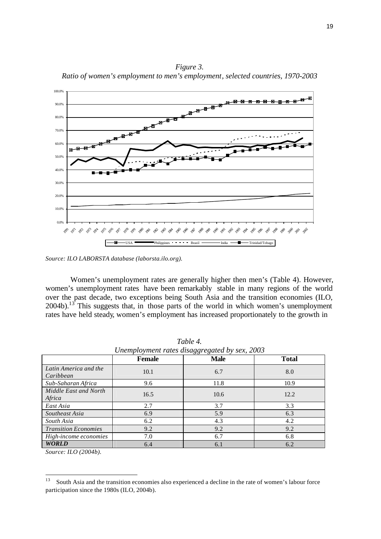*Figure 3. Ratio of women's employment to men's employment, selected countries, 1970-2003*



*Source: ILO LABORSTA database (laborsta.ilo.org).*

Women's unemployment rates are generally higher then men's (Table 4). However, women's unemployment rates have been remarkably stable in many regions of the world over the past decade, two exceptions being South Asia and the transition economies (ILO, 2004b).<sup>13</sup> This suggests that, in those parts of the world in which women's unemployment rates have held steady, women's employment has increased proportionately to the growth in

|                                    | <b>Female</b> | <b>Male</b> | <b>Total</b> |
|------------------------------------|---------------|-------------|--------------|
| Latin America and the<br>Caribbean | 10.1          | 6.7         | 8.0          |
| Sub-Saharan Africa                 | 9.6           | 11.8        | 10.9         |
| Middle East and North<br>Africa    | 16.5          | 10.6        | 12.2         |
| East Asia                          | 2.7           | 3.7         | 3.3          |
| Southeast Asia                     | 6.9           | 5.9         | 6.3          |
| South Asia                         | 6.2           | 4.3         | 4.2          |
| <b>Transition Economies</b>        | 9.2           | 9.2         | 9.2          |
| High-income economies              | 7.0           | 6.7         | 6.8          |
| <b>WORLD</b>                       | 6.4           | 6.1         | 6.2          |

*Table 4. Unemployment rates disaggregated by sex, 2003*

*Source: ILO (2004b).*

<sup>13</sup> South Asia and the transition economies also experienced a decline in the rate of women's labour force participation since the 1980s (ILO, 2004b).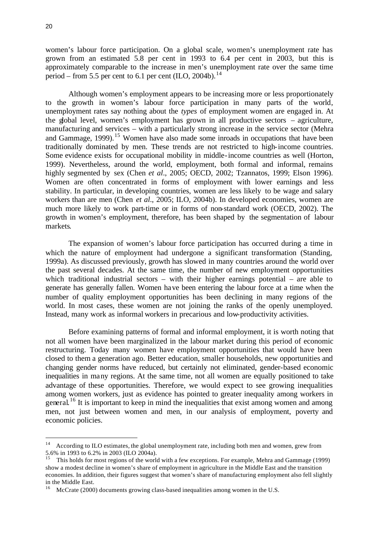women's labour force participation. On a global scale, women's unemployment rate has grown from an estimated 5.8 per cent in 1993 to 6.4 per cent in 2003, but this is approximately comparable to the increase in men's unemployment rate over the same time period – from 5.5 per cent to 6.1 per cent  $(II<sub>C</sub>, 2004b).<sup>14</sup>$ 

Although women's employment appears to be increasing more or less proportionately to the growth in women's labour force participation in many parts of the world, unemployment rates say nothing about the *types* of employment women are engaged in. At the global level, women's employment has grown in all productive sectors – agriculture, manufacturing and services – with a particularly strong increase in the service sector (Mehra and Gammage,  $1999$ ).<sup>15</sup> Women have also made some inroads in occupations that have been traditionally dominated by men. These trends are not restricted to high-income countries. Some evidence exists for occupational mobility in middle-income countries as well (Horton, 1999). Nevertheless, around the world, employment, both formal and informal, remains highly segmented by sex (Chen *et al*., 2005; OECD, 2002; Tzannatos, 1999; Elson 1996). Women are often concentrated in forms of employment with lower earnings and less stability. In particular, in developing countries, women are less likely to be wage and salary workers than are men (Chen *et al*., 2005; ILO, 2004b). In developed economies, women are much more likely to work part-time or in forms of non-standard work (OECD, 2002). The growth in women's employment, therefore, has been shaped by the segmentation of labour markets.

The expansion of women's labour force participation has occurred during a time in which the nature of employment had undergone a significant transformation (Standing, 1999a). As discussed previously, growth has slowed in many countries around the world over the past several decades. At the same time, the number of new employment opportunities which traditional industrial sectors – with their higher earnings potential – are able to generate has generally fallen. Women have been entering the labour force at a time when the number of quality employment opportunities has been declining in many regions of the world. In most cases, these women are not joining the ranks of the openly unemployed. Instead, many work as informal workers in precarious and low-productivity activities.

Before examining patterns of formal and informal employment, it is worth noting that not all women have been marginalized in the labour market during this period of economic restructuring. Today many women have employment opportunities that would have been closed to them a generation ago. Better education, smaller households, new opportunities and changing gender norms have reduced, but certainly not eliminated, gender-based economic inequalities in many regions. At the same time, not all women are equally positioned to take advantage of these opportunities. Therefore, we would expect to see growing inequalities among women workers, just as evidence has pointed to greater inequality among workers in general.<sup>16</sup> It is important to keep in mind the inequalities that exist among women and among men, not just between women and men, in our analysis of employment, poverty and economic policies.

l

<sup>&</sup>lt;sup>14</sup> According to ILO estimates, the global unemployment rate, including both men and women, grew from 5.6% in 1993 to 6.2% in 2003 (ILO 2004a).

<sup>15</sup> This holds for most regions of the world with a few exceptions. For example, Mehra and Gammage (1999) show a modest decline in women's share of employment in agriculture in the Middle East and the transition economies. In addition, their figures suggest that women's share of manufacturing employment also fell slightly in the Middle East.

<sup>&</sup>lt;sup>16</sup> McCrate (2000) documents growing class-based inequalities among women in the U.S.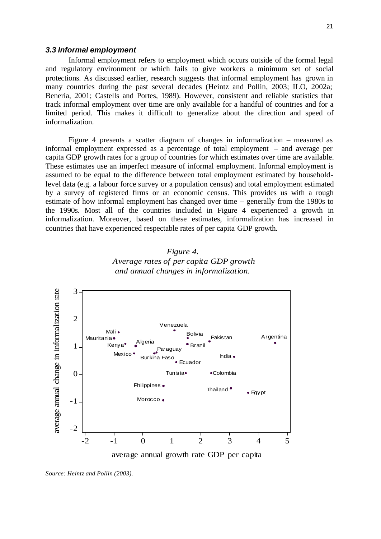#### *3.3 Informal employment*

Informal employment refers to employment which occurs outside of the formal legal and regulatory environment or which fails to give workers a minimum set of social protections. As discussed earlier, research suggests that informal employment has grown in many countries during the past several decades (Heintz and Pollin, 2003; ILO, 2002a; Benería, 2001; Castells and Portes, 1989). However, consistent and reliable statistics that track informal employment over time are only available for a handful of countries and for a limited period. This makes it difficult to generalize about the direction and speed of informalization.

Figure 4 presents a scatter diagram of changes in informalization – measured as informal employment expressed as a percentage of total employment – and average per capita GDP growth rates for a group of countries for which estimates over time are available. These estimates use an imperfect measure of informal employment. Informal employment is assumed to be equal to the difference between total employment estimated by householdlevel data (e.g. a labour force survey or a population census) and total employment estimated by a survey of registered firms or an economic census. This provides us with a rough estimate of how informal employment has changed over time – generally from the 1980s to the 1990s. Most all of the countries included in Figure 4 experienced a growth in informalization. Moreover, based on these estimates, informalization has increased in countries that have experienced respectable rates of per capita GDP growth.





*Source: Heintz and Pollin (2003).*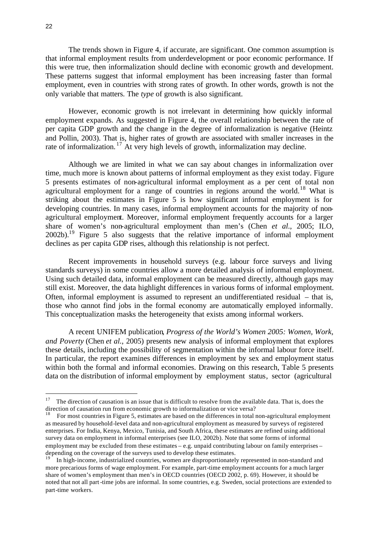The trends shown in Figure 4, if accurate, are significant. One common assumption is that informal employment results from underdevelopment or poor economic performance. If this were true, then informalization should decline with economic growth and development. These patterns suggest that informal employment has been increasing faster than formal employment, even in countries with strong rates of growth. In other words, growth is not the only variable that matters. The *type* of growth is also significant.

However, economic growth is not irrelevant in determining how quickly informal employment expands. As suggested in Figure 4, the overall relationship between the rate of per capita GDP growth and the change in the degree of informalization is negative (Heintz and Pollin, 2003). That is, higher rates of growth are associated with smaller increases in the rate of informalization.<sup>17</sup> At very high levels of growth, informalization may decline.

Although we are limited in what we can say about changes in informalization over time, much more is known about patterns of informal employment as they exist today. Figure 5 presents estimates of non-agricultural informal employment as a per cent of total non agricultural employment for a range of countries in regions around the world.<sup>18</sup> What is striking about the estimates in Figure 5 is how significant informal employment is for developing countries. In many cases, informal employment accounts for the majority of nonagricultural employment. Moreover, informal employment frequently accounts for a larger share of women's non-agricultural employment than men's (Chen *et al*., 2005; ILO, 2002b). <sup>19</sup> Figure 5 also suggests that the relative importance of informal employment declines as per capita GDP rises, although this relationship is not perfect.

Recent improvements in household surveys (e.g. labour force surveys and living standards surveys) in some countries allow a more detailed analysis of informal employment. Using such detailed data, informal employment can be measured directly, although gaps may still exist. Moreover, the data highlight differences in various forms of informal employment. Often, informal employment is assumed to represent an undifferentiated residual – that is, those who cannot find jobs in the formal economy are automatically employed informally. This conceptualization masks the heterogeneity that exists among informal workers.

A recent UNIFEM publication, *Progress of the World's Women 2005: Women, Work, and Poverty* (Chen *et al.*, 2005) presents new analysis of informal employment that explores these details, including the possibility of segmentation within the informal labour force itself. In particular, the report examines differences in employment by sex and employment status within both the formal and informal economies. Drawing on this research, Table 5 presents data on the distribution of informal employment by employment status, sector (agricultural

<sup>17</sup> <sup>17</sup> The direction of causation is an issue that is difficult to resolve from the available data. That is, does the direction of causation run from economic growth to informalization or vice versa?

<sup>&</sup>lt;sup>18</sup> For most countries in Figure 5, estimates are based on the differences in total non-agricultural employment as measured by household-level data and non-agricultural employment as measured by surveys of registered enterprises. For India, Kenya, Mexico, Tunisia, and South Africa, these estimates are refined using additional survey data on employment in informal enterprises (see ILO, 2002b). Note that some forms of informal employment may be excluded from these estimates – e.g. unpaid contributing labour on family enterprises – depending on the coverage of the surveys used to develop these estimates.

<sup>19</sup> In high-income, industrialized countries, women are disproportionately represented in non-standard and more precarious forms of wage employment. For example, part-time employment accounts for a much larger share of women's employment than men's in OECD countries (OECD 2002, p. 69). However, it should be noted that not all part-time jobs are informal. In some countries, e.g. Sweden, social protections are extended to part-time workers.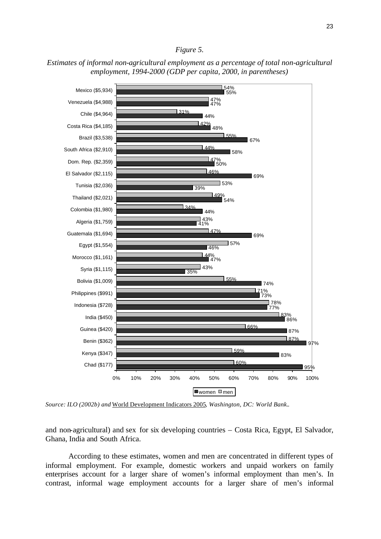### *Figure 5.*





*Source: ILO (2002b) and* World Development Indicators 2005*, Washington, DC: World Bank..*

and non-agricultural) and sex for six developing countries – Costa Rica, Egypt, El Salvador, Ghana, India and South Africa.

According to these estimates, women and men are concentrated in different types of informal employment. For example, domestic workers and unpaid workers on family enterprises account for a larger share of women's informal employment than men's. In contrast, informal wage employment accounts for a larger share of men's informal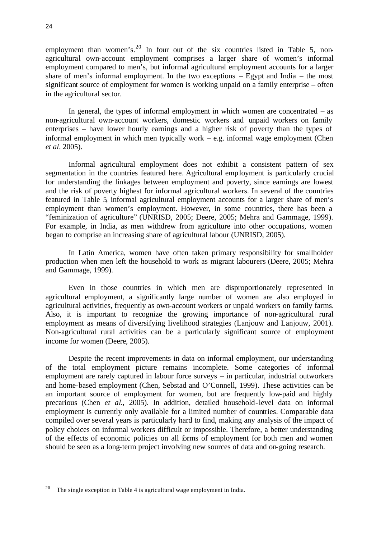employment than women's.<sup>20</sup> In four out of the six countries listed in Table 5, nonagricultural own-account employment comprises a larger share of women's informal employment compared to men's, but informal agricultural employment accounts for a larger share of men's informal employment. In the two exceptions – Egypt and India – the most significant source of employment for women is working unpaid on a family enterprise – often in the agricultural sector.

In general, the types of informal employment in which women are concentrated  $-$  as non-agricultural own-account workers, domestic workers and unpaid workers on family enterprises – have lower hourly earnings and a higher risk of poverty than the types of informal employment in which men typically work – e.g. informal wage employment (Chen *et al*. 2005).

Informal agricultural employment does not exhibit a consistent pattern of sex segmentation in the countries featured here. Agricultural employment is particularly crucial for understanding the linkages between employment and poverty, since earnings are lowest and the risk of poverty highest for informal agricultural workers. In several of the countries featured in Table 5, informal agricultural employment accounts for a larger share of men's employment than women's employment. However, in some countries, there has been a "feminization of agriculture" (UNRISD, 2005; Deere, 2005; Mehra and Gammage, 1999). For example, in India, as men withdrew from agriculture into other occupations, women began to comprise an increasing share of agricultural labour (UNRISD, 2005).

In Latin America, women have often taken primary responsibility for smallholder production when men left the household to work as migrant labourers (Deere, 2005; Mehra and Gammage, 1999).

Even in those countries in which men are disproportionately represented in agricultural employment, a significantly large number of women are also employed in agricultural activities, frequently as own-account workers or unpaid workers on family farms. Also, it is important to recognize the growing importance of non-agricultural rural employment as means of diversifying livelihood strategies (Lanjouw and Lanjouw, 2001). Non-agricultural rural activities can be a particularly significant source of employment income for women (Deere, 2005).

Despite the recent improvements in data on informal employment, our understanding of the total employment picture remains incomplete. Some categories of informal employment are rarely captured in labour force surveys – in particular, industrial outworkers and home-based employment (Chen, Sebstad and O'Connell, 1999). These activities can be an important source of employment for women, but are frequently low-paid and highly precarious (Chen *et al*., 2005). In addition, detailed household-level data on informal employment is currently only available for a limited number of countries. Comparable data compiled over several years is particularly hard to find, making any analysis of the impact of policy choices on informal workers difficult or impossible. Therefore, a better understanding of the effects of economic policies on all forms of employment for both men and women should be seen as a long-term project involving new sources of data and on-going research.

 $20\,$ The single exception in Table 4 is agricultural wage employment in India.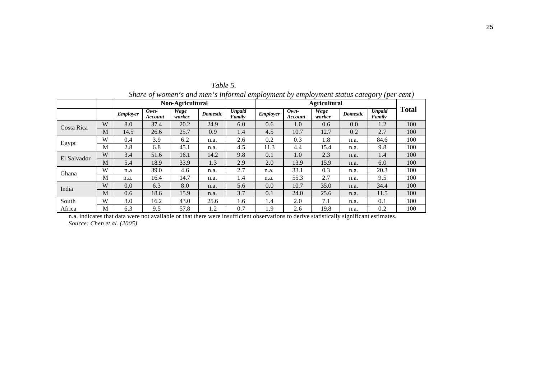| зните ор women з ини теп з инотнии етриоутепи оу етриоутепи зишиз ситезот у урет септ |   |                                         |                   |                |                 |                         |          |                            |                |                 |                         |              |
|---------------------------------------------------------------------------------------|---|-----------------------------------------|-------------------|----------------|-----------------|-------------------------|----------|----------------------------|----------------|-----------------|-------------------------|--------------|
|                                                                                       |   | Non-Agricultural<br><b>Agricultural</b> |                   |                |                 |                         |          |                            |                |                 |                         |              |
|                                                                                       |   | Employer                                | $Own-$<br>Account | Wage<br>worker | <b>Domestic</b> | <b>Unpaid</b><br>Family | Employer | $0$ <i>wn</i> -<br>Account | Wage<br>worker | <b>Domestic</b> | <b>Unpaid</b><br>Family | <b>Total</b> |
| Costa Rica                                                                            | W | 8.0                                     | 37.4              | 20.2           | 24.9            | 6.0                     | 0.6      | 1.0                        | 0.6            | 0.0             | 1.2                     | 100          |
|                                                                                       | M | 14.5                                    | 26.6              | 25.7           | 0.9             | 1.4                     | 4.5      | 10.7                       | 12.7           | 0.2             | 2.7                     | 100          |
|                                                                                       | W | 0.4                                     | 3.9               | 6.2            | n.a.            | 2.6                     | 0.2      | 0.3                        | 1.8            | n.a.            | 84.6                    | 100          |
| Egypt                                                                                 | M | 2.8                                     | 6.8               | 45.1           | n.a.            | 4.5                     | 11.3     | 4.4                        | 15.4           | n.a.            | 9.8                     | 100          |
| El Salvador                                                                           | W | 3.4                                     | 51.6              | 16.1           | 14.2            | 9.8                     | 0.1      | 1.0                        | 2.3            | n.a.            | 1.4                     | 100          |
|                                                                                       | M | 5.4                                     | 18.9              | 33.9           | 1.3             | 2.9                     | 2.0      | 13.9                       | 15.9           | n.a.            | 6.0                     | 100          |
| Ghana                                                                                 | W | n.a                                     | 39.0              | 4.6            | n.a.            | 2.7                     | n.a.     | 33.1                       | 0.3            | n.a.            | 20.3                    | 100          |
|                                                                                       | M | n.a.                                    | 16.4              | 14.7           | n.a.            | 1.4                     | n.a.     | 55.3                       | 2.7            | n.a.            | 9.5                     | 100          |
| India                                                                                 | W | 0.0                                     | 6.3               | 8.0            | n.a.            | 5.6                     | 0.0      | 10.7                       | 35.0           | n.a.            | 34.4                    | 100          |
|                                                                                       | M | 0.6                                     | 18.6              | 15.9           | n.a.            | 3.7                     | 0.1      | 24.0                       | 25.6           | n.a.            | 11.5                    | 100          |
| South                                                                                 | W | 3.0                                     | 16.2              | 43.0           | 25.6            | 1.6                     | 1.4      | 2.0                        | 7.1            | n.a.            | 0.1                     | 100          |
| Africa                                                                                | M | 6.3                                     | 9.5               | 57.8           | 1.2             | 0.7                     | 1.9      | 2.6                        | 19.8           | n.a.            | 0.2                     | 100          |

*Table 5. Share of women's and men's informal employment by employment status category (per cent)*

n.a. indicates that data were not available or that there were insufficient observations to derive statistically significant estimates. *Source: Chen et al. (2005)*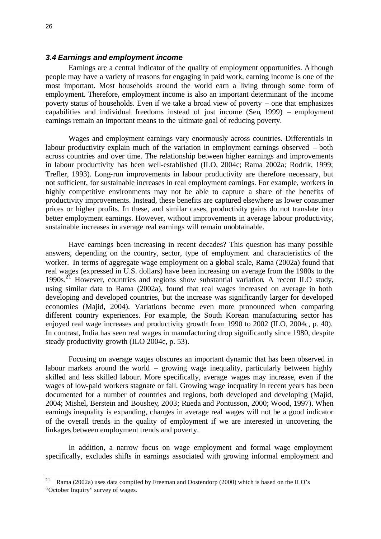### *3.4 Earnings and employment income*

Earnings are a central indicator of the quality of employment opportunities. Although people may have a variety of reasons for engaging in paid work, earning income is one of the most important. Most households around the world earn a living through some form of employment. Therefore, employment income is also an important determinant of the income poverty status of households. Even if we take a broad view of poverty – one that emphasizes capabilities and individual freedoms instead of just income (Sen, 1999) – employment earnings remain an important means to the ultimate goal of reducing poverty.

Wages and employment earnings vary enormously across countries. Differentials in labour productivity explain much of the variation in employment earnings observed – both across countries and over time. The relationship between higher earnings and improvements in labour productivity has been well-established (ILO, 2004c; Rama 2002a; Rodrik, 1999; Trefler, 1993). Long-run improvements in labour productivity are therefore necessary, but not sufficient, for sustainable increases in real employment earnings. For example, workers in highly competitive environments may not be able to capture a share of the benefits of productivity improvements. Instead, these benefits are captured elsewhere as lower consumer prices or higher profits. In these, and similar cases, productivity gains do not translate into better employment earnings. However, without improvements in average labour productivity, sustainable increases in average real earnings will remain unobtainable.

Have earnings been increasing in recent decades? This question has many possible answers, depending on the country, sector, type of employment and characteristics of the worker. In terms of aggregate wage employment on a global scale, Rama (2002a) found that real wages (expressed in U.S. dollars) have been increasing on average from the 1980s to the 1990s.<sup>21</sup> However, countries and regions show substantial variation. A recent ILO study, using similar data to Rama (2002a), found that real wages increased on average in both developing and developed countries, but the increase was significantly larger for developed economies (Majid, 2004). Variations become even more pronounced when comparing different country experiences. For example, the South Korean manufacturing sector has enjoyed real wage increases and productivity growth from 1990 to 2002 (ILO, 2004c, p. 40). In contrast, India has seen real wages in manufacturing drop significantly since 1980, despite steady productivity growth (ILO 2004c, p. 53).

Focusing on average wages obscures an important dynamic that has been observed in labour markets around the world – growing wage inequality, particularly between highly skilled and less skilled labour. More specifically, average wages may increase, even if the wages of low-paid workers stagnate or fall. Growing wage inequality in recent years has been documented for a number of countries and regions, both developed and developing (Majid, 2004; Mishel, Berstein and Boushey, 2003; Rueda and Pontusson, 2000; Wood, 1997). When earnings inequality is expanding, changes in average real wages will not be a good indicator of the overall trends in the quality of employment if we are interested in uncovering the linkages between employment trends and poverty.

In addition, a narrow focus on wage employment and formal wage employment specifically, excludes shifts in earnings associated with growing informal employment and

 $21$ <sup>21</sup> Rama (2002a) uses data compiled by Freeman and Oostendorp (2000) which is based on the ILO's "October Inquiry" survey of wages.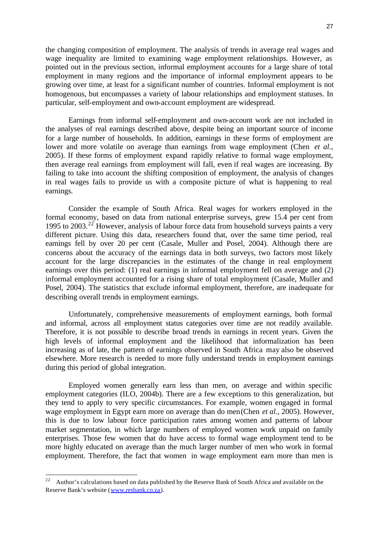the changing composition of employment. The analysis of trends in average real wages and wage inequality are limited to examining wage employment relationships. However, as pointed out in the previous section, informal employment accounts for a large share of total employment in many regions and the importance of informal employment appears to be growing over time, at least for a significant number of countries. Informal employment is not homogenous, but encompasses a variety of labour relationships and employment statuses. In particular, self-employment and own-account employment are widespread.

Earnings from informal self-employment and own-account work are not included in the analyses of real earnings described above, despite being an important source of income for a large number of households. In addition, earnings in these forms of employment are lower and more volatile on average than earnings from wage employment (Chen *et al.*, 2005). If these forms of employment expand rapidly relative to formal wage employment, then average real earnings from employment will fall, even if real wages are increasing. By failing to take into account the shifting composition of employment, the analysis of changes in real wages fails to provide us with a composite picture of what is happening to real earnings.

Consider the example of South Africa. Real wages for workers employed in the formal economy, based on data from national enterprise surveys, grew 15.4 per cent from 1995 to 2003.<sup>22</sup> However, analysis of labour force data from household surveys paints a very different picture. Using this data, researchers found that, over the same time period, real earnings fell by over 20 per cent (Casale, Muller and Posel, 2004). Although there are concerns about the accuracy of the earnings data in both surveys, two factors most likely account for the large discrepancies in the estimates of the change in real employment earnings over this period: (1) real earnings in informal employment fell on average and (2) informal employment accounted for a rising share of total employment (Casale, Muller and Posel, 2004). The statistics that exclude informal employment, therefore, are inadequate for describing overall trends in employment earnings.

Unfortunately, comprehensive measurements of employment earnings, both formal and informal, across all employment status categories over time are not readily available. Therefore, it is not possible to describe broad trends in earnings in recent years. Given the high levels of informal employment and the likelihood that informalization has been increasing as of late, the pattern of earnings observed in South Africa may also be observed elsewhere. More research is needed to more fully understand trends in employment earnings during this period of global integration.

Employed women generally earn less than men, on average and within specific employment categories (ILO, 2004b). There are a few exceptions to this generalization, but they tend to apply to very specific circumstances. For example, women engaged in formal wage employment in Egypt earn more on average than do men (Chen *et al.*, 2005). However, this is due to low labour force participation rates among women and patterns of labour market segmentation, in which large numbers of employed women work unpaid on family enterprises. Those few women that do have access to formal wage employment tend to be more highly educated on average than the much larger number of men who work in formal employment. Therefore, the fact that women in wage employment earn more than men is

l

 $22$  Author's calculations based on data published by the Reserve Bank of South Africa and available on the Reserve Bank's website (www.resbank.co.za).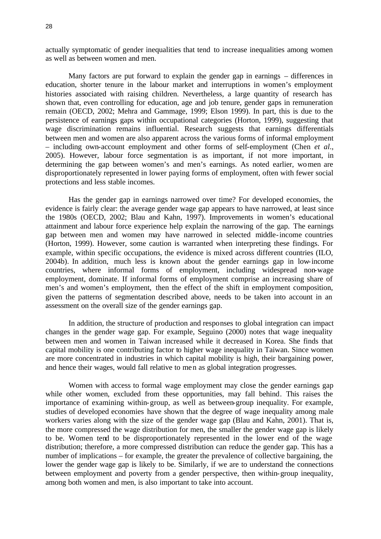actually symptomatic of gender inequalities that tend to increase inequalities among women as well as between women and men.

Many factors are put forward to explain the gender gap in earnings – differences in education, shorter tenure in the labour market and interruptions in women's employment histories associated with raising children. Nevertheless, a large quantity of research has shown that, even controlling for education, age and job tenure, gender gaps in remuneration remain (OECD, 2002; Mehra and Gammage, 1999; Elson 1999). In part, this is due to the persistence of earnings gaps within occupational categories (Horton, 1999), suggesting that wage discrimination remains influential. Research suggests that earnings differentials between men and women are also apparent across the various forms of informal employment – including own-account employment and other forms of self-employment (Chen *et al*., 2005). However, labour force segmentation is as important, if not more important, in determining the gap between women's and men's earnings. As noted earlier, women are disproportionately represented in lower paying forms of employment, often with fewer social protections and less stable incomes.

Has the gender gap in earnings narrowed over time? For developed economies, the evidence is fairly clear: the average gender wage gap appears to have narrowed, at least since the 1980s (OECD, 2002; Blau and Kahn, 1997). Improvements in women's educational attainment and labour force experience help explain the narrowing of the gap. The earnings gap between men and women may have narrowed in selected middle-income countries (Horton, 1999). However, some caution is warranted when interpreting these findings. For example, within specific occupations, the evidence is mixed across different countries (ILO, 2004b). In addition, much less is known about the gender earnings gap in low-income countries, where informal forms of employment, including widespread non-wage employment, dominate. If informal forms of employment comprise an increasing share of men's and women's employment, then the effect of the shift in employment composition, given the patterns of segmentation described above, needs to be taken into account in an assessment on the overall size of the gender earnings gap.

In addition, the structure of production and responses to global integration can impact changes in the gender wage gap. For example, Seguino (2000) notes that wage inequality between men and women in Taiwan increased while it decreased in Korea. She finds that capital mobility is one contributing factor to higher wage inequality in Taiwan. Since women are more concentrated in industries in which capital mobility is high, their bargaining power, and hence their wages, would fall relative to men as global integration progresses.

Women with access to formal wage employment may close the gender earnings gap while other women, excluded from these opportunities, may fall behind. This raises the importance of examining within-group, as well as between-group inequality. For example, studies of developed economies have shown that the degree of wage inequality among male workers varies along with the size of the gender wage gap (Blau and Kahn, 2001). That is, the more compressed the wage distribution for men, the smaller the gender wage gap is likely to be. Women tend to be disproportionately represented in the lower end of the wage distribution; therefore, a more compressed distribution can reduce the gender gap. This has a number of implications – for example, the greater the prevalence of collective bargaining, the lower the gender wage gap is likely to be. Similarly, if we are to understand the connections between employment and poverty from a gender perspective, then within-group inequality, among both women and men, is also important to take into account.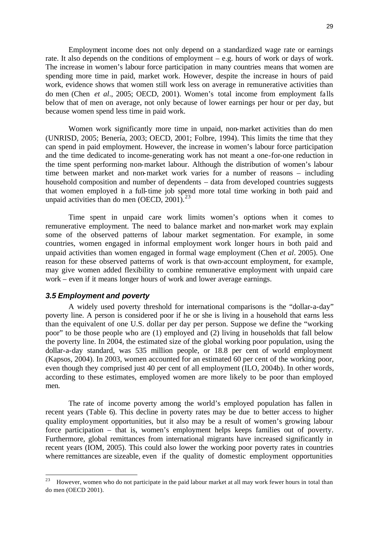Employment income does not only depend on a standardized wage rate or earnings rate. It also depends on the conditions of employment  $-$  e.g. hours of work or days of work. The increase in women's labour force participation in many countries means that women are spending more time in paid, market work. However, despite the increase in hours of paid work, evidence shows that women still work less on average in remunerative activities than do men (Chen *et al*., 2005; OECD, 2001). Women's total income from employment falls below that of men on average, not only because of lower earnings per hour or per day, but because women spend less time in paid work.

Women work significantly more time in unpaid, non-market activities than do men (UNRISD, 2005; Benería, 2003; OECD, 2001; Folbre, 1994). This limits the time that they can spend in paid employment. However, the increase in women's labour force participation and the time dedicated to income-generating work has not meant a one-for-one reduction in the time spent performing non-market labour. Although the distribution of women's labour time between market and non-market work varies for a number of reasons – including household composition and number of dependents – data from developed countries suggests that women employed in a full-time job spend more total time working in both paid and unpaid activities than do men  $(OECD, 2001).^{23}$ 

Time spent in unpaid care work limits women's options when it comes to remunerative employment. The need to balance market and non-market work may explain some of the observed patterns of labour market segmentation. For example, in some countries, women engaged in informal employment work longer hours in both paid and unpaid activities than women engaged in formal wage employment (Chen *et al*. 2005). One reason for these observed patterns of work is that own-account employment, for example, may give women added flexibility to combine remunerative employment with unpaid care work – even if it means longer hours of work and lower average earnings.

#### *3.5 Employment and poverty*

A widely used poverty threshold for international comparisons is the "dollar-a-day" poverty line. A person is considered poor if he or she is living in a household that earns less than the equivalent of one U.S. dollar per day per person. Suppose we define the "working poor" to be those people who are (1) employed and (2) living in households that fall below the poverty line. In 2004, the estimated size of the global working poor population, using the dollar-a-day standard, was 535 million people, or 18.8 per cent of world employment (Kapsos, 2004). In 2003, women accounted for an estimated 60 per cent of the working poor, even though they comprised just 40 per cent of all employment (ILO, 2004b). In other words, according to these estimates, employed women are more likely to be poor than employed men.

The rate of income poverty among the world's employed population has fallen in recent years (Table 6). This decline in poverty rates may be due to better access to higher quality employment opportunities, but it also may be a result of women's growing labour force participation – that is, women's employment helps keeps families out of poverty. Furthermore, global remittances from international migrants have increased significantly in recent years (IOM, 2005). This could also lower the working poor poverty rates in countries where remittances are sizeable, even if the quality of domestic employment opportunities

<sup>23</sup> <sup>23</sup> However, women who do not participate in the paid labour market at all may work fewer hours in total than do men (OECD 2001).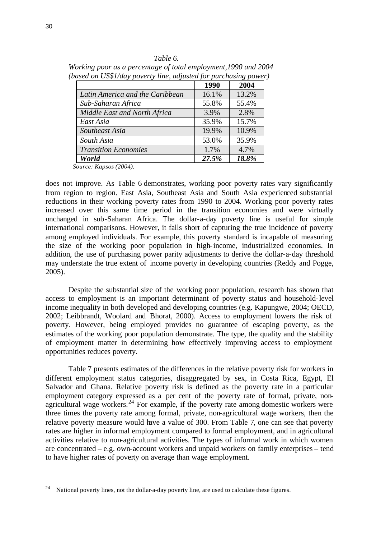|                                 | 1990  | 2004  |
|---------------------------------|-------|-------|
| Latin America and the Caribbean | 16.1% | 13.2% |
| Sub-Saharan Africa              | 55.8% | 55.4% |
| Middle East and North Africa    | 3.9%  | 2.8%  |
| East Asia                       | 35.9% | 15.7% |
| Southeast Asia                  | 19.9% | 10.9% |
| South Asia                      | 53.0% | 35.9% |
| <b>Transition Economies</b>     | 1.7%  | 4.7%  |
| World                           | 27.5% | 18.8% |

*Table 6. Working poor as a percentage of total employment,1990 and 2004 (based on US\$1/day poverty line, adjusted for purchasing power)*

 *Source: Kapsos (2004).*

does not improve. As Table 6 demonstrates, working poor poverty rates vary significantly from region to region. East Asia, Southeast Asia and South Asia experienced substantial reductions in their working poverty rates from 1990 to 2004. Working poor poverty rates increased over this same time period in the transition economies and were virtually unchanged in sub-Saharan Africa. The dollar-a-day poverty line is useful for simple international comparisons. However, it falls short of capturing the true incidence of poverty among employed individuals. For example, this poverty standard is incapable of measuring the size of the working poor population in high-income, industrialized economies. In addition, the use of purchasing power parity adjustments to derive the dollar-a-day threshold may understate the true extent of income poverty in developing countries (Reddy and Pogge, 2005).

Despite the substantial size of the working poor population, research has shown that access to employment is an important determinant of poverty status and household-level income inequality in both developed and developing countries (e.g. Kapungwe, 2004; OECD, 2002; Leibbrandt, Woolard and Bhorat, 2000). Access to employment lowers the risk of poverty. However, being employed provides no guarantee of escaping poverty, as the estimates of the working poor population demonstrate. The type, the quality and the stability of employment matter in determining how effectively improving access to employment opportunities reduces poverty.

Table 7 presents estimates of the differences in the relative poverty risk for workers in different employment status categories, disaggregated by sex, in Costa Rica, Egypt, El Salvador and Ghana. Relative poverty risk is defined as the poverty rate in a particular employment category expressed as a per cent of the poverty rate of formal, private, nonagricultural wage workers.<sup>24</sup> For example, if the poverty rate among domestic workers were three times the poverty rate among formal, private, non-agricultural wage workers, then the relative poverty measure would have a value of 300. From Table 7, one can see that poverty rates are higher in informal employment compared to formal employment, and in agricultural activities relative to non-agricultural activities. The types of informal work in which women are concentrated – e.g. own-account workers and unpaid workers on family enterprises – tend to have higher rates of poverty on average than wage employment.

<sup>24</sup> National poverty lines, not the dollar-a-day poverty line, are used to calculate these figures.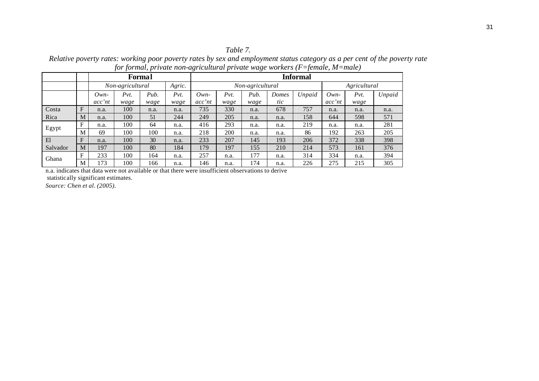## *Table 7.*

*Relative poverty rates: working poor poverty rates by sex and employment status category as a per cent of the poverty rate for formal, private non-agricultural private wage workers (F=female, M=male)*

|          |   | <b>Formal</b>              |      |                  |      | <b>Informal</b> |      |              |       |        |        |      |        |
|----------|---|----------------------------|------|------------------|------|-----------------|------|--------------|-------|--------|--------|------|--------|
|          |   | Agric.<br>Non-agricultural |      | Non-agricultural |      |                 |      | Agricultural |       |        |        |      |        |
|          |   | $Own-$                     | Pvt. | Pub.             | Pvt. | $Own-$          | Pvt. | Pub.         | Domes | Unpaid | $Own-$ | Pvt. | Unpaid |
|          |   | acc'nt                     | wage | wage             | wage | acc'nt          | wage | wage         | tic   |        | acc'nt | wage |        |
| Costa    | F | n.a.                       | 100  | n.a.             | n.a. | 735             | 330  | n.a.         | 678   | 757    | n.a.   | n.a. | n.a.   |
| Rica     | M | n.a.                       | 100  | 51               | 244  | 249             | 205  | n.a.         | n.a.  | 158    | 644    | 598  | 571    |
|          | F | n.a.                       | 100  | 64               | n.a. | 416             | 293  | n.a.         | n.a.  | 219    | n.a.   | n.a. | 281    |
| Egypt    | M | 69                         | 100  | 100              | n.a. | 218             | 200  | n.a.         | n.a.  | 86     | 192    | 263  | 205    |
| E1       | F | n.a.                       | 100  | 30               | n.a. | 233             | 207  | 145          | 193   | 206    | 372    | 338  | 398    |
| Salvador | M | 197                        | 100  | 80               | 184  | 179             | 197  | 155          | 210   | 214    | 573    | 161  | 376    |
| Ghana    | F | 233                        | 100  | 164              | n.a. | 257             | n.a. | 177          | n.a.  | 314    | 334    | n.a. | 394    |
|          | M | 173                        | 100  | 166              | n.a. | 146             | n.a. | 174          | n.a.  | 226    | 275    | 215  | 305    |

n.a. indicates that data were not available or that there were insufficient observations to derive statistically significant estimates.

*Source: Chen et al. (2005).*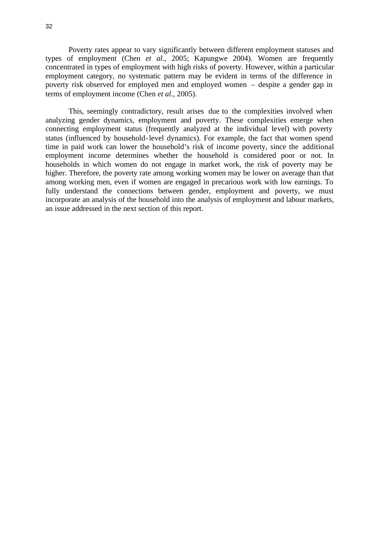Poverty rates appear to vary significantly between different employment statuses and types of employment (Chen *et al*., 2005; Kapungwe 2004). Women are frequently concentrated in types of employment with high risks of poverty. However, within a particular employment category, no systematic pattern may be evident in terms of the difference in poverty risk observed for employed men and employed women – despite a gender gap in terms of employment income (Chen *et al*., 2005).

This, seemingly contradictory, result arises due to the complexities involved when analyzing gender dynamics, employment and poverty. These complexities emerge when connecting employment status (frequently analyzed at the individual level) with poverty status (influenced by household-level dynamics). For example, the fact that women spend time in paid work can lower the household's risk of income poverty, since the additional employment income determines whether the household is considered poor or not. In households in which women do not engage in market work, the risk of poverty may be higher. Therefore, the poverty rate among working women may be lower on average than that among working men, even if women are engaged in precarious work with low earnings. To fully understand the connections between gender, employment and poverty, we must incorporate an analysis of the household into the analysis of employment and labour markets, an issue addressed in the next section of this report.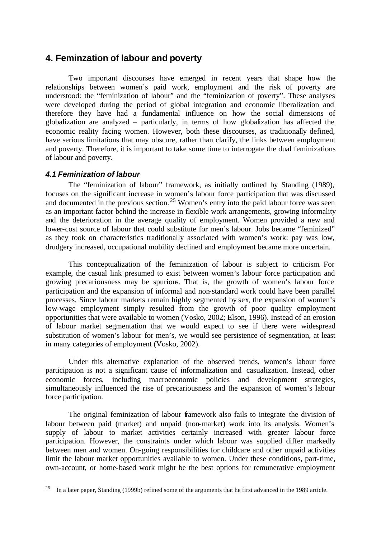## **4. Feminzation of labour and poverty**

Two important discourses have emerged in recent years that shape how the relationships between women's paid work, employment and the risk of poverty are understood: the "feminization of labour" and the "feminization of poverty". These analyses were developed during the period of global integration and economic liberalization and therefore they have had a fundamental influence on how the social dimensions of globalization are analyzed – particularly, in terms of how globalization has affected the economic reality facing women. However, both these discourses, as traditionally defined, have serious limitations that may obscure, rather than clarify, the links between employment and poverty. Therefore, it is important to take some time to interrogate the dual feminizations of labour and poverty.

## *4.1 Feminization of labour*

The "feminization of labour" framework, as initially outlined by Standing (1989), focuses on the significant increase in women's labour force participation that was discussed and documented in the previous section.<sup>25</sup> Women's entry into the paid labour force was seen as an important factor behind the increase in flexible work arrangements, growing informality and the deterioration in the average quality of employment. Women provided a new and lower-cost source of labour that could substitute for men's labour. Jobs became "feminized" as they took on characteristics traditionally associated with women's work: pay was low, drudgery increased, occupational mobility declined and employment became more uncertain.

This conceptualization of the feminization of labour is subject to criticism. For example, the casual link presumed to exist between women's labour force participation and growing precariousness may be spurious. That is, the growth of women's labour force participation and the expansion of informal and non-standard work could have been parallel processes. Since labour markets remain highly segmented by sex, the expansion of women's low-wage employment simply resulted from the growth of poor quality employment opportunities that were available to women (Vosko, 2002; Elson, 1996). Instead of an erosion of labour market segmentation that we would expect to see if there were widespread substitution of women's labour for men's, we would see persistence of segmentation, at least in many categories of employment (Vosko, 2002).

Under this alternative explanation of the observed trends, women's labour force participation is not a significant cause of informalization and casualization. Instead, other economic forces, including macroeconomic policies and development strategies, simultaneously influenced the rise of precariousness and the expansion of women's labour force participation.

The original feminization of labour framework also fails to integrate the division of labour between paid (market) and unpaid (non-market) work into its analysis. Women's supply of labour to market activities certainly increased with greater labour force participation. However, the constraints under which labour was supplied differ markedly between men and women. On-going responsibilities for childcare and other unpaid activities limit the labour market opportunities available to women. Under these conditions, part-time, own-account, or home-based work might be the best options for remunerative employment

<sup>25</sup> <sup>25</sup> In a later paper, Standing (1999b) refined some of the arguments that he first advanced in the 1989 article.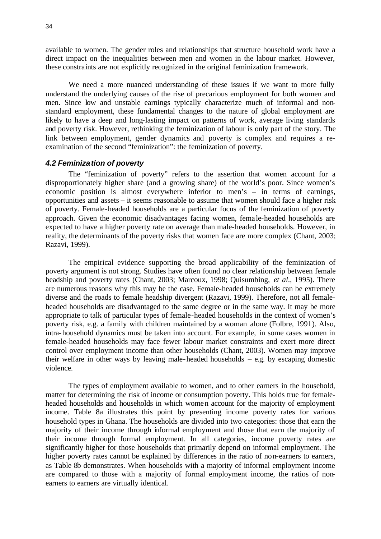available to women. The gender roles and relationships that structure household work have a direct impact on the inequalities between men and women in the labour market. However, these constraints are not explicitly recognized in the original feminization framework.

We need a more nuanced understanding of these issues if we want to more fully understand the underlying causes of the rise of precarious employment for both women and men. Since low and unstable earnings typically characterize much of informal and nonstandard employment, these fundamental changes to the nature of global employment are likely to have a deep and long-lasting impact on patterns of work, average living standards and poverty risk. However, rethinking the feminization of labour is only part of the story. The link between employment, gender dynamics and poverty is complex and requires a reexamination of the second "feminization": the feminization of poverty.

#### *4.2 Feminization of poverty*

The "feminization of poverty" refers to the assertion that women account for a disproportionately higher share (and a growing share) of the world's poor. Since women's economic position is almost everywhere inferior to men's – in terms of earnings, opportunities and assets – it seems reasonable to assume that women should face a higher risk of poverty. Female-headed households are a particular focus of the feminization of poverty approach. Given the economic disadvantages facing women, fema le-headed households are expected to have a higher poverty rate on average than male-headed households. However, in reality, the determinants of the poverty risks that women face are more complex (Chant, 2003; Razavi, 1999).

The empirical evidence supporting the broad applicability of the feminization of poverty argument is not strong. Studies have often found no clear relationship between female headship and poverty rates (Chant, 2003; Marcoux, 1998; Quisumbing, *et al*., 1995). There are numerous reasons why this may be the case. Female-headed households can be extremely diverse and the roads to female headship divergent (Razavi, 1999). Therefore, not all femaleheaded households are disadvantaged to the same degree or in the same way. It may be more appropriate to talk of particular types of female-headed households in the context of women's poverty risk, e.g. a family with children maintained by a woman alone (Folbre, 1991). Also, intra-household dynamics must be taken into account. For example, in some cases women in female-headed households may face fewer labour market constraints and exert more direct control over employment income than other households (Chant, 2003). Women may improve their welfare in other ways by leaving male-headed households – e.g. by escaping domestic violence.

The types of employment available to women, and to other earners in the household, matter for determining the risk of income or consumption poverty. This holds true for femaleheaded households and households in which women account for the majority of employment income. Table 8a illustrates this point by presenting income poverty rates for various household types in Ghana. The households are divided into two categories: those that earn the majority of their income through informal employment and those that earn the majority of their income through formal employment. In all categories, income poverty rates are significantly higher for those households that primarily depend on informal employment. The higher poverty rates cannot be explained by differences in the ratio of non-earners to earners, as Table 8b demonstrates. When households with a majority of informal employment income are compared to those with a majority of formal employment income, the ratios of nonearners to earners are virtually identical.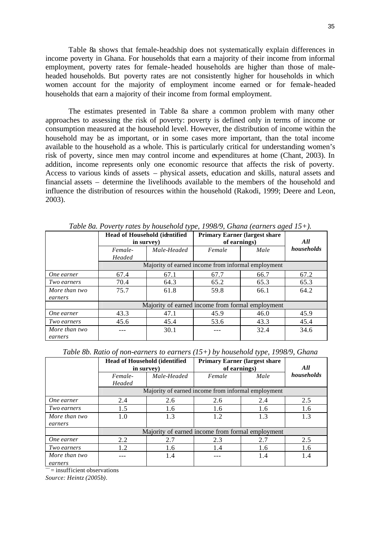Table 8a shows that female-headship does not systematically explain differences in income poverty in Ghana. For households that earn a majority of their income from informal employment, poverty rates for female-headed households are higher than those of maleheaded households. But poverty rates are not consistently higher for households in which women account for the majority of employment income earned or for female-headed households that earn a majority of their income from formal employment.

The estimates presented in Table 8a share a common problem with many other approaches to assessing the risk of poverty: poverty is defined only in terms of income or consumption measured at the household level. However, the distribution of income within the household may be as important, or in some cases more important, than the total income available to the household as a whole. This is particularly critical for understanding women's risk of poverty, since men may control income and expenditures at home (Chant, 2003). In addition, income represents only one economic resource that affects the risk of poverty. Access to various kinds of assets – physical assets, education and skills, natural assets and financial assets – determine the livelihoods available to the members of the household and influence the distribution of resources within the household (Rakodi, 1999; Deere and Leon, 2003).

| Tweet out I overly rates by household type, 1990/9, Ondha (carners aged 19 + ). |                                                     |             |                                                       |      |            |  |  |
|---------------------------------------------------------------------------------|-----------------------------------------------------|-------------|-------------------------------------------------------|------|------------|--|--|
|                                                                                 | <b>Head of Household (identified)</b><br>in survey) |             | <b>Primary Earner (largest share)</b><br>of earnings) | All  |            |  |  |
|                                                                                 | Female-                                             | Male-Headed | Female                                                | Male | households |  |  |
|                                                                                 | Headed                                              |             |                                                       |      |            |  |  |
|                                                                                 |                                                     |             | Majority of earned income from informal employment    |      |            |  |  |
| One earner                                                                      | 67.4                                                | 67.1        | 67.7                                                  | 66.7 | 67.2       |  |  |
| Two earners                                                                     | 70.4                                                | 64.3        | 65.2                                                  | 65.3 | 65.3       |  |  |
| More than two                                                                   | 75.7                                                | 61.8        | 59.8                                                  | 66.1 | 64.2       |  |  |
| earners                                                                         |                                                     |             |                                                       |      |            |  |  |
|                                                                                 | Majority of earned income from formal employment    |             |                                                       |      |            |  |  |
| One earner                                                                      | 43.3                                                | 47.1        | 45.9                                                  | 46.0 | 45.9       |  |  |
| <i>Two earners</i>                                                              | 45.6                                                | 45.4        | 53.6                                                  | 43.3 | 45.4       |  |  |
| More than two                                                                   |                                                     | 30.1        |                                                       | 32.4 | 34.6       |  |  |
| earners                                                                         |                                                     |             |                                                       |      |            |  |  |

*Table 8a. Poverty rates by household type, 1998/9, Ghana (earners aged 15+).*

*Table 8b. Ratio of non-earners to earners (15+) by household type, 1998/9, Ghana*

|               | <b>Head of Household (identified)</b><br>in survey) |                                                    | <b>Primary Earner (largest share)</b><br>of earnings) | All |            |  |
|---------------|-----------------------------------------------------|----------------------------------------------------|-------------------------------------------------------|-----|------------|--|
|               | Male-Headed<br>Female-                              |                                                    | Male<br>Female                                        |     | households |  |
|               | Headed                                              |                                                    |                                                       |     |            |  |
|               |                                                     | Majority of earned income from informal employment |                                                       |     |            |  |
| One earner    | 2.4<br>2.6                                          |                                                    | 2.6                                                   | 2.4 | 2.5        |  |
| Two earners   | 1.5<br>1.6                                          |                                                    | 1.6                                                   | 1.6 | 1.6        |  |
| More than two | 1.0<br>1.3                                          |                                                    | 1.2                                                   | 1.3 | 1.3        |  |
| earners       |                                                     |                                                    |                                                       |     |            |  |
|               | Majority of earned income from formal employment    |                                                    |                                                       |     |            |  |
| One earner    | 2.2<br>2.7                                          |                                                    | 2.3                                                   | 2.7 | 2.5        |  |
| Two earners   | 1.2<br>1.6                                          |                                                    | 1.4                                                   | 1.6 | 1.6        |  |
| More than two | 1.4                                                 |                                                    |                                                       | 1.4 | 1.4        |  |
| earners       |                                                     |                                                    |                                                       |     |            |  |

 $=$  insufficient observations

*Source: Heintz (2005b).*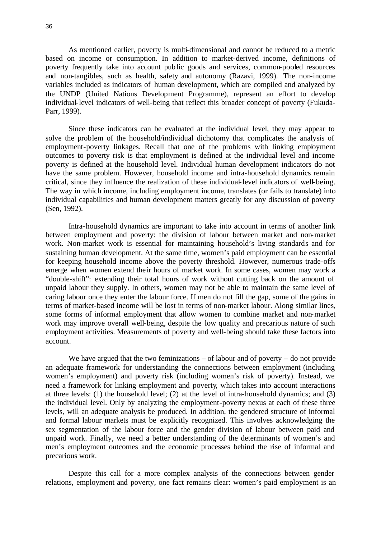As mentioned earlier, poverty is multi-dimensional and cannot be reduced to a metric based on income or consumption. In addition to market-derived income, definitions of poverty frequently take into account public goods and services, common-pooled resources and non-tangibles, such as health, safety and autonomy (Razavi, 1999). The non-income variables included as indicators of human development, which are compiled and analyzed by the UNDP (United Nations Development Programme), represent an effort to develop individual-level indicators of well-being that reflect this broader concept of poverty (Fukuda-Parr, 1999).

Since these indicators can be evaluated at the individual level, they may appear to solve the problem of the household/individual dichotomy that complicates the analysis of employment-poverty linkages. Recall that one of the problems with linking employment outcomes to poverty risk is that employment is defined at the individual level and income poverty is defined at the household level. Individual human development indicators do not have the same problem. However, household income and intra-household dynamics remain critical, since they influence the realization of these individual-level indicators of well-being. The way in which income, including employment income, translates (or fails to translate) into individual capabilities and human development matters greatly for any discussion of poverty (Sen, 1992).

Intra-household dynamics are important to take into account in terms of another link between employment and poverty: the division of labour between market and non-market work. Non-market work is essential for maintaining household's living standards and for sustaining human development. At the same time, women's paid employment can be essential for keeping household income above the poverty threshold. However, numerous trade-offs emerge when women extend the ir hours of market work. In some cases, women may work a "double-shift": extending their total hours of work without cutting back on the amount of unpaid labour they supply. In others, women may not be able to maintain the same level of caring labour once they enter the labour force. If men do not fill the gap, some of the gains in terms of market-based income will be lost in terms of non-market labour. Along similar lines, some forms of informal employment that allow women to combine market and non-market work may improve overall well-being, despite the low quality and precarious nature of such employment activities. Measurements of poverty and well-being should take these factors into account.

We have argued that the two feminizations – of labour and of poverty – do not provide an adequate framework for understanding the connections between employment (including women's employment) and poverty risk (including women's risk of poverty). Instead, we need a framework for linking employment and poverty, which takes into account interactions at three levels: (1) the household level; (2) at the level of intra-household dynamics; and (3) the individual level. Only by analyzing the employment-poverty nexus at each of these three levels, will an adequate analysis be produced. In addition, the gendered structure of informal and formal labour markets must be explicitly recognized. This involves acknowledging the sex segmentation of the labour force and the gender division of labour between paid and unpaid work. Finally, we need a better understanding of the determinants of women's and men's employment outcomes and the economic processes behind the rise of informal and precarious work.

Despite this call for a more complex analysis of the connections between gender relations, employment and poverty, one fact remains clear: women's paid employment is an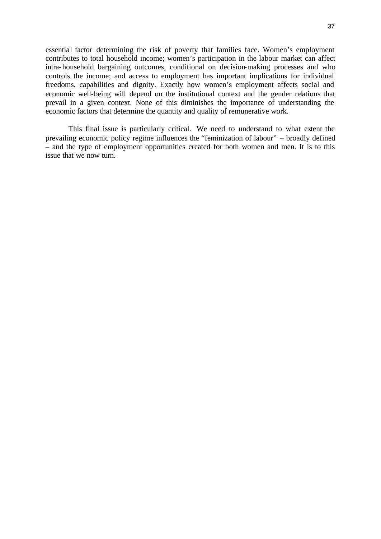essential factor determining the risk of poverty that families face. Women's employment contributes to total household income; women's participation in the labour market can affect intra-household bargaining outcomes, conditional on decision-making processes and who controls the income; and access to employment has important implications for individual freedoms, capabilities and dignity. Exactly how women's employment affects social and economic well-being will depend on the institutional context and the gender relations that prevail in a given context. None of this diminishes the importance of understanding the economic factors that determine the quantity and quality of remunerative work.

This final issue is particularly critical. We need to understand to what extent the prevailing economic policy regime influences the "feminization of labour" – broadly defined – and the type of employment opportunities created for both women and men. It is to this issue that we now turn.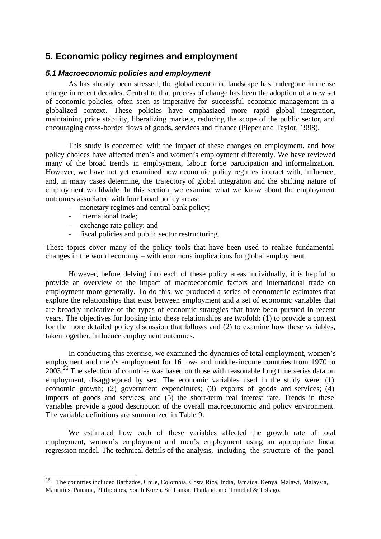# **5. Economic policy regimes and employment**

## *5.1 Macroeconomic policies and employment*

As has already been stressed, the global economic landscape has undergone immense change in recent decades. Central to that process of change has been the adoption of a new set of economic policies, often seen as imperative for successful economic management in a globalized context. These policies have emphasized more rapid global integration, maintaining price stability, liberalizing markets, reducing the scope of the public sector, and encouraging cross-border flows of goods, services and finance (Pieper and Taylor, 1998).

This study is concerned with the impact of these changes on employment, and how policy choices have affected men's and women's employment differently. We have reviewed many of the broad trends in employment, labour force participation and informalization. However, we have not yet examined how economic policy regimes interact with, influence, and, in many cases determine, the trajectory of global integration and the shifting nature of employment worldwide. In this section, we examine what we know about the employment outcomes associated with four broad policy areas:

- monetary regimes and central bank policy;
- international trade;

l

- exchange rate policy; and
- fiscal policies and public sector restructuring.

These topics cover many of the policy tools that have been used to realize fundamental changes in the world economy – with enormous implications for global employment.

However, before delving into each of these policy areas individually, it is helpful to provide an overview of the impact of macroeconomic factors and international trade on employment more generally. To do this, we produced a series of econometric estimates that explore the relationships that exist between employment and a set of economic variables that are broadly indicative of the types of economic strategies that have been pursued in recent years. The objectives for looking into these relationships are twofold: (1) to provide a context for the more detailed policy discussion that follows and (2) to examine how these variables, taken together, influence employment outcomes.

In conducting this exercise, we examined the dynamics of total employment, women's employment and men's employment for 16 low- and middle-income countries from 1970 to  $2003.<sup>26</sup>$  The selection of countries was based on those with reasonable long time series data on employment, disaggregated by sex. The economic variables used in the study were: (1) economic growth; (2) government expenditures; (3) exports of goods and services; (4) imports of goods and services; and (5) the short-term real interest rate. Trends in these variables provide a good description of the overall macroeconomic and policy environment. The variable definitions are summarized in Table 9.

We estimated how each of these variables affected the growth rate of total employment, women's employment and men's employment using an appropriate linear regression model. The technical details of the analysis, including the structure of the panel

<sup>&</sup>lt;sup>26</sup> The countries included Barbados, Chile, Colombia, Costa Rica, India, Jamaica, Kenya, Malawi, Malaysia, Mauritius, Panama, Philippines, South Korea, Sri Lanka, Thailand, and Trinidad & Tobago.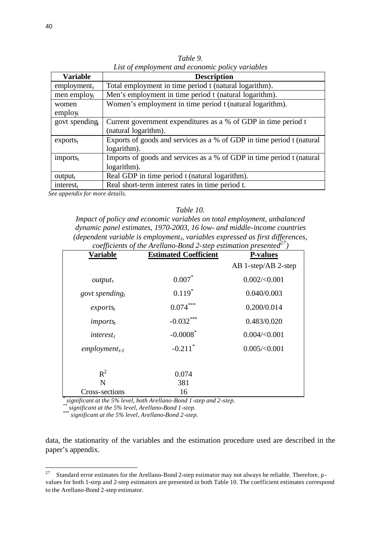| <b>Variable</b>      | <b>Description</b>                                                    |
|----------------------|-----------------------------------------------------------------------|
| employment $t$       | Total employment in time period t (natural logarithm).                |
| men employ $_{t}$    | Men's employment in time period t (natural logarithm).                |
| women                | Women's employment in time period t (natural logarithm).              |
| $\text{empty}_t$     |                                                                       |
| govt spending        | Current government expenditures as a % of GDP in time period t        |
|                      | (natural logarithm).                                                  |
| exports <sub>t</sub> | Exports of goods and services as a % of GDP in time period t (natural |
|                      | logarithm).                                                           |
| $imports_t$          | Imports of goods and services as a % of GDP in time period t (natural |
|                      | logarithm).                                                           |
| $output_t$           | Real GDP in time period t (natural logarithm).                        |
| interest $_t$        | Real short-term interest rates in time period t.                      |

*Table 9. List of employment and economic policy variables*

 *See appendix for more details.*

### *Table 10.*

*Impact of policy and economic variables on total employment, unbalanced dynamic panel estimates, 1970-2003, 16 low- and middle-income countries (dependent variable is employmentt, variables expressed as first differences, coefficients of the Arellano-Bond 2-step estimation presented<sup>27</sup>)*

| <b>Variable</b>      | <b>Estimated Coefficient</b>                                       | <b>P-values</b>         |
|----------------------|--------------------------------------------------------------------|-------------------------|
|                      |                                                                    | AB 1-step/AB 2-step     |
| $output_t$           | $0.007*$                                                           | $0.002/\textless 0.001$ |
| govt spending,       | $0.119*$                                                           | 0.040/0.003             |
| exports <sub>t</sub> | $0.074***$                                                         | 0.200/0.014             |
| imports <sub>t</sub> | $-0.032***$                                                        | 0.483/0.020             |
| $interest_t$         | $-0.0008$ <sup>*</sup>                                             | $0.004 \times 0.001$    |
| $emplovment_{t-1}$   | $-0.211$ <sup>*</sup>                                              | $0.005 \times 0.001$    |
|                      |                                                                    |                         |
| $R^2$                | 0.074                                                              |                         |
| N                    | 381                                                                |                         |
| Cross-sections       | 16                                                                 |                         |
|                      | significant at the 5% level, both Arellano-Bond 1-step and 2-step. |                         |

*\*\* significant at the 5% level, Arellano-Bond 1-step.*

<sup>*\*</sup>* significant at the 5% level, Arellano-Bond 2-step.</sup>

data, the stationarity of the variables and the estimation procedure used are described in the paper's appendix.

 $27\,$ <sup>27</sup> Standard error estimates for the Arellano-Bond 2-step estimator may not always be reliable. Therefore, pvalues for both 1-step and 2-step estimators are presented in both Table 10. The coefficient estimates correspond to the Arellano-Bond 2-step estimator.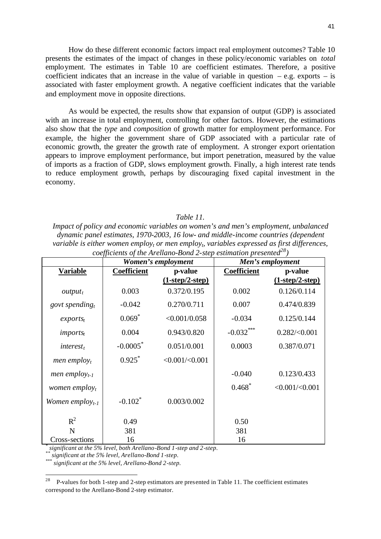How do these different economic factors impact real employment outcomes? Table 10 presents the estimates of the impact of changes in these policy/economic variables on *total* employment. The estimates in Table 10 are coefficient estimates. Therefore, a positive coefficient indicates that an increase in the value of variable in question  $-e.g.$  exports  $-$  is associated with faster employment growth. A negative coefficient indicates that the variable and employment move in opposite directions.

As would be expected, the results show that expansion of output (GDP) is associated with an increase in total employment, controlling for other factors. However, the estimations also show that the *type* and *composition* of growth matter for employment performance. For example, the higher the government share of GDP associated with a particular rate of economic growth, the greater the growth rate of employment. A stronger export orientation appears to improve employment performance, but import penetration, measured by the value of imports as a fraction of GDP, slows employment growth. Finally, a high interest rate tends to reduce employment growth, perhaps by discouraging fixed capital investment in the economy.

### *Table 11.*

*Impact of policy and economic variables on women's and men's employment, unbalanced dynamic panel estimates, 1970-2003, 16 low- and middle-income countries (dependent variable is either women employt or men employt, variables expressed as first differences, coefficients of the Arellano-Bond 2-step estimation presented<sup>28</sup>)*

|                                  |                    | Women's employment  |                    | Men's employment     |
|----------------------------------|--------------------|---------------------|--------------------|----------------------|
| <b>Variable</b>                  | <b>Coefficient</b> | p-value             | <b>Coefficient</b> | p-value              |
|                                  |                    | $(1-step/2-step)$   |                    | $(1-step/2-step)$    |
| $output_t$                       | 0.003              | 0.372/0.195         | 0.002              | 0.126/0.114          |
| govt spending,                   | $-0.042$           | 0.270/0.711         | 0.007              | 0.474/0.839          |
| exports <sub>t</sub>             | $0.069*$           | <0.001/0.058        | $-0.034$           | 0.125/0.144          |
| $imports_t$                      | 0.004              | 0.943/0.820         | $-0.032***$        | $0.282 \times 0.001$ |
| $interest_t$                     | $-0.0005$ *        | 0.051/0.001         | 0.0003             | 0.387/0.071          |
| <i>men employ<sub>t</sub></i>    | $0.925$ *          | $<0.001/\leq 0.001$ |                    |                      |
| men employ $_{t-1}$              |                    |                     | $-0.040$           | 0.123/0.433          |
| <i>women</i> employ <sub>t</sub> |                    |                     | $0.468*$           | $<0.001/\leq 0.001$  |
| Women employ $_{t-1}$            | $-0.102^*$         | 0.003/0.002         |                    |                      |
| $R^2$                            | 0.49               |                     | 0.50               |                      |
| N                                | 381                |                     | 381                |                      |
| Cross-sections                   | 16                 |                     | 16                 |                      |

*\* significant at the 5% level, both Arellano-Bond 1-step and 2-step.*

*\*\* significant at the 5% level, Arellano-Bond 1-step.*

*\*\*\* significant at the 5% level, Arellano-Bond 2-step.*

 $28\,$ <sup>28</sup> P-values for both 1-step and 2-step estimators are presented in Table 11. The coefficient estimates correspond to the Arellano-Bond 2-step estimator.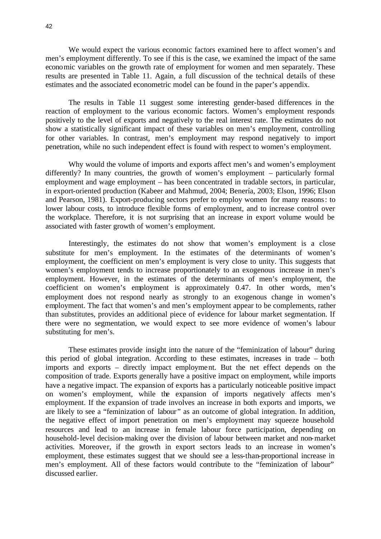We would expect the various economic factors examined here to affect women's and men's employment differently. To see if this is the case, we examined the impact of the same economic variables on the growth rate of employment for women and men separately. These results are presented in Table 11. Again, a full discussion of the technical details of these estimates and the associated econometric model can be found in the paper's appendix.

The results in Table 11 suggest some interesting gender-based differences in the reaction of employment to the various economic factors. Women's employment responds positively to the level of exports and negatively to the real interest rate. The estimates do not show a statistically significant impact of these variables on men's employment, controlling for other variables. In contrast, men's employment may respond negatively to import penetration, while no such independent effect is found with respect to women's employment.

Why would the volume of imports and exports affect men's and women's employment differently? In many countries, the growth of women's employment – particularly formal employment and wage employment – has been concentrated in tradable sectors, in particular, in export-oriented production (Kabeer and Mahmud, 2004; Benería, 2003; Elson, 1996; Elson and Pearson, 1981). Export-producing sectors prefer to employ women for many reasons: to lower labour costs, to introduce flexible forms of employment, and to increase control over the workplace. Therefore, it is not surprising that an increase in export volume would be associated with faster growth of women's employment.

Interestingly, the estimates do not show that women's employment is a close substitute for men's employment. In the estimates of the determinants of women's employment, the coefficient on men's employment is very close to unity. This suggests that women's employment tends to increase proportionately to an exogenous increase in men's employment. However, in the estimates of the determinants of men's employment, the coefficient on women's employment is approximately 0.47. In other words, men's employment does not respond nearly as strongly to an exogenous change in women's employment. The fact that women's and men's employment appear to be complements, rather than substitutes, provides an additional piece of evidence for labour market segmentation. If there were no segmentation, we would expect to see more evidence of women's labour substituting for men's.

These estimates provide insight into the nature of the "feminization of labour" during this period of global integration. According to these estimates, increases in trade – both imports and exports – directly impact employment. But the net effect depends on the composition of trade. Exports generally have a positive impact on employment, while imports have a negative impact. The expansion of exports has a particularly noticeable positive impact on women's employment, while the expansion of imports negatively affects men's employment. If the expansion of trade involves an increase in both exports and imports, we are likely to see a "feminization of labour" as an outcome of global integration. In addition, the negative effect of import penetration on men's employment may squeeze household resources and lead to an increase in female labour force participation, depending on household-level decision-making over the division of labour between market and non-market activities. Moreover, if the growth in export sectors leads to an increase in women's employment, these estimates suggest that we should see a less-than-proportional increase in men's employment. All of these factors would contribute to the "feminization of labour" discussed earlier.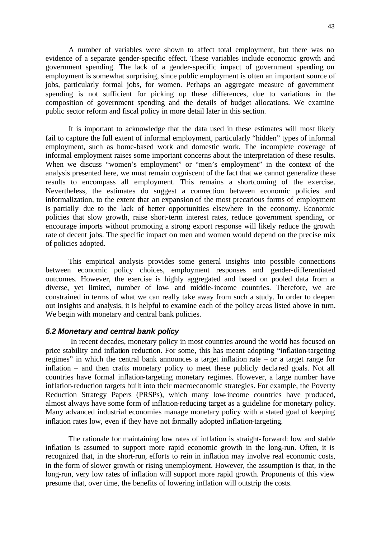A number of variables were shown to affect total employment, but there was no evidence of a separate gender-specific effect. These variables include economic growth and government spending. The lack of a gender-specific impact of government spending on employment is somewhat surprising, since public employment is often an important source of jobs, particularly formal jobs, for women. Perhaps an aggregate measure of government spending is not sufficient for picking up these differences, due to variations in the composition of government spending and the details of budget allocations. We examine public sector reform and fiscal policy in more detail later in this section.

It is important to acknowledge that the data used in these estimates will most likely fail to capture the full extent of informal employment, particularly "hidden" types of informal employment, such as home-based work and domestic work. The incomplete coverage of informal employment raises some important concerns about the interpretation of these results. When we discuss "women's employment" or "men's employment" in the context of the analysis presented here, we must remain cogniscent of the fact that we cannot generalize these results to encompass all employment. This remains a shortcoming of the exercise. Nevertheless, the estimates do suggest a connection between economic policies and informalization, to the extent that an expansion of the most precarious forms of employment is partially due to the lack of better opportunities elsewhere in the economy. Economic policies that slow growth, raise short-term interest rates, reduce government spending, or encourage imports without promoting a strong export response will likely reduce the growth rate of decent jobs. The specific impact on men and women would depend on the precise mix of policies adopted.

This empirical analysis provides some general insights into possible connections between economic policy choices, employment responses and gender-differentiated outcomes. However, the exercise is highly aggregated and based on pooled data from a diverse, yet limited, number of low- and middle-income countries. Therefore, we are constrained in terms of what we can really take away from such a study. In order to deepen out insights and analysis, it is helpful to examine each of the policy areas listed above in turn. We begin with monetary and central bank policies.

#### *5.2 Monetary and central bank policy*

 In recent decades, monetary policy in most countries around the world has focused on price stability and inflation reduction. For some, this has meant adopting "inflation-targeting regimes" in which the central bank announces a target inflation rate – or a target range for inflation – and then crafts monetary policy to meet these publicly decla red goals. Not all countries have formal inflation-targeting monetary regimes. However, a large number have inflation-reduction targets built into their macroeconomic strategies. For example, the Poverty Reduction Strategy Papers (PRSPs), which many low-income countries have produced, almost always have some form of inflation-reducing target as a guideline for monetary policy. Many advanced industrial economies manage monetary policy with a stated goal of keeping inflation rates low, even if they have not formally adopted inflation-targeting.

The rationale for maintaining low rates of inflation is straight-forward: low and stable inflation is assumed to support more rapid economic growth in the long-run. Often, it is recognized that, in the short-run, efforts to rein in inflation may involve real economic costs, in the form of slower growth or rising unemployment. However, the assumption is that, in the long-run, very low rates of inflation will support more rapid growth. Proponents of this view presume that, over time, the benefits of lowering inflation will outstrip the costs.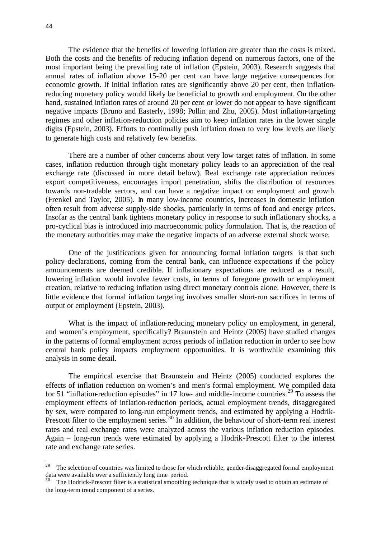l

The evidence that the benefits of lowering inflation are greater than the costs is mixed. Both the costs and the benefits of reducing inflation depend on numerous factors, one of the most important being the prevailing rate of inflation (Epstein, 2003). Research suggests that annual rates of inflation above 15-20 per cent can have large negative consequences for economic growth. If initial inflation rates are significantly above 20 per cent, then inflationreducing monetary policy would likely be beneficial to growth and employment. On the other hand, sustained inflation rates of around 20 per cent or lower do not appear to have significant negative impacts (Bruno and Easterly, 1998; Pollin and Zhu, 2005). Most inflation-targeting regimes and other inflation-reduction policies aim to keep inflation rates in the lower single digits (Epstein, 2003). Efforts to continually push inflation down to very low levels are likely to generate high costs and relatively few benefits.

There are a number of other concerns about very low target rates of inflation. In some cases, inflation reduction through tight monetary policy leads to an appreciation of the real exchange rate (discussed in more detail below). Real exchange rate appreciation reduces export competitiveness, encourages import penetration, shifts the distribution of resources towards non-tradable sectors, and can have a negative impact on employment and growth (Frenkel and Taylor, 2005). In many low-income countries, increases in domestic inflation often result from adverse supply-side shocks, particularly in terms of food and energy prices. Insofar as the central bank tightens monetary policy in response to such inflationary shocks, a pro-cyclical bias is introduced into macroeconomic policy formulation. That is, the reaction of the monetary authorities may make the negative impacts of an adverse external shock worse.

One of the justifications given for announcing formal inflation targets is that such policy declarations, coming from the central bank, can influence expectations if the policy announcements are deemed credible. If inflationary expectations are reduced as a result, lowering inflation would involve fewer costs, in terms of foregone growth or employment creation, relative to reducing inflation using direct monetary controls alone. However, there is little evidence that formal inflation targeting involves smaller short-run sacrifices in terms of output or employment (Epstein, 2003).

What is the impact of inflation-reducing monetary policy on employment, in general, and women's employment, specifically? Braunstein and Heintz (2005) have studied changes in the patterns of formal employment across periods of inflation reduction in order to see how central bank policy impacts employment opportunities. It is worthwhile examining this analysis in some detail.

The empirical exercise that Braunstein and Heintz (2005) conducted explores the effects of inflation reduction on women's and men's formal employment. We compiled data for 51 "inflation-reduction episodes" in 17 low- and middle-income countries.<sup>29</sup> To assess the employment effects of inflation-reduction periods, actual employment trends, disaggregated by sex, were compared to long-run employment trends, and estimated by applying a Hodrik-Prescott filter to the employment series.<sup>30</sup> In addition, the behaviour of short-term real interest rates and real exchange rates were analyzed across the various inflation reduction episodes. Again – long-run trends were estimated by applying a Hodrik-Prescott filter to the interest rate and exchange rate series.

<sup>&</sup>lt;sup>29</sup> The selection of countries was limited to those for which reliable, gender-disaggregated formal employment data were available over a sufficiently long time period.

The Hodrick-Prescott filter is a statistical smoothing technique that is widely used to obtain an estimate of the long-term trend component of a series.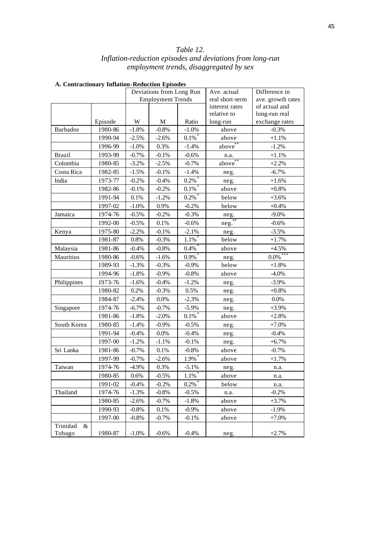## *Table 12. Inflation-reduction episodes and deviations from long-run employment trends, disaggregated by sex*

|                 |         | Deviations from Long Run |                          | Ave. actual        | Difference in         |                   |
|-----------------|---------|--------------------------|--------------------------|--------------------|-----------------------|-------------------|
|                 |         |                          | <b>Employment Trends</b> |                    | real short-term       | ave. growth rates |
|                 |         |                          |                          |                    | interest rates        | of actual and     |
|                 |         |                          |                          |                    | relative to           | long-run real     |
|                 | Episode | W                        | M                        | Ratio              | long-run              | exchange rates    |
| <b>Barbados</b> | 1980-86 | $-1.8%$                  | $-0.8%$                  | $-1.0%$            | above                 | $-0.3%$           |
|                 | 1990-94 | $-2.5%$                  | $-2.6%$                  | $0.1\%$ *          | above                 | $+1.1%$           |
|                 | 1996-99 | $-1.0\%$                 | 0.3%                     | $-1.4%$            | above                 | $-1.2%$           |
| <b>Brazil</b>   | 1993-99 | $-0.7%$                  | $-0.1%$                  | $-0.6%$            | n.a.                  | $+1.1%$           |
| Colombia        | 1980-85 | $-3.2%$                  | $-2.5%$                  | $-0.7%$            | $above$ <sup>**</sup> | $+2.2%$           |
| Costa Rica      | 1982-85 | $-1.5%$                  | $-0.1%$                  | $-1.4%$            | neg.                  | $-6.7\%$          |
| India           | 1973-77 | $-0.2%$                  | $-0.4%$                  | $0.2\overline{\%}$ | neg.                  | $+1.6%$           |
|                 | 1982-86 | $-0.1%$                  | $-0.2%$                  | $0.1\%$            | above                 | $+0.8%$           |
|                 | 1991-94 | 0.1%                     | $-1.2%$                  | $0.2\%$            | below                 | $+3.6%$           |
|                 | 1997-02 | $-1.0%$                  | 0.9%                     | $-0.2%$            | below                 | $+0.4%$           |
| Jamaica         | 1974-76 | $-0.5%$                  | $-0.2%$                  | $-0.3%$            | neg.                  | $-9.0\%$          |
|                 | 1992-00 | $-0.5%$                  | 0.1%                     | $-0.6%$            | neg.                  | $-0.6%$           |
| Kenya           | 1975-80 | $-2.2%$                  | $-0.1%$                  | $-2.1%$            | neg.                  | $-3.5%$           |
|                 | 1981-87 | 0.8%                     | $-0.3%$                  | $1.1\%$            | below                 | $+1.7%$           |
| Malaysia        | 1981-86 | $-0.4%$                  | $-0.8%$                  | $0.4\%$            | above                 | $+4.5%$           |
| Mauritius       | 1980-86 | $-0.6%$                  | $-1.6%$                  | $0.9\%$            | neg.                  | $0.0\%$ ***       |
|                 | 1989-93 | $-1.3%$                  | $-0.3%$                  | $-0.9%$            | below                 | $+1.8%$           |
|                 | 1994-96 | $-1.8%$                  | $-0.9\%$                 | $-0.8%$            | above                 | $-4.0%$           |
| Philippines     | 1973-76 | $-1.6%$                  | $-0.4%$                  | $-1.2%$            | neg.                  | $-3.9%$           |
|                 | 1980-82 | 0.2%                     | $-0.3%$                  | 0.5%               | neg.                  | $+0.8%$           |
|                 | 1984-87 | $-2.4%$                  | 0.0%                     | $-2.3%$            | neg.                  | 0.0%              |
| Singapore       | 1974-76 | $-6.7%$                  | $-0.7%$                  | $-5.9\%$           | neg.                  | $+3.9%$           |
|                 | 1981-86 | $-1.8%$                  | $-2.0%$                  | $0.1\%$            | above                 | $+2.8%$           |
| South Korea     | 1980-85 | $-1.4%$                  | $-0.9\%$                 | $-0.5%$            | neg.                  | $+7.0%$           |
|                 | 1991-94 | $-0.4%$                  | 0.0%                     | $-0.4%$            | neg.                  | $-0.4%$           |
|                 | 1997-00 | $-1.2%$                  | $-1.1%$                  | $-0.1%$            | neg.                  | $+6.7%$           |
| Sri Lanka       | 1981-86 | $-0.7%$                  | 0.1%                     | $-0.8%$            | above                 | $-0.7%$           |
|                 | 1997-99 | $-0.7%$                  | $-2.6%$                  | $1.9\%$            | above                 | $+1.7%$           |
| Taiwan          | 1974-76 | $-4.9%$                  | 0.3%                     | $-5.1%$            | neg.                  | n.a.              |
|                 | 1980-85 | $0.6\%$                  | $-0.5%$                  | $1.1\%$            | above                 | n.a.              |
|                 | 1991-02 | $-0.4\%$                 | $-0.2%$                  | $0.2\%$            | below                 | n.a.              |
| Thailand        | 1974-76 | $-1.3%$                  | $-0.8%$                  | $-0.5\%$           | n.a.                  | $-0.2%$           |
|                 | 1980-85 | $-2.6%$                  | $-0.7%$                  | $-1.8%$            | above                 | $+3.7%$           |
|                 | 1990-93 | $-0.8%$                  | 0.1%                     | $-0.9%$            | above                 | $-1.9%$           |
|                 | 1997-00 | $-0.8\%$                 | $-0.7%$                  | $-0.1%$            | above                 | $+7.0%$           |
| Trinidad<br>&   |         |                          |                          |                    |                       |                   |
| Tobago          | 1980-87 | $-1.0\%$                 | $-0.6%$                  | $-0.4%$            | neg.                  | $+2.7%$           |

## **A. Contractionary Inflation-Reduction Episodes**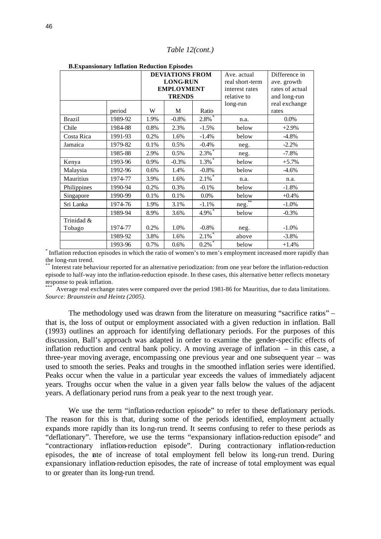| <b>B. Expansionary Inflation Reduction Episodes</b> |         |                        |               |                    |                 |                 |  |  |
|-----------------------------------------------------|---------|------------------------|---------------|--------------------|-----------------|-----------------|--|--|
|                                                     |         | <b>DEVIATIONS FROM</b> |               | Ave. actual        | Difference in   |                 |  |  |
|                                                     |         | <b>LONG-RUN</b>        |               |                    | real short-term | ave. growth     |  |  |
|                                                     |         | <b>EMPLOYMENT</b>      |               |                    | interest rates  | rates of actual |  |  |
|                                                     |         |                        | <b>TRENDS</b> |                    | relative to     | and long-run    |  |  |
|                                                     |         |                        |               |                    | long-run        | real exchange   |  |  |
|                                                     | period  | W                      | М             | Ratio              |                 | rates           |  |  |
| <b>Brazil</b>                                       | 1989-92 | 1.9%                   | $-0.8%$       | $2.8\%$            | n.a.            | 0.0%            |  |  |
| Chile                                               | 1984-88 | 0.8%                   | 2.3%          | $-1.5%$            | below           | $+2.9%$         |  |  |
| Costa Rica                                          | 1991-93 | 0.2%                   | 1.6%          | $-1.4%$            | below           | $-4.8%$         |  |  |
| Jamaica                                             | 1979-82 | 0.1%                   | 0.5%          | $-0.4%$            | neg.            | $-2.2%$         |  |  |
|                                                     | 1985-88 | 2.9%                   | 0.5%          | $2.3\overline{\%}$ | neg.            | $-7.8%$         |  |  |
| Kenya                                               | 1993-96 | 0.9%                   | $-0.3%$       | $1.3\%$            | below           | $+5.7%$         |  |  |
| Malaysia                                            | 1992-96 | 0.6%                   | 1.4%          | $-0.8%$            | below           | $-4.6%$         |  |  |
| Mauritius                                           | 1974-77 | 3.9%                   | 1.6%          | $2.1\%$            | n.a.            | n.a.            |  |  |
| Philippines                                         | 1990-94 | 0.2%                   | 0.3%          | $-0.1%$            | below           | $-1.8%$         |  |  |
| Singapore                                           | 1990-99 | 0.1%                   | 0.1%          | 0.0%               | below           | $+0.4%$         |  |  |
| Sri Lanka                                           | 1974-76 | 1.9%                   | 3.1%          | $-1.1%$            | neg.            | $-1.0\%$        |  |  |
|                                                     | 1989-94 | 8.9%                   | 3.6%          | $4.9\%$ *          | below           | $-0.3%$         |  |  |
| Trinidad &                                          |         |                        |               |                    |                 |                 |  |  |
| Tobago                                              | 1974-77 | 0.2%                   | 1.0%          | $-0.8\%$           | neg.            | $-1.0\%$        |  |  |
|                                                     | 1989-92 | 3.8%                   | 1.6%          | $2.1\%$            | above           | $-3.8%$         |  |  |
|                                                     | 1993-96 | 0.7%                   | 0.6%          | $0.2\%$            | below           | $+1.4%$         |  |  |

**B.Expansionary Inflation Reduction Episodes**

\* Inflation reduction episodes in which the ratio of women's to men's employment increased more rapidly than the long-run trend.

\*\* Interest rate behaviour reported for an alternative periodization: from one year before the inflation-reduction episode to half-way into the inflation-reduction episode. In these cases, this alternative better reflects monetary response to peak inflation.

Average real exchange rates were compared over the period 1981-86 for Mauritius, due to data limitations. *Source: Braunstein and Heintz (2005).*

The methodology used was drawn from the literature on measuring "sacrifice ratios" – that is, the loss of output or employment associated with a given reduction in inflation. Ball (1993) outlines an approach for identifying deflationary periods. For the purposes of this discussion, Ball's approach was adapted in order to examine the gender-specific effects of inflation reduction and central bank policy. A moving average of inflation – in this case, a three-year moving average, encompassing one previous year and one subsequent year – was used to smooth the series. Peaks and troughs in the smoothed inflation series were identified. Peaks occur when the value in a particular year exceeds the values of immediately adjacent years. Troughs occur when the value in a given year falls below the values of the adjacent years. A deflationary period runs from a peak year to the next trough year.

We use the term "inflation-reduction episode" to refer to these deflationary periods. The reason for this is that, during some of the periods identified, employment actually expands more rapidly than its long-run trend. It seems confusing to refer to these periods as "deflationary". Therefore, we use the terms "expansionary inflation-reduction episode" and "contractionary inflation-reduction episode". During contractionary inflation-reduction episodes, the rate of increase of total employment fell below its long-run trend. During expansionary inflation-reduction episodes, the rate of increase of total employment was equal to or greater than its long-run trend.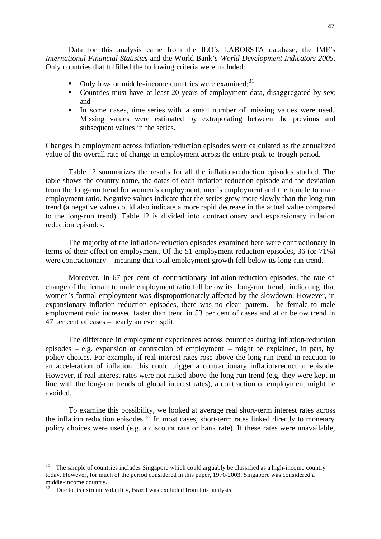Data for this analysis came from the ILO's LABORSTA database, the IMF's *International Financial Statistics* and the World Bank's *World Development Indicators 2005*. Only countries that fulfilled the following criteria were included:

- Only low- or middle-income countries were examined;<sup>31</sup>
- Countries must have at least 20 years of employment data, disaggregated by sex; and
- In some cases, time series with a small number of missing values were used. Missing values were estimated by extrapolating between the previous and subsequent values in the series.

Changes in employment across inflation-reduction episodes were calculated as the annualized value of the overall rate of change in employment across the entire peak-to-trough period.

Table 12 summarizes the results for all the inflation-reduction episodes studied. The table shows the country name, the dates of each inflation-reduction episode and the deviation from the long-run trend for women's employment, men's employment and the female to male employment ratio. Negative values indicate that the series grew more slowly than the long-run trend (a negative value could also indicate a more rapid decrease in the actual value compared to the long-run trend). Table 12 is divided into contractionary and expansionary inflation reduction episodes.

The majority of the inflation-reduction episodes examined here were contractionary in terms of their effect on employment. Of the 51 employment reduction episodes, 36 (or 71%) were contractionary – meaning that total employment growth fell below its long-run trend.

Moreover, in 67 per cent of contractionary inflation-reduction episodes, the rate of change of the female to male employment ratio fell below its long-run trend, indicating that women's formal employment was disproportionately affected by the slowdown. However, in expansionary inflation reduction episodes, there was no clear pattern. The female to male employment ratio increased faster than trend in 53 per cent of cases and at or below trend in 47 per cent of cases – nearly an even split.

The difference in employment experiences across countries during inflation-reduction episodes – e.g. expansion or contraction of employment – might be explained, in part, by policy choices. For example, if real interest rates rose above the long-run trend in reaction to an acceleration of inflation, this could trigger a contractionary inflation-reduction episode. However, if real interest rates were not raised above the long-run trend (e.g. they were kept in line with the long-run trends of global interest rates), a contraction of employment might be avoided.

To examine this possibility, we looked at average real short-term interest rates across the inflation reduction episodes.<sup>32</sup> In most cases, short-term rates linked directly to monetary policy choices were used (e.g. a discount rate or bank rate). If these rates were unavailable,

l

 $31$  The sample of countries includes Singapore which could arguably be classified as a high-income country today. However, for much of the period considered in this paper, 1970-2003, Singapore was considered a middle-income country.

<sup>&</sup>lt;sup>32</sup> Due to its extreme volatility, Brazil was excluded from this analysis.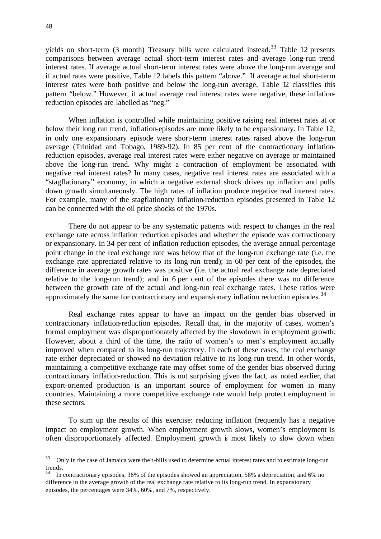yields on short-term  $(3 \text{ month})$  Treasury bills were calculated instead.<sup>33</sup> Table 12 presents comparisons between average actual short-term interest rates and average long-run trend interest rates. If average actual short-term interest rates were above the long-run average and if actual rates were positive, Table 12 labels this pattern "above." If average actual short-term interest rates were both positive and below the long-run average, Table 12 classifies this pattern "below." However, if actual average real interest rates were negative, these inflationreduction episodes are labelled as "neg."

When inflation is controlled while maintaining positive raising real interest rates at or below their long run trend, inflation-episodes are more likely to be expansionary. In Table 12, in only one expansionary episode were short-term interest rates raised above the long-run average (Trinidad and Tobago, 1989-92). In 85 per cent of the contractionary inflationreduction episodes, average real interest rates were either negative on average or maintained above the long-run trend. Why might a contraction of employment be associated with negative real interest rates? In many cases, negative real interest rates are associated with a "stagflationary" economy, in which a negative external shock drives up inflation and pulls down growth simultaneously. The high rates of inflation produce negative real interest rates. For example, many of the stagflationary inflation-reduction episodes presented in Table 12 can be connected with the oil price shocks of the 1970s.

There do not appear to be any systematic patterns with respect to changes in the real exchange rate across inflation reduction episodes and whether the episode was contractionary or expansionary. In 34 per cent of inflation reduction episodes, the average annual percentage point change in the real exchange rate was below that of the long-run exchange rate (i.e. the exchange rate appreciated relative to its long-run trend); in 60 per cent of the episodes, the difference in average growth rates was positive (i.e. the actual real exchange rate depreciated relative to the long-run trend); and in 6 per cent of the episodes there was no difference between the growth rate of the actual and long-run real exchange rates. These ratios were approximately the same for contractionary and expansionary inflation reduction episodes.<sup>34</sup>

Real exchange rates appear to have an impact on the gender bias observed in contractionary inflation-reduction episodes. Recall that, in the majority of cases, women's formal employment was disproportionately affected by the slowdown in employment growth. However, about a third of the time, the ratio of women's to men's employment actually improved when compared to its long-run trajectory. In each of these cases, the real exchange rate either depreciated or showed no deviation relative to its long-run trend. In other words, maintaining a competitive exchange rate may offset some of the gender bias observed during contractionary inflation-reduction. This is not surprising given the fact, as noted earlier, that export-oriented production is an important source of employment for women in many countries. Maintaining a more competitive exchange rate would help protect employment in these sectors.

To sum up the results of this exercise: reducing inflation frequently has a negative impact on employment growth. When employment growth slows, women's employment is often disproportionately affected. Employment growth is most likely to slow down when

<sup>33</sup> <sup>33</sup> Only in the case of Jamaica were the t-bills used to determine actual interest rates and to estimate long-run trends.

<sup>34</sup> In contractionary episodes, 36% of the episodes showed an appreciation, 58% a depreciation, and 6% no difference in the average growth of the real exchange rate relative to its long-run trend. In expansionary episodes, the percentages were 34%, 60%, and 7%, respectively.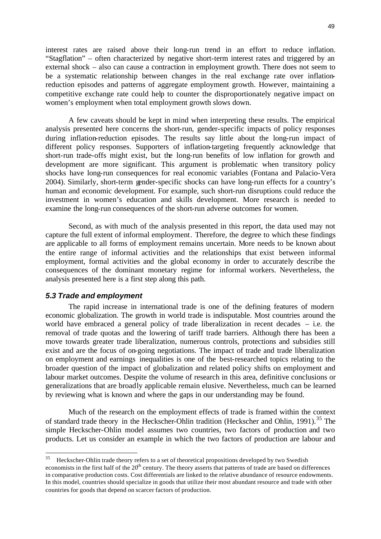interest rates are raised above their long-run trend in an effort to reduce inflation. "Stagflation" – often characterized by negative short-term interest rates and triggered by an external shock – also can cause a contraction in employment growth. There does not seem to be a systematic relationship between changes in the real exchange rate over inflationreduction episodes and patterns of aggregate employment growth. However, maintaining a competitive exchange rate could help to counter the disproportionately negative impact on women's employment when total employment growth slows down.

A few caveats should be kept in mind when interpreting these results. The empirical analysis presented here concerns the short-run, gender-specific impacts of policy responses during inflation-reduction episodes. The results say little about the long-run impact of different policy responses. Supporters of inflation-targeting frequently acknowledge that short-run trade-offs might exist, but the long-run benefits of low inflation for growth and development are more significant. This argument is problematic when transitory policy shocks have long-run consequences for real economic variables (Fontana and Palacio-Vera 2004). Similarly, short-term gender-specific shocks can have long-run effects for a country's human and economic development. For example, such short-run disruptions could reduce the investment in women's education and skills development. More research is needed to examine the long-run consequences of the short-run adverse outcomes for women.

Second, as with much of the analysis presented in this report, the data used may not capture the full extent of informal employment. Therefore, the degree to which these findings are applicable to all forms of employment remains uncertain. More needs to be known about the entire range of informal activities and the relationships that exist between informal employment, formal activities and the global economy in order to accurately describe the consequences of the dominant monetary regime for informal workers. Nevertheless, the analysis presented here is a first step along this path.

#### *5.3 Trade and employment*

l

The rapid increase in international trade is one of the defining features of modern economic globalization. The growth in world trade is indisputable. Most countries around the world have embraced a general policy of trade liberalization in recent decades – i.e. the removal of trade quotas and the lowering of tariff trade barriers. Although there has been a move towards greater trade liberalization, numerous controls, protections and subsidies still exist and are the focus of on-going negotiations. The impact of trade and trade liberalization on employment and earnings inequalities is one of the best-researched topics relating to the broader question of the impact of globalization and related policy shifts on employment and labour market outcomes. Despite the volume of research in this area, definitive conclusions or generalizations that are broadly applicable remain elusive. Nevertheless, much can be learned by reviewing what is known and where the gaps in our understanding may be found.

Much of the research on the employment effects of trade is framed within the context of standard trade theory in the Heckscher-Ohlin tradition (Heckscher and Ohlin, 1991).<sup>35</sup> The simple Heckscher-Ohlin model assumes two countries, two factors of production and two products. Let us consider an example in which the two factors of production are labour and

<sup>35</sup> Heckscher-Ohlin trade theory refers to a set of theoretical propositions developed by two Swedish economists in the first half of the  $20<sup>th</sup>$  century. The theory asserts that patterns of trade are based on differences in comparative production costs. Cost differentials are linked to the relative abundance of resource endowments. In this model, countries should specialize in goods that utilize their most abundant resource and trade with other countries for goods that depend on scarcer factors of production.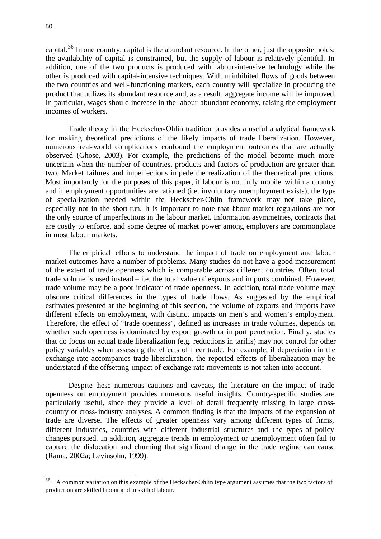capital.<sup>36</sup> In one country, capital is the abundant resource. In the other, just the opposite holds: the availability of capital is constrained, but the supply of labour is relatively plentiful. In addition, one of the two products is produced with labour-intensive technology while the other is produced with capital-intensive techniques. With uninhibited flows of goods between the two countries and well-functioning markets, each country will specialize in producing the product that utilizes its abundant resource and, as a result, aggregate income will be improved. In particular, wages should increase in the labour-abundant economy, raising the employment incomes of workers.

Trade theory in the Heckscher-Ohlin tradition provides a useful analytical framework for making theoretical predictions of the likely impacts of trade liberalization. However, numerous real-world complications confound the employment outcomes that are actually observed (Ghose, 2003). For example, the predictions of the model become much more uncertain when the number of countries, products and factors of production are greater than two. Market failures and imperfections impede the realization of the theoretical predictions. Most importantly for the purposes of this paper, if labour is not fully mobile within a country and if employment opportunities are rationed (i.e. involuntary unemployment exists), the type of specialization needed within the Heckscher-Ohlin framework may not take place, especially not in the short-run. It is important to note that labour market regulations are not the only source of imperfections in the labour market. Information asymmetries, contracts that are costly to enforce, and some degree of market power among employers are commonplace in most labour markets.

The empirical efforts to understand the impact of trade on employment and labour market outcomes have a number of problems. Many studies do not have a good measurement of the extent of trade openness which is comparable across different countries. Often, total trade volume is used instead – i.e. the total value of exports and imports combined. However, trade volume may be a poor indicator of trade openness. In addition, total trade volume may obscure critical differences in the types of trade flows. As suggested by the empirical estimates presented at the beginning of this section, the volume of exports and imports have different effects on employment, with distinct impacts on men's and women's employment. Therefore, the effect of "trade openness", defined as increases in trade volumes, depends on whether such openness is dominated by export growth or import penetration. Finally, studies that do focus on actual trade liberalization (e.g. reductions in tariffs) may not control for other policy variables when assessing the effects of freer trade. For example, if depreciation in the exchange rate accompanies trade liberalization, the reported effects of liberalization may be understated if the offsetting impact of exchange rate movements is not taken into account.

Despite these numerous cautions and caveats, the literature on the impact of trade openness on employment provides numerous useful insights. Country-specific studies are particularly useful, since they provide a level of detail frequently missing in large crosscountry or cross-industry analyses. A common finding is that the impacts of the expansion of trade are diverse. The effects of greater openness vary among different types of firms, different industries, countries with different industrial structures and the types of policy changes pursued. In addition, aggregate trends in employment or unemployment often fail to capture the dislocation and churning that significant change in the trade regime can cause (Rama, 2002a; Levinsohn, 1999).

<sup>36</sup> <sup>36</sup> A common variation on this example of the Heckscher-Ohlin type argument assumes that the two factors of production are skilled labour and unskilled labour.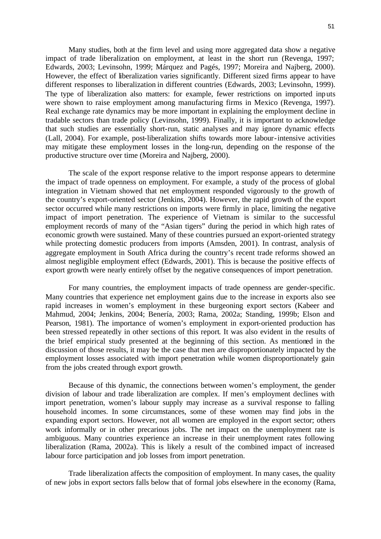Many studies, both at the firm level and using more aggregated data show a negative impact of trade liberalization on employment, at least in the short run (Revenga, 1997; Edwards, 2003; Levinsohn, 1999; Márquez and Pagés, 1997; Moreira and Najberg, 2000). However, the effect of liberalization varies significantly. Different sized firms appear to have different responses to liberalization in different countries (Edwards, 2003; Levinsohn, 1999). The type of liberalization also matters: for example, fewer restrictions on imported inputs were shown to raise employment among manufacturing firms in Mexico (Revenga, 1997). Real exchange rate dynamics may be more important in explaining the employment decline in tradable sectors than trade policy (Levinsohn, 1999). Finally, it is important to acknowledge that such studies are essentially short-run, static analyses and may ignore dynamic effects (Lall, 2004). For example, post-liberalization shifts towards more labour-intensive activities may mitigate these employment losses in the long-run, depending on the response of the productive structure over time (Moreira and Najberg, 2000).

The scale of the export response relative to the import response appears to determine the impact of trade openness on employment. For example, a study of the process of global integration in Vietnam showed that net employment responded vigorously to the growth of the country's export-oriented sector (Jenkins, 2004). However, the rapid growth of the export sector occurred while many restrictions on imports were firmly in place, limiting the negative impact of import penetration. The experience of Vietnam is similar to the successful employment records of many of the "Asian tigers" during the period in which high rates of economic growth were sustained. Many of these countries pursued an export-oriented strategy while protecting domestic producers from imports (Amsden, 2001). In contrast, analysis of aggregate employment in South Africa during the country's recent trade reforms showed an almost negligible employment effect (Edwards, 2001). This is because the positive effects of export growth were nearly entirely offset by the negative consequences of import penetration.

For many countries, the employment impacts of trade openness are gender-specific. Many countries that experience net employment gains due to the increase in exports also see rapid increases in women's employment in these burgeoning export sectors (Kabeer and Mahmud, 2004; Jenkins, 2004; Benería, 2003; Rama, 2002a; Standing, 1999b; Elson and Pearson, 1981). The importance of women's employment in export-oriented production has been stressed repeatedly in other sections of this report. It was also evident in the results of the brief empirical study presented at the beginning of this section. As mentioned in the discussion of those results, it may be the case that men are disproportionately impacted by the employment losses associated with import penetration while women disproportionately gain from the jobs created through export growth.

Because of this dynamic, the connections between women's employment, the gender division of labour and trade liberalization are complex. If men's employment declines with import penetration, women's labour supply may increase as a survival response to falling household incomes. In some circumstances, some of these women may find jobs in the expanding export sectors. However, not all women are employed in the export sector; others work informally or in other precarious jobs. The net impact on the unemployment rate is ambiguous. Many countries experience an increase in their unemployment rates following liberalization (Rama, 2002a). This is likely a result of the combined impact of increased labour force participation and job losses from import penetration.

Trade liberalization affects the composition of employment. In many cases, the quality of new jobs in export sectors falls below that of formal jobs elsewhere in the economy (Rama,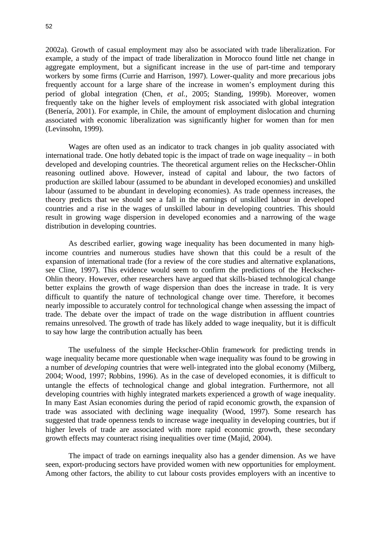2002a). Growth of casual employment may also be associated with trade liberalization. For example, a study of the impact of trade liberalization in Morocco found little net change in aggregate employment, but a significant increase in the use of part-time and temporary workers by some firms (Currie and Harrison, 1997). Lower-quality and more precarious jobs frequently account for a large share of the increase in women's employment during this period of global integration (Chen, *et al.*, 2005; Standing, 1999b). Moreover, women frequently take on the higher levels of employment risk associated with global integration (Benería, 2001). For example, in Chile, the amount of employment dislocation and churning associated with economic liberalization was significantly higher for women than for men (Levinsohn, 1999).

Wages are often used as an indicator to track changes in job quality associated with international trade. One hotly debated topic is the impact of trade on wage inequality – in both developed and developing countries. The theoretical argument relies on the Heckscher-Ohlin reasoning outlined above. However, instead of capital and labour, the two factors of production are skilled labour (assumed to be abundant in developed economies) and unskilled labour (assumed to be abundant in developing economies). As trade openness increases, the theory predicts that we should see a fall in the earnings of unskilled labour in developed countries and a rise in the wages of unskilled labour in developing countries. This should result in growing wage dispersion in developed economies and a narrowing of the wage distribution in developing countries.

As described earlier, growing wage inequality has been documented in many highincome countries and numerous studies have shown that this could be a result of the expansion of international trade (for a review of the core studies and alternative explanations, see Cline, 1997). This evidence would seem to confirm the predictions of the Heckscher-Ohlin theory. However, other researchers have argued that skills-biased technological change better explains the growth of wage dispersion than does the increase in trade. It is very difficult to quantify the nature of technological change over time. Therefore, it becomes nearly impossible to accurately control for technological change when assessing the impact of trade. The debate over the impact of trade on the wage distribution in affluent countries remains unresolved. The growth of trade has likely added to wage inequality, but it is difficult to say how large the contribution actually has been.

The usefulness of the simple Heckscher-Ohlin framework for predicting trends in wage inequality became more questionable when wage inequality was found to be growing in a number of *developing* countries that were well-integrated into the global economy (Milberg, 2004; Wood, 1997; Robbins, 1996). As in the case of developed economies, it is difficult to untangle the effects of technological change and global integration. Furthermore, not all developing countries with highly integrated markets experienced a growth of wage inequality. In many East Asian economies during the period of rapid economic growth, the expansion of trade was associated with declining wage inequality (Wood, 1997). Some research has suggested that trade openness tends to increase wage inequality in developing countries, but if higher levels of trade are associated with more rapid economic growth, these secondary growth effects may counteract rising inequalities over time (Majid, 2004).

The impact of trade on earnings inequality also has a gender dimension. As we have seen, export-producing sectors have provided women with new opportunities for employment. Among other factors, the ability to cut labour costs provides employers with an incentive to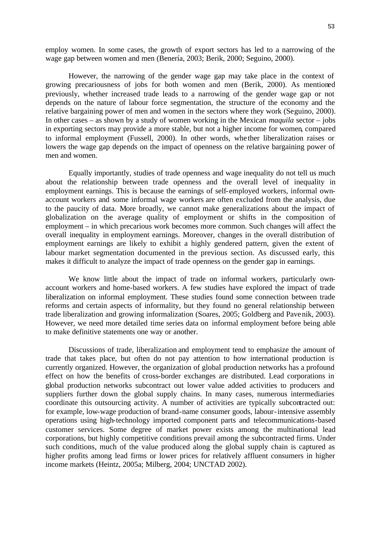employ women. In some cases, the growth of export sectors has led to a narrowing of the wage gap between women and men (Benería, 2003; Berik, 2000; Seguino, 2000).

However, the narrowing of the gender wage gap may take place in the context of growing precariousness of jobs for both women and men (Berik, 2000). As mentioned previously, whether increased trade leads to a narrowing of the gender wage gap or not depends on the nature of labour force segmentation, the structure of the economy and the relative bargaining power of men and women in the sectors where they work (Seguino, 2000). In other cases – as shown by a study of women working in the Mexican *maquila* sector – jobs in exporting sectors may provide a more stable, but not a higher income for women, compared to informal employment (Fussell, 2000). In other words, whe ther liberalization raises or lowers the wage gap depends on the impact of openness on the relative bargaining power of men and women.

Equally importantly, studies of trade openness and wage inequality do not tell us much about the relationship between trade openness and the overall level of inequality in employment earnings. This is because the earnings of self-employed workers, informal ownaccount workers and some informal wage workers are often excluded from the analysis, due to the paucity of data. More broadly, we cannot make generalizations about the impact of globalization on the average quality of employment or shifts in the composition of employment – in which precarious work becomes more common. Such changes will affect the overall inequality in employment earnings. Moreover, changes in the overall distribution of employment earnings are likely to exhibit a highly gendered pattern, given the extent of labour market segmentation documented in the previous section. As discussed early, this makes it difficult to analyze the impact of trade openness on the gender gap in earnings.

We know little about the impact of trade on informal workers, particularly ownaccount workers and home-based workers. A few studies have explored the impact of trade liberalization on informal employment. These studies found some connection between trade reforms and certain aspects of informality, but they found no general relationship between trade liberalization and growing informalization (Soares, 2005; Goldberg and Pavenik, 2003). However, we need more detailed time series data on informal employment before being able to make definitive statements one way or another.

Discussions of trade, liberalization and employment tend to emphasize the amount of trade that takes place, but often do not pay attention to how international production is currently organized. However, the organization of global production networks has a profound effect on how the benefits of cross-border exchanges are distributed. Lead corporations in global production networks subcontract out lower value added activities to producers and suppliers further down the global supply chains. In many cases, numerous intermediaries coordinate this outsourcing activity. A number of activities are typically subcontracted out: for example, low-wage production of brand-name consumer goods, labour-intensive assembly operations using high-technology imported component parts and telecommunications-based customer services. Some degree of market power exists among the multinational lead corporations, but highly competitive conditions prevail among the subcontracted firms. Under such conditions, much of the value produced along the global supply chain is captured as higher profits among lead firms or lower prices for relatively affluent consumers in higher income markets (Heintz, 2005a; Milberg, 2004; UNCTAD 2002).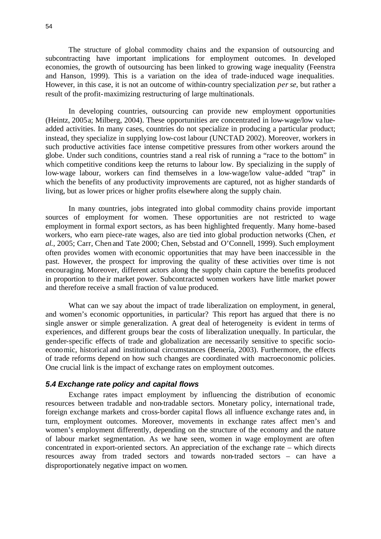The structure of global commodity chains and the expansion of outsourcing and subcontracting have important implications for employment outcomes. In developed economies, the growth of outsourcing has been linked to growing wage inequality (Feenstra and Hanson, 1999). This is a variation on the idea of trade-induced wage inequalities. However, in this case, it is not an outcome of within-country specialization *per se*, but rather a result of the profit-maximizing restructuring of large multinationals.

In developing countries, outsourcing can provide new employment opportunities (Heintz, 2005a; Milberg, 2004). These opportunities are concentrated in low-wage/low valueadded activities. In many cases, countries do not specialize in producing a particular product; instead, they specialize in supplying low-cost labour (UNCTAD 2002). Moreover, workers in such productive activities face intense competitive pressures from other workers around the globe. Under such conditions, countries stand a real risk of running a "race to the bottom" in which competitive conditions keep the returns to labour low. By specializing in the supply of low-wage labour, workers can find themselves in a low-wage/low value-added "trap" in which the benefits of any productivity improvements are captured, not as higher standards of living, but as lower prices or higher profits elsewhere along the supply chain.

In many countries, jobs integrated into global commodity chains provide important sources of employment for women. These opportunities are not restricted to wage employment in formal export sectors, as has been highlighted frequently. Many home-based workers, who earn piece-rate wages, also are tied into global production networks (Chen, *et al.*, 2005; Carr, Chen and Tate 2000; Chen, Sebstad and O'Connell, 1999). Such employment often provides women with economic opportunities that may have been inaccessible in the past. However, the prospect for improving the quality of these activities over time is not encouraging. Moreover, different actors along the supply chain capture the benefits produced in proportion to the ir market power. Subcontracted women workers have little market power and therefore receive a small fraction of va lue produced.

What can we say about the impact of trade liberalization on employment, in general, and women's economic opportunities, in particular? This report has argued that there is no single answer or simple generalization. A great deal of heterogeneity is evident in terms of experiences, and different groups bear the costs of liberalization unequally. In particular, the gender-specific effects of trade and globalization are necessarily sensitive to specific socioeconomic, historical and institutional circumstances (Benería, 2003). Furthermore, the effects of trade reforms depend on how such changes are coordinated with macroeconomic policies. One crucial link is the impact of exchange rates on employment outcomes.

#### *5.4 Exchange rate policy and capital flows*

Exchange rates impact employment by influencing the distribution of economic resources between tradable and non-tradable sectors. Monetary policy, international trade, foreign exchange markets and cross-border capital flows all influence exchange rates and, in turn, employment outcomes. Moreover, movements in exchange rates affect men's and women's employment differently, depending on the structure of the economy and the nature of labour market segmentation. As we have seen, women in wage employment are often concentrated in export-oriented sectors. An appreciation of the exchange rate – which directs resources away from traded sectors and towards non-traded sectors – can have a disproportionately negative impact on women.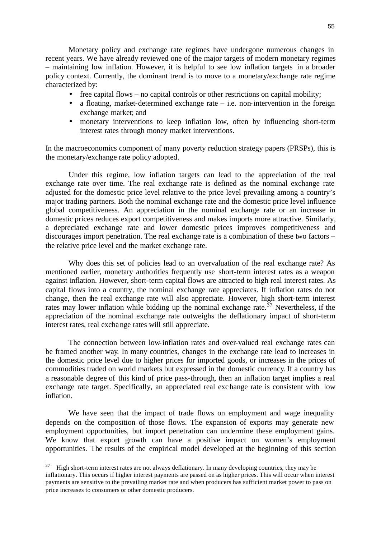Monetary policy and exchange rate regimes have undergone numerous changes in recent years. We have already reviewed one of the major targets of modern monetary regimes – maintaining low inflation. However, it is helpful to see low inflation targets in a broader policy context. Currently, the dominant trend is to move to a monetary/exchange rate regime characterized by:

- free capital flows no capital controls or other restrictions on capital mobility;
- a floating, market-determined exchange rate  $-$  i.e. non-intervention in the foreign exchange market; and
- monetary interventions to keep inflation low, often by influencing short-term interest rates through money market interventions.

In the macroeconomics component of many poverty reduction strategy papers (PRSPs), this is the monetary/exchange rate policy adopted.

Under this regime, low inflation targets can lead to the appreciation of the real exchange rate over time. The real exchange rate is defined as the nominal exchange rate adjusted for the domestic price level relative to the price level prevailing among a country's major trading partners. Both the nominal exchange rate and the domestic price level influence global competitiveness. An appreciation in the nominal exchange rate or an increase in domestic prices reduces export competitiveness and makes imports more attractive. Similarly, a depreciated exchange rate and lower domestic prices improves competitiveness and discourages import penetration. The real exchange rate is a combination of these two factors – the relative price level and the market exchange rate.

Why does this set of policies lead to an overvaluation of the real exchange rate? As mentioned earlier, monetary authorities frequently use short-term interest rates as a weapon against inflation. However, short-term capital flows are attracted to high real interest rates. As capital flows into a country, the nominal exchange rate appreciates. If inflation rates do not change, then the real exchange rate will also appreciate. However, high short-term interest rates may lower inflation while bidding up the nominal exchange rate.<sup>37</sup> Nevertheless, if the appreciation of the nominal exchange rate outweighs the deflationary impact of short-term interest rates, real exchange rates will still appreciate.

The connection between low-inflation rates and over-valued real exchange rates can be framed another way. In many countries, changes in the exchange rate lead to increases in the domestic price level due to higher prices for imported goods, or increases in the prices of commodities traded on world markets but expressed in the domestic currency. If a country has a reasonable degree of this kind of price pass-through, then an inflation target implies a real exchange rate target. Specifically, an appreciated real exchange rate is consistent with low inflation.

We have seen that the impact of trade flows on employment and wage inequality depends on the composition of those flows. The expansion of exports may generate new employment opportunities, but import penetration can undermine these employment gains. We know that export growth can have a positive impact on women's employment opportunities. The results of the empirical model developed at the beginning of this section

l

 $37$  High short-term interest rates are not always deflationary. In many developing countries, they may be inflationary. This occurs if higher interest payments are passed on as higher prices. This will occur when interest payments are sensitive to the prevailing market rate and when producers has sufficient market power to pass on price increases to consumers or other domestic producers.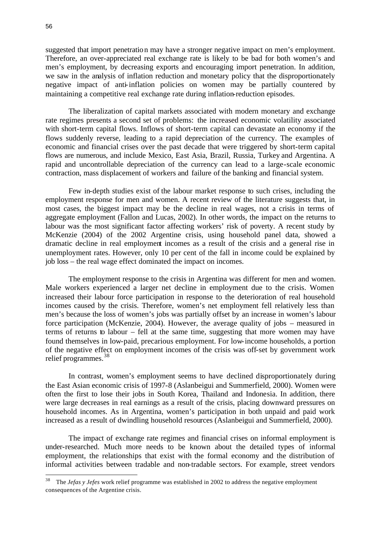suggested that import penetration may have a stronger negative impact on men's employment. Therefore, an over-appreciated real exchange rate is likely to be bad for both women's and men's employment, by decreasing exports and encouraging import penetration. In addition, we saw in the analysis of inflation reduction and monetary policy that the disproportionately negative impact of anti-inflation policies on women may be partially countered by maintaining a competitive real exchange rate during inflation-reduction episodes.

The liberalization of capital markets associated with modern monetary and exchange rate regimes presents a second set of problems: the increased economic volatility associated with short-term capital flows. Inflows of short-term capital can devastate an economy if the flows suddenly reverse, leading to a rapid depreciation of the currency. The examples of economic and financial crises over the past decade that were triggered by short-term capital flows are numerous, and include Mexico, East Asia, Brazil, Russia, Turkey and Argentina. A rapid and uncontrollable depreciation of the currency can lead to a large-scale economic contraction, mass displacement of workers and failure of the banking and financial system.

Few in-depth studies exist of the labour market response to such crises, including the employment response for men and women. A recent review of the literature suggests that, in most cases, the biggest impact may be the decline in real wages, not a crisis in terms of aggregate employment (Fallon and Lucas, 2002). In other words, the impact on the returns to labour was the most significant factor affecting workers' risk of poverty. A recent study by McKenzie (2004) of the 2002 Argentine crisis, using household panel data, showed a dramatic decline in real employment incomes as a result of the crisis and a general rise in unemployment rates. However, only 10 per cent of the fall in income could be explained by job loss – the real wage effect dominated the impact on incomes.

The employment response to the crisis in Argentina was different for men and women. Male workers experienced a larger net decline in employment due to the crisis. Women increased their labour force participation in response to the deterioration of real household incomes caused by the crisis. Therefore, women's net employment fell relatively less than men's because the loss of women's jobs was partially offset by an increase in women's labour force participation (McKenzie, 2004). However, the average quality of jobs – measured in terms of returns to labour – fell at the same time, suggesting that more women may have found themselves in low-paid, precarious employment. For low-income households, a portion of the negative effect on employment incomes of the crisis was off-set by government work relief programmes.<sup>38</sup>

In contrast, women's employment seems to have declined disproportionately during the East Asian economic crisis of 1997-8 (Aslanbeigui and Summerfield, 2000). Women were often the first to lose their jobs in South Korea, Thailand and Indonesia. In addition, there were large decreases in real earnings as a result of the crisis, placing downward pressures on household incomes. As in Argentina, women's participation in both unpaid and paid work increased as a result of dwindling household resources (Aslanbeigui and Summerfield, 2000).

The impact of exchange rate regimes and financial crises on informal employment is under-researched. Much more needs to be known about the detailed types of informal employment, the relationships that exist with the formal economy and the distribution of informal activities between tradable and non-tradable sectors. For example, street vendors

<sup>38</sup> <sup>38</sup> The *Jefas y Jefes* work relief programme was established in 2002 to address the negative employment consequences of the Argentine crisis.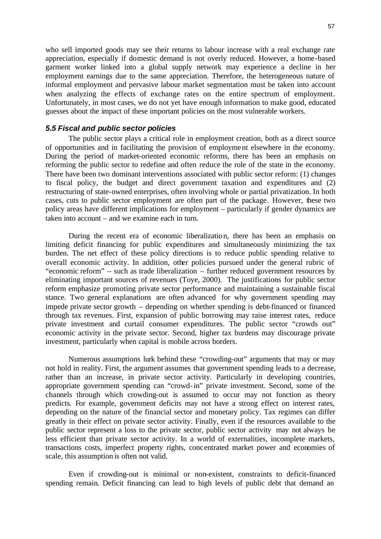who sell imported goods may see their returns to labour increase with a real exchange rate appreciation, especially if domestic demand is not overly reduced. However, a home-based garment worker linked into a global supply network may experience a decline in her employment earnings due to the same appreciation. Therefore, the heterogeneous nature of informal employment and pervasive labour market segmentation must be taken into account when analyzing the effects of exchange rates on the entire spectrum of employment. Unfortunately, in most cases, we do not yet have enough information to make good, educated guesses about the impact of these important policies on the most vulnerable workers.

#### *5.5 Fiscal and public sector policies*

The public sector plays a critical role in employment creation, both as a direct source of opportunities and in facilitating the provision of employment elsewhere in the economy. During the period of market-oriented economic reforms, there has been an emphasis on reforming the public sector to redefine and often reduce the role of the state in the economy. There have been two dominant interventions associated with public sector reform: (1) changes to fiscal policy, the budget and direct government taxation and expenditures and (2) restructuring of state-owned enterprises, often involving whole or partial privatization. In both cases, cuts to public sector employment are often part of the package. However, these two policy areas have different implications for employment – particularly if gender dynamics are taken into account – and we examine each in turn.

During the recent era of economic liberalization, there has been an emphasis on limiting deficit financing for public expenditures and simultaneously minimizing the tax burden. The net effect of these policy directions is to reduce public spending relative to overall economic activity. In addition, other policies pursued under the general rubric of "economic reform" – such as trade liberalization – further reduced government resources by eliminating important sources of revenues (Toye, 2000). The justifications for public sector reform emphasize promoting private sector performance and maintaining a sustainable fiscal stance. Two general explanations are often advanced for why government spending may impede private sector growth – depending on whether spending is debt-financed or financed through tax revenues. First, expansion of public borrowing may raise interest rates, reduce private investment and curtail consumer expenditures. The public sector "crowds out" economic activity in the private sector. Second, higher tax burdens may discourage private investment, particularly when capital is mobile across borders.

Numerous assumptions lurk behind these "crowding-out" arguments that may or may not hold in reality. First, the argument assumes that government spending leads to a decrease, rather than an increase, in private sector activity. Particularly in developing countries, appropriate government spending can "crowd-in" private investment. Second, some of the channels through which crowding-out is assumed to occur may not function as theory predicts. For example, government deficits may not have a strong effect on interest rates, depending on the nature of the financial sector and monetary policy. Tax regimes can differ greatly in their effect on private sector activity. Finally, even if the resources available to the public sector represent a loss to the private sector, public sector activity may not always be less efficient than private sector activity. In a world of externalities, incomplete markets, transactions costs, imperfect property rights, conc entrated market power and economies of scale, this assumption is often not valid.

Even if crowding-out is minimal or non-existent, constraints to deficit-financed spending remain. Deficit financing can lead to high levels of public debt that demand an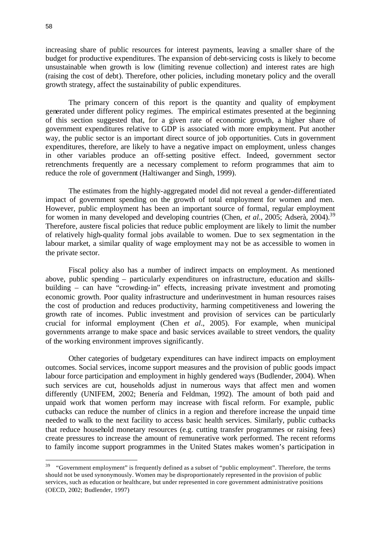increasing share of public resources for interest payments, leaving a smaller share of the budget for productive expenditures. The expansion of debt-servicing costs is likely to become unsustainable when growth is low (limiting revenue collection) and interest rates are high (raising the cost of debt). Therefore, other policies, including monetary policy and the overall growth strategy, affect the sustainability of public expenditures.

The primary concern of this report is the quantity and quality of employment generated under different policy regimes. The empirical estimates presented at the beginning of this section suggested that, for a given rate of economic growth, a higher share of government expenditures relative to GDP is associated with more employment. Put another way, the public sector is an important direct source of job opportunities. Cuts in government expenditures, therefore, are likely to have a negative impact on employment, unless changes in other variables produce an off-setting positive effect. Indeed, government sector retrenchments frequently are a necessary complement to reform programmes that aim to reduce the role of government (Haltiwanger and Singh, 1999).

The estimates from the highly-aggregated model did not reveal a gender-differentiated impact of government spending on the growth of total employment for women and men. However, public employment has been an important source of formal, regular employment for women in many developed and developing countries (Chen, *et al.*, 2005; Adserà, 2004).<sup>39</sup> Therefore, austere fiscal policies that reduce public employment are likely to limit the number of relatively high-quality formal jobs available to women. Due to sex segmentation in the labour market, a similar quality of wage employment may not be as accessible to women in the private sector.

Fiscal policy also has a number of indirect impacts on employment. As mentioned above, public spending – particularly expenditures on infrastructure, education and skillsbuilding – can have "crowding-in" effects, increasing private investment and promoting economic growth. Poor quality infrastructure and underinvestment in human resources raises the cost of production and reduces productivity, harming competitiveness and lowering the growth rate of incomes. Public investment and provision of services can be particularly crucial for informal employment (Chen *et al*., 2005). For example, when municipal governments arrange to make space and basic services available to street vendors, the quality of the working environment improves significantly.

Other categories of budgetary expenditures can have indirect impacts on employment outcomes. Social services, income support measures and the provision of public goods impact labour force participation and employment in highly gendered ways (Budlender, 2004). When such services are cut, households adjust in numerous ways that affect men and women differently (UNIFEM, 2002; Benería and Feldman, 1992). The amount of both paid and unpaid work that women perform may increase with fiscal reform. For example, public cutbacks can reduce the number of clinics in a region and therefore increase the unpaid time needed to walk to the next facility to access basic health services. Similarly, public cutbacks that reduce household monetary resources (e.g. cutting transfer programmes or raising fees) create pressures to increase the amount of remunerative work performed. The recent reforms to family income support programmes in the United States makes women's participation in

l

 $39$  "Government employment" is frequently defined as a subset of "public employment". Therefore, the terms should not be used synonymously. Women may be disproportionately represented in the provision of public services, such as education or healthcare, but under represented in core government administrative positions (OECD, 2002; Budlender, 1997)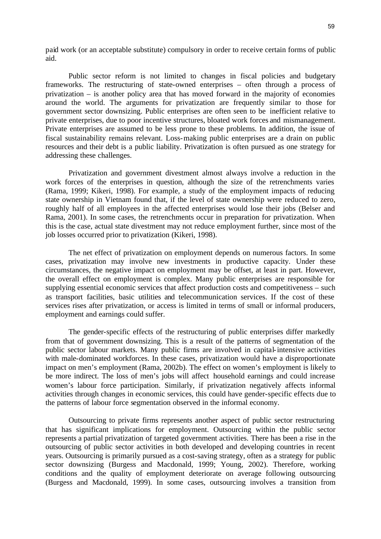paid work (or an acceptable substitute) compulsory in order to receive certain forms of public aid.

Public sector reform is not limited to changes in fiscal policies and budgetary frameworks. The restructuring of state-owned enterprises – often through a process of privatization – is another policy area that has moved forward in the majority of economies around the world. The arguments for privatization are frequently similar to those for government sector downsizing. Public enterprises are often seen to be inefficient relative to private enterprises, due to poor incentive structures, bloated work forces and mismanagement. Private enterprises are assumed to be less prone to these problems. In addition, the issue of fiscal sustainability remains relevant. Loss-making public enterprises are a drain on public resources and their debt is a public liability. Privatization is often pursued as one strategy for addressing these challenges.

Privatization and government divestment almost always involve a reduction in the work forces of the enterprises in question, although the size of the retrenchments varies (Rama, 1999; Kikeri, 1998). For example, a study of the employment impacts of reducing state ownership in Vietnam found that, if the level of state ownership were reduced to zero, roughly half of all employees in the affected enterprises would lose their jobs (Belser and Rama, 2001). In some cases, the retrenchments occur in preparation for privatization. When this is the case, actual state divestment may not reduce employment further, since most of the job losses occurred prior to privatization (Kikeri, 1998).

The net effect of privatization on employment depends on numerous factors. In some cases, privatization may involve new investments in productive capacity. Under these circumstances, the negative impact on employment may be offset, at least in part. However, the overall effect on employment is complex. Many public enterprises are responsible for supplying essential economic services that affect production costs and competitiveness – such as transport facilities, basic utilities and telecommunication services. If the cost of these services rises after privatization, or access is limited in terms of small or informal producers, employment and earnings could suffer.

The gender-specific effects of the restructuring of public enterprises differ markedly from that of government downsizing. This is a result of the patterns of segmentation of the public sector labour markets. Many public firms are involved in capital-intensive activities with male-dominated workforces. In these cases, privatization would have a disproportionate impact on men's employment (Rama, 2002b). The effect on women's employment is likely to be more indirect. The loss of men's jobs will affect household earnings and could increase women's labour force participation. Similarly, if privatization negatively affects informal activities through changes in economic services, this could have gender-specific effects due to the patterns of labour force segmentation observed in the informal economy.

Outsourcing to private firms represents another aspect of public sector restructuring that has significant implications for employment. Outsourcing within the public sector represents a partial privatization of targeted government activities. There has been a rise in the outsourcing of public sector activities in both developed and developing countries in recent years. Outsourcing is primarily pursued as a cost-saving strategy, often as a strategy for public sector downsizing (Burgess and Macdonald, 1999; Young, 2002). Therefore, working conditions and the quality of employment deteriorate on average following outsourcing (Burgess and Macdonald, 1999). In some cases, outsourcing involves a transition from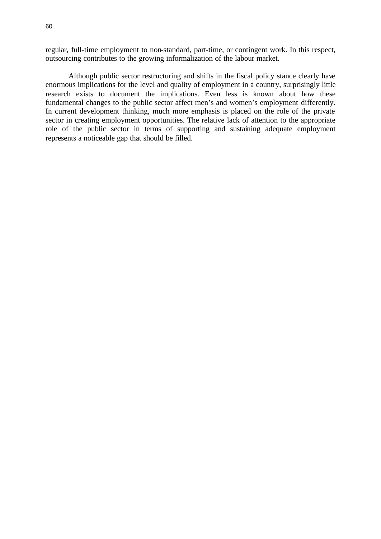regular, full-time employment to non-standard, part-time, or contingent work. In this respect, outsourcing contributes to the growing informalization of the labour market.

Although public sector restructuring and shifts in the fiscal policy stance clearly have enormous implications for the level and quality of employment in a country, surprisingly little research exists to document the implications. Even less is known about how these fundamental changes to the public sector affect men's and women's employment differently. In current development thinking, much more emphasis is placed on the role of the private sector in creating employment opportunities. The relative lack of attention to the appropriate role of the public sector in terms of supporting and sustaining adequate employment represents a noticeable gap that should be filled.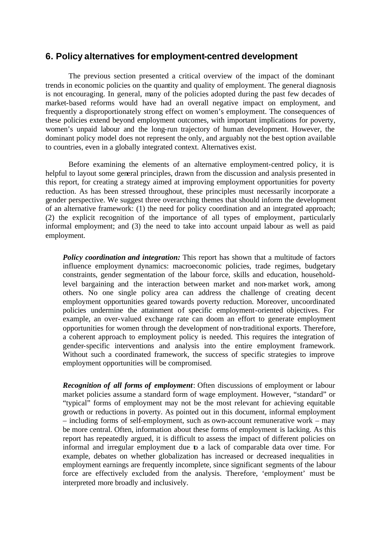## **6. Policy alternatives for employment-centred development**

The previous section presented a critical overview of the impact of the dominant trends in economic policies on the quantity and quality of employment. The general diagnosis is not encouraging. In general, many of the policies adopted during the past few decades of market-based reforms would have had an overall negative impact on employment, and frequently a disproportionately strong effect on women's employment. The consequences of these policies extend beyond employment outcomes, with important implications for poverty, women's unpaid labour and the long-run trajectory of human development. However, the dominant policy model does not represent the only, and arguably not the best option available to countries, even in a globally integrated context. Alternatives exist.

Before examining the elements of an alternative employment-centred policy, it is helpful to layout some general principles, drawn from the discussion and analysis presented in this report, for creating a strategy aimed at improving employment opportunities for poverty reduction. As has been stressed throughout, these principles must necessarily incorporate a gender perspective. We suggest three overarching themes that should inform the development of an alternative framework: (1) the need for policy coordination and an integrated approach; (2) the explicit recognition of the importance of all types of employment, particularly informal employment; and (3) the need to take into account unpaid labour as well as paid employment.

*Policy coordination and integration:* This report has shown that a multitude of factors influence employment dynamics: macroeconomic policies, trade regimes, budgetary constraints, gender segmentation of the labour force, skills and education, householdlevel bargaining and the interaction between market and non-market work, among others. No one single policy area can address the challenge of creating decent employment opportunities geared towards poverty reduction. Moreover, uncoordinated policies undermine the attainment of specific employment-oriented objectives. For example, an over-valued exchange rate can doom an effort to generate employment opportunities for women through the development of non-traditional exports. Therefore, a coherent approach to employment policy is needed. This requires the integration of gender-specific interventions and analysis into the entire employment framework. Without such a coordinated framework, the success of specific strategies to improve employment opportunities will be compromised.

*Recognition of all forms of employment*: Often discussions of employment or labour market policies assume a standard form of wage employment. However, "standard" or "typical" forms of employment may not be the most relevant for achieving equitable growth or reductions in poverty. As pointed out in this document, informal employment – including forms of self-employment, such as own-account remunerative work – may be more central. Often, information about these forms of employment is lacking. As this report has repeatedly argued, it is difficult to assess the impact of different policies on informal and irregular employment due to a lack of comparable data over time. For example, debates on whether globalization has increased or decreased inequalities in employment earnings are frequently incomplete, since significant segments of the labour force are effectively excluded from the analysis. Therefore, 'employment' must be interpreted more broadly and inclusively.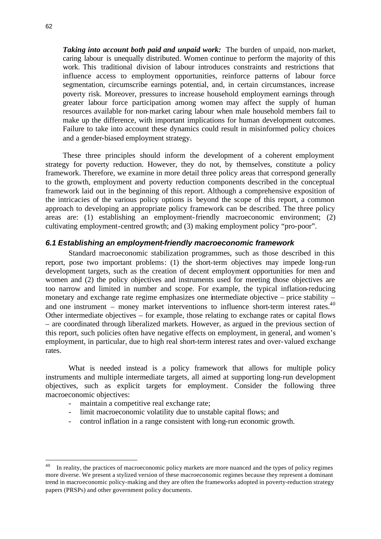*Taking into account both paid and unpaid work:* The burden of unpaid, non-market, caring labour is unequally distributed. Women continue to perform the majority of this work. This traditional division of labour introduces constraints and restrictions that influence access to employment opportunities, reinforce patterns of labour force segmentation, circumscribe earnings potential, and, in certain circumstances, increase poverty risk. Moreover, pressures to increase household employment earnings through greater labour force participation among women may affect the supply of human resources available for non-market caring labour when male household members fail to make up the difference, with important implications for human development outcomes. Failure to take into account these dynamics could result in misinformed policy choices and a gender-biased employment strategy.

These three principles should inform the development of a coherent employment strategy for poverty reduction. However, they do not, by themselves, constitute a policy framework. Therefore, we examine in more detail three policy areas that correspond generally to the growth, employment and poverty reduction components described in the conceptual framework laid out in the beginning of this report. Although a comprehensive exposition of the intricacies of the various policy options is beyond the scope of this report, a common approach to developing an appropriate policy framework can be described. The three policy areas are: (1) establishing an employment-friendly macroeconomic environment; (2) cultivating employment-centred growth; and (3) making employment policy "pro-poor".

## *6.1 Establishing an employment-friendly macroeconomic framework*

Standard macroeconomic stabilization programmes, such as those described in this report, pose two important problems: (1) the short-term objectives may impede long-run development targets, such as the creation of decent employment opportunities for men and women and (2) the policy objectives and instruments used for meeting those objectives are too narrow and limited in number and scope. For example, the typical inflation-reducing monetary and exchange rate regime emphasizes one intermediate objective – price stability – and one instrument – money market interventions to influence short-term interest rates. $40$ Other intermediate objectives – for example, those relating to exchange rates or capital flows – are coordinated through liberalized markets. However, as argued in the previous section of this report, such policies often have negative effects on employment, in general, and women's employment, in particular, due to high real short-term interest rates and over-valued exchange rates.

What is needed instead is a policy framework that allows for multiple policy instruments and multiple intermediate targets, all aimed at supporting long-run development objectives, such as explicit targets for employment. Consider the following three macroeconomic objectives:

- maintain a competitive real exchange rate;
- limit macroeconomic volatility due to unstable capital flows; and
- control inflation in a range consistent with long-run economic growth.

 $40<sup>°</sup>$ In reality, the practices of macroeconomic policy markets are more nuanced and the types of policy regimes more diverse. We present a stylized version of these macroeconomic regimes because they represent a dominant trend in macroeconomic policy-making and they are often the frameworks adopted in poverty-reduction strategy papers (PRSPs) and other government policy documents.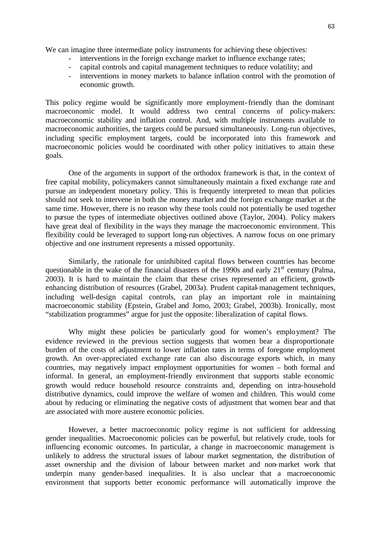We can imagine three intermediate policy instruments for achieving these objectives:

- interventions in the foreign exchange market to influence exchange rates;
- capital controls and capital management techniques to reduce volatility; and
- interventions in money markets to balance inflation control with the promotion of economic growth.

This policy regime would be significantly more employment-friendly than the dominant macroeconomic model. It would address two central concerns of policy-makers: macroeconomic stability and inflation control. And, with multiple instruments available to macroeconomic authorities, the targets could be pursued simultaneously. Long-run objectives, including specific employment targets, could be incorporated into this framework and macroeconomic policies would be coordinated with other policy initiatives to attain these goals.

One of the arguments in support of the orthodox framework is that, in the context of free capital mobility, policymakers cannot simultaneously maintain a fixed exchange rate and pursue an independent monetary policy. This is frequently interpreted to mean that policies should not seek to intervene in both the money market and the foreign exchange market at the same time. However, there is no reason why these tools could not potentially be used together to pursue the types of intermediate objectives outlined above (Taylor, 2004). Policy makers have great deal of flexibility in the ways they manage the macroeconomic environment. This flexibility could be leveraged to support long-run objectives. A narrow focus on one primary objective and one instrument represents a missed opportunity.

Similarly, the rationale for uninhibited capital flows between countries has become questionable in the wake of the financial disasters of the 1990s and early  $21<sup>st</sup>$  century (Palma, 2003). It is hard to maintain the claim that these crises represented an efficient, growthenhancing distribution of resources (Grabel, 2003a). Prudent capital-management techniques, including well-design capital controls, can play an important role in maintaining macroeconomic stability (Epstein, Grabel and Jomo, 2003; Grabel, 2003b). Ironically, most "stabilization programmes" argue for just the opposite: liberalization of capital flows.

Why might these policies be particularly good for women's employment? The evidence reviewed in the previous section suggests that women bear a disproportionate burden of the costs of adjustment to lower inflation rates in terms of foregone employment growth. An over-appreciated exchange rate can also discourage exports which, in many countries, may negatively impact employment opportunities for women – both formal and informal. In general, an employment-friendly environment that supports stable economic growth would reduce household resource constraints and, depending on intra-household distributive dynamics, could improve the welfare of women and children. This would come about by reducing or eliminating the negative costs of adjustment that women bear and that are associated with more austere economic policies.

However, a better macroeconomic policy regime is not sufficient for addressing gender inequalities. Macroeconomic policies can be powerful, but relatively crude, tools for influencing economic outcomes. In particular, a change in macroeconomic management is unlikely to address the structural issues of labour market segmentation, the distribution of asset ownership and the division of labour between market and non-market work that underpin many gender-based inequalities. It is also unclear that a macroeconomic environment that supports better economic performance will automatically improve the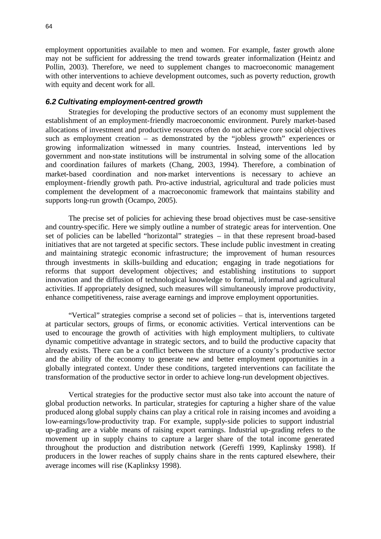employment opportunities available to men and women. For example, faster growth alone may not be sufficient for addressing the trend towards greater informalization (Heintz and Pollin, 2003). Therefore, we need to supplement changes to macroeconomic management with other interventions to achieve development outcomes, such as poverty reduction, growth with equity and decent work for all.

#### *6.2 Cultivating employment-centred growth*

Strategies for developing the productive sectors of an economy must supplement the establishment of an employment-friendly macroeconomic environment. Purely market-based allocations of investment and productive resources often do not achieve core social objectives such as employment creation – as demonstrated by the "jobless growth" experiences or growing informalization witnessed in many countries. Instead, interventions led by government and non-state institutions will be instrumental in solving some of the allocation and coordination failures of markets (Chang, 2003, 1994). Therefore, a combination of market-based coordination and non-market interventions is necessary to achieve an employment-friendly growth path. Pro-active industrial, agricultural and trade policies must complement the development of a macroeconomic framework that maintains stability and supports long-run growth (Ocampo, 2005).

The precise set of policies for achieving these broad objectives must be case-sensitive and country-specific. Here we simply outline a number of strategic areas for intervention. One set of policies can be labelled "horizontal" strategies – in that these represent broad-based initiatives that are not targeted at specific sectors. These include public investment in creating and maintaining strategic economic infrastructure; the improvement of human resources through investments in skills-building and education; engaging in trade negotiations for reforms that support development objectives; and establishing institutions to support innovation and the diffusion of technological knowledge to formal, informal and agricultural activities. If appropriately designed, such measures will simultaneously improve productivity, enhance competitiveness, raise average earnings and improve employment opportunities.

"Vertical" strategies comprise a second set of policies – that is, interventions targeted at particular sectors, groups of firms, or economic activities. Vertical interventions can be used to encourage the growth of activities with high employment multipliers, to cultivate dynamic competitive advantage in strategic sectors, and to build the productive capacity that already exists. There can be a conflict between the structure of a county's productive sector and the ability of the economy to generate new and better employment opportunities in a globally integrated context. Under these conditions, targeted interventions can facilitate the transformation of the productive sector in order to achieve long-run development objectives.

Vertical strategies for the productive sector must also take into account the nature of global production networks. In particular, strategies for capturing a higher share of the value produced along global supply chains can play a critical role in raising incomes and avoiding a low-earnings/low-productivity trap. For example, supply-side policies to support industrial up-grading are a viable means of raising export earnings. Industrial up-grading refers to the movement up in supply chains to capture a larger share of the total income generated throughout the production and distribution network (Gereffi 1999, Kaplinsky 1998). If producers in the lower reaches of supply chains share in the rents captured elsewhere, their average incomes will rise (Kaplinksy 1998).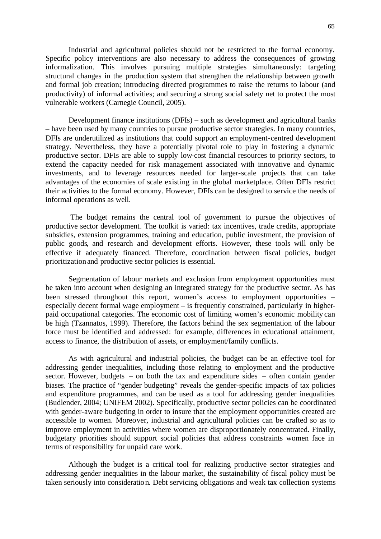Industrial and agricultural policies should not be restricted to the formal economy. Specific policy interventions are also necessary to address the consequences of growing informalization. This involves pursuing multiple strategies simultaneously: targeting structural changes in the production system that strengthen the relationship between growth and formal job creation; introducing directed programmes to raise the returns to labour (and productivity) of informal activities; and securing a strong social safety net to protect the most vulnerable workers (Carnegie Council, 2005).

Development finance institutions (DFIs) – such as development and agricultural banks – have been used by many countries to pursue productive sector strategies. In many countries, DFIs are underutilized as institutions that could support an employment-centred development strategy. Nevertheless, they have a potentially pivotal role to play in fostering a dynamic productive sector. DFIs are able to supply low-cost financial resources to priority sectors, to extend the capacity needed for risk management associated with innovative and dynamic investments, and to leverage resources needed for larger-scale projects that can take advantages of the economies of scale existing in the global marketplace. Often DFIs restrict their activities to the formal economy. However, DFIs can be designed to service the needs of informal operations as well.

The budget remains the central tool of government to pursue the objectives of productive sector development. The toolkit is varied: tax incentives, trade credits, appropriate subsidies, extension programmes, training and education, public investment, the provision of public goods, and research and development efforts. However, these tools will only be effective if adequately financed. Therefore, coordination between fiscal policies, budget prioritization and productive sector policies is essential.

Segmentation of labour markets and exclusion from employment opportunities must be taken into account when designing an integrated strategy for the productive sector. As has been stressed throughout this report, women's access to employment opportunities – especially decent formal wage employment – is frequently constrained, particularly in higherpaid occupational categories. The economic cost of limiting women's economic mobility can be high (Tzannatos, 1999). Therefore, the factors behind the sex segmentation of the labour force must be identified and addressed: for example, differences in educational attainment, access to finance, the distribution of assets, or employment/family conflicts.

As with agricultural and industrial policies, the budget can be an effective tool for addressing gender inequalities, including those relating to employment and the productive sector. However, budgets – on both the tax and expenditure sides – often contain gender biases. The practice of "gender budgeting" reveals the gender-specific impacts of tax policies and expenditure programmes, and can be used as a tool for addressing gender inequalities (Budlender, 2004; UNIFEM 2002). Specifically, productive sector policies can be coordinated with gender-aware budgeting in order to insure that the employment opportunities created are accessible to women. Moreover, industrial and agricultural policies can be crafted so as to improve employment in activities where women are disproportionately concentrated. Finally, budgetary priorities should support social policies that address constraints women face in terms of responsibility for unpaid care work.

Although the budget is a critical tool for realizing productive sector strategies and addressing gender inequalities in the labour market, the sustainability of fiscal policy must be taken seriously into consideration. Debt servicing obligations and weak tax collection systems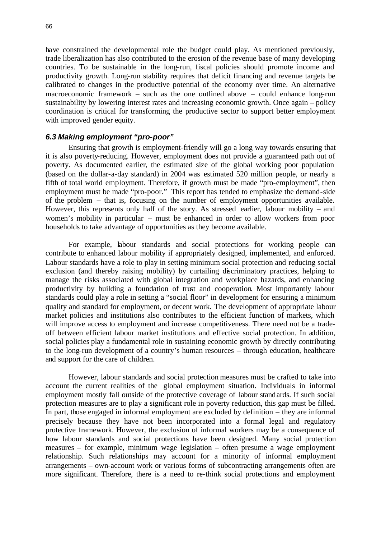have constrained the developmental role the budget could play. As mentioned previously, trade liberalization has also contributed to the erosion of the revenue base of many developing countries. To be sustainable in the long-run, fiscal policies should promote income and productivity growth. Long-run stability requires that deficit financing and revenue targets be calibrated to changes in the productive potential of the economy over time. An alternative macroeconomic framework – such as the one outlined above – could enhance long-run sustainability by lowering interest rates and increasing economic growth. Once again – policy coordination is critical for transforming the productive sector to support better employment with improved gender equity.

### *6.3 Making employment "pro-poor"*

Ensuring that growth is employment-friendly will go a long way towards ensuring that it is also poverty-reducing. However, employment does not provide a guaranteed path out of poverty. As documented earlier, the estimated size of the global working poor population (based on the dollar-a-day standard) in 2004 was estimated 520 million people, or nearly a fifth of total world employment. Therefore, if growth must be made "pro-employment", then employment must be made "pro-poor." This report has tended to emphasize the demand-side of the problem – that is, focusing on the number of employment opportunities available. However, this represents only half of the story. As stressed earlier, labour mobility – and women's mobility in particular – must be enhanced in order to allow workers from poor households to take advantage of opportunities as they become available.

For example, labour standards and social protections for working people can contribute to enhanced labour mobility if appropriately designed, implemented, and enforced. Labour standards have a role to play in setting minimum social protection and reducing social exclusion (and thereby raising mobility) by curtailing discriminatory practices, helping to manage the risks associated with global integration and workplace hazards, and enhancing productivity by building a foundation of trust and cooperation. Most importantly labour standards could play a role in setting a "social floor" in development for ensuring a minimum quality and standard for employment, or decent work. The development of appropriate labour market policies and institutions also contributes to the efficient function of markets, which will improve access to employment and increase competitiveness. There need not be a tradeoff between efficient labour market institutions and effective social protection. In addition, social policies play a fundamental role in sustaining economic growth by directly contributing to the long-run development of a country's human resources – through education, healthcare and support for the care of children.

However, labour standards and social protection measures must be crafted to take into account the current realities of the global employment situation. Individuals in informal employment mostly fall outside of the protective coverage of labour standards. If such social protection measures are to play a significant role in poverty reduction, this gap must be filled. In part, those engaged in informal employment are excluded by definition – they are informal precisely because they have not been incorporated into a formal legal and regulatory protective framework. However, the exclusion of informal workers may be a consequence of how labour standards and social protections have been designed. Many social protection measures – for example, minimum wage legislation – often presume a wage employment relationship. Such relationships may account for a minority of informal employment arrangements – own-account work or various forms of subcontracting arrangements often are more significant. Therefore, there is a need to re-think social protections and employment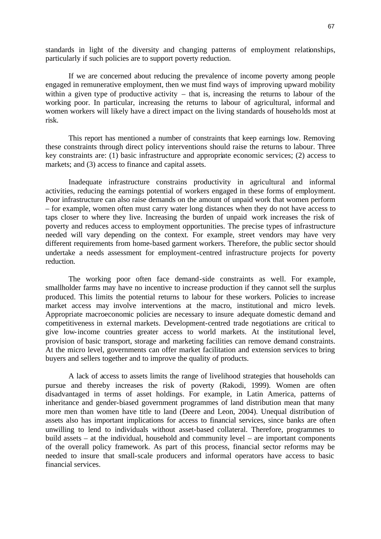standards in light of the diversity and changing patterns of employment relationships, particularly if such policies are to support poverty reduction.

If we are concerned about reducing the prevalence of income poverty among people engaged in remunerative employment, then we must find ways of improving upward mobility within a given type of productive activity – that is, increasing the returns to labour of the working poor. In particular, increasing the returns to labour of agricultural, informal and women workers will likely have a direct impact on the living standards of households most at risk.

This report has mentioned a number of constraints that keep earnings low. Removing these constraints through direct policy interventions should raise the returns to labour. Three key constraints are: (1) basic infrastructure and appropriate economic services; (2) access to markets; and (3) access to finance and capital assets.

Inadequate infrastructure constrains productivity in agricultural and informal activities, reducing the earnings potential of workers engaged in these forms of employment. Poor infrastructure can also raise demands on the amount of unpaid work that women perform – for example, women often must carry water long distances when they do not have access to taps closer to where they live. Increasing the burden of unpaid work increases the risk of poverty and reduces access to employment opportunities. The precise types of infrastructure needed will vary depending on the context. For example, street vendors may have very different requirements from home-based garment workers. Therefore, the public sector should undertake a needs assessment for employment-centred infrastructure projects for poverty reduction.

The working poor often face demand-side constraints as well. For example, smallholder farms may have no incentive to increase production if they cannot sell the surplus produced. This limits the potential returns to labour for these workers. Policies to increase market access may involve interventions at the macro, institutional and micro levels. Appropriate macroeconomic policies are necessary to insure adequate domestic demand and competitiveness in external markets. Development-centred trade negotiations are critical to give low-income countries greater access to world markets. At the institutional level, provision of basic transport, storage and marketing facilities can remove demand constraints. At the micro level, governments can offer market facilitation and extension services to bring buyers and sellers together and to improve the quality of products.

A lack of access to assets limits the range of livelihood strategies that households can pursue and thereby increases the risk of poverty (Rakodi, 1999). Women are often disadvantaged in terms of asset holdings. For example, in Latin America, patterns of inheritance and gender-biased government programmes of land distribution mean that many more men than women have title to land (Deere and Leon, 2004). Unequal distribution of assets also has important implications for access to financial services, since banks are often unwilling to lend to individuals without asset-based collateral. Therefore, programmes to build assets – at the individual, household and community level – are important components of the overall policy framework. As part of this process, financial sector reforms may be needed to insure that small-scale producers and informal operators have access to basic financial services.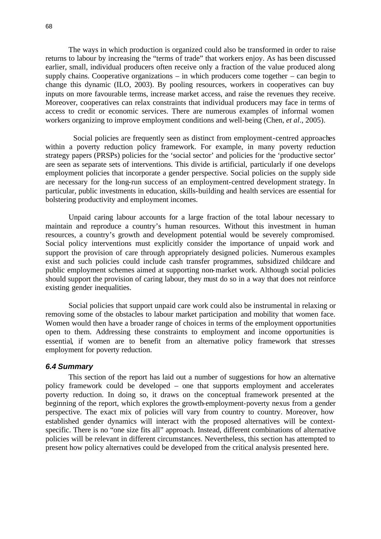The ways in which production is organized could also be transformed in order to raise returns to labour by increasing the "terms of trade" that workers enjoy. As has been discussed earlier, small, individual producers often receive only a fraction of the value produced along supply chains. Cooperative organizations – in which producers come together – can begin to change this dynamic (ILO, 2003). By pooling resources, workers in cooperatives can buy inputs on more favourable terms, increase market access, and raise the revenues they receive. Moreover, cooperatives can relax constraints that individual producers may face in terms of access to credit or economic services. There are numerous examples of informal women workers organizing to improve employment conditions and well-being (Chen, *et al*., 2005).

 Social policies are frequently seen as distinct from employment-centred approaches within a poverty reduction policy framework. For example, in many poverty reduction strategy papers (PRSPs) policies for the 'social sector' and policies for the 'productive sector' are seen as separate sets of interventions. This divide is artificial, particularly if one develops employment policies that incorporate a gender perspective. Social policies on the supply side are necessary for the long-run success of an employment-centred development strategy. In particular, public investments in education, skills-building and health services are essential for bolstering productivity and employment incomes.

Unpaid caring labour accounts for a large fraction of the total labour necessary to maintain and reproduce a country's human resources. Without this investment in human resources, a country's growth and development potential would be severely compromised. Social policy interventions must explicitly consider the importance of unpaid work and support the provision of care through appropriately designed policies. Numerous examples exist and such policies could include cash transfer programmes, subsidized childcare and public employment schemes aimed at supporting non-market work. Although social policies should support the provision of caring labour, they must do so in a way that does not reinforce existing gender inequalities.

Social policies that support unpaid care work could also be instrumental in relaxing or removing some of the obstacles to labour market participation and mobility that women face. Women would then have a broader range of choices in terms of the employment opportunities open to them. Addressing these constraints to employment and income opportunities is essential, if women are to benefit from an alternative policy framework that stresses employment for poverty reduction.

#### *6.4 Summary*

This section of the report has laid out a number of suggestions for how an alternative policy framework could be developed – one that supports employment and accelerates poverty reduction. In doing so, it draws on the conceptual framework presented at the beginning of the report, which explores the growth-employment-poverty nexus from a gender perspective. The exact mix of policies will vary from country to country. Moreover, how established gender dynamics will interact with the proposed alternatives will be contextspecific. There is no "one size fits all" approach. Instead, different combinations of alternative policies will be relevant in different circumstances. Nevertheless, this section has attempted to present how policy alternatives could be developed from the critical analysis presented here.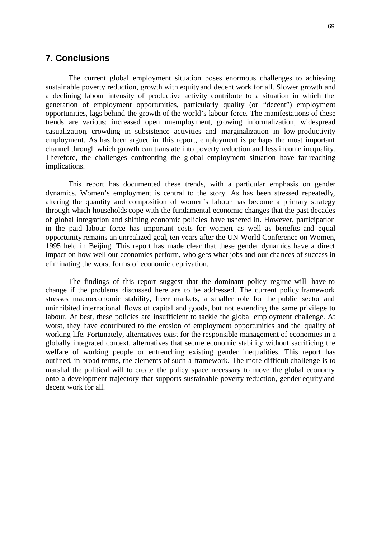## **7. Conclusions**

The current global employment situation poses enormous challenges to achieving sustainable poverty reduction, growth with equity and decent work for all. Slower growth and a declining labour intensity of productive activity contribute to a situation in which the generation of employment opportunities, particularly quality (or "decent") employment opportunities, lags behind the growth of the world's labour force. The manifestations of these trends are various: increased open unemployment, growing informalization, widespread casualization, crowding in subsistence activities and marginalization in low-productivity employment. As has been argued in this report, employment is perhaps the most important channel through which growth can translate into poverty reduction and less income inequality. Therefore, the challenges confronting the global employment situation have far-reaching implications.

This report has documented these trends, with a particular emphasis on gender dynamics. Women's employment is central to the story. As has been stressed repeatedly, altering the quantity and composition of women's labour has become a primary strategy through which households cope with the fundamental economic changes that the past decades of global integration and shifting economic policies have ushered in. However, participation in the paid labour force has important costs for women, as well as benefits and equal opportunity remains an unrealized goal, ten years after the UN World Conference on Women, 1995 held in Beijing. This report has made clear that these gender dynamics have a direct impact on how well our economies perform, who ge ts what jobs and our chances of success in eliminating the worst forms of economic deprivation.

The findings of this report suggest that the dominant policy regime will have to change if the problems discussed here are to be addressed. The current policy framework stresses macroeconomic stability, freer markets, a smaller role for the public sector and uninhibited international flows of capital and goods, but not extending the same privilege to labour. At best, these policies are insufficient to tackle the global employment challenge. At worst, they have contributed to the erosion of employment opportunities and the quality of working life. Fortunately, alternatives exist for the responsible management of economies in a globally integrated context, alternatives that secure economic stability without sacrificing the welfare of working people or entrenching existing gender inequalities. This report has outlined, in broad terms, the elements of such a framework. The more difficult challenge is to marshal the political will to create the policy space necessary to move the global economy onto a development trajectory that supports sustainable poverty reduction, gender equity and decent work for all.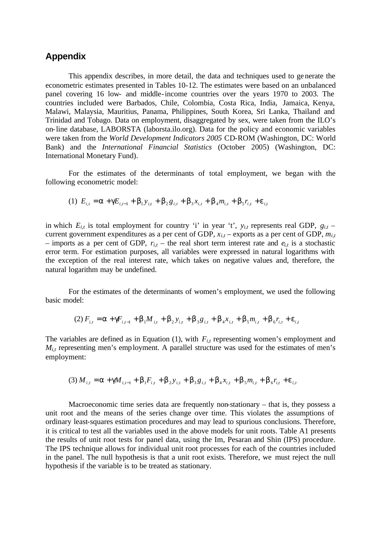# **Appendix**

This appendix describes, in more detail, the data and techniques used to generate the econometric estimates presented in Tables 10-12. The estimates were based on an unbalanced panel covering 16 low- and middle-income countries over the years 1970 to 2003. The countries included were Barbados, Chile, Colombia, Costa Rica, India, Jamaica, Kenya, Malawi, Malaysia, Mauritius, Panama, Philippines, South Korea, Sri Lanka, Thailand and Trinidad and Tobago. Data on employment, disaggregated by sex, were taken from the ILO's on-line database, LABORSTA (laborsta.ilo.org). Data for the policy and economic variables were taken from the *World Development Indicators 2005* CD-ROM (Washington, DC: World Bank) and the *International Financial Statistics* (October 2005) (Washington, DC: International Monetary Fund).

For the estimates of the determinants of total employment, we began with the following econometric model:

(1) 
$$
E_{i,t} = \mathbf{a} + \mathbf{g}E_{i,t-1} + \mathbf{b}_1y_{i,t} + \mathbf{b}_2g_{i,t} + \mathbf{b}_3x_{i,t} + \mathbf{b}_4m_{i,t} + \mathbf{b}_5r_{i,t} + \mathbf{e}_{i,t}
$$

in which  $E_{i,t}$  is total employment for country 'i' in year 't',  $y_{i,t}$  represents real GDP,  $g_{i,t}$  – current government expenditures as a per cent of GDP,  $x_{i,t}$  – exports as a per cent of GDP,  $m_{i,t}$ – imports as a per cent of GDP,  $r_{i,t}$  – the real short term interest rate and  $e_{i,t}$  is a stochastic error term. For estimation purposes, all variables were expressed in natural logarithms with the exception of the real interest rate, which takes on negative values and, therefore, the natural logarithm may be undefined.

For the estimates of the determinants of women's employment, we used the following basic model:

(2) 
$$
F_{i,t} = \mathbf{a} + \mathbf{g}F_{i,t-1} + \mathbf{b}_1M_{i,t} + \mathbf{b}_2y_{i,t} + \mathbf{b}_3g_{i,t} + \mathbf{b}_4x_{i,t} + \mathbf{b}_5m_{i,t} + \mathbf{b}_6r_{i,t} + \mathbf{e}_{i,t}
$$

The variables are defined as in Equation (1), with  $F_{i,t}$  representing women's employment and  $M_{i,t}$  representing men's employment. A parallel structure was used for the estimates of men's employment:

$$
(3) M_{i,t} = \mathbf{a} + \mathbf{g}M_{i,t-1} + \mathbf{b}_1F_{i,t} + \mathbf{b}_2y_{i,t} + \mathbf{b}_3g_{i,t} + \mathbf{b}_4x_{i,t} + \mathbf{b}_5m_{i,t} + \mathbf{b}_6r_{i,t} + \mathbf{e}_{i,t}
$$

Macroeconomic time series data are frequently non-stationary – that is, they possess a unit root and the means of the series change over time. This violates the assumptions of ordinary least-squares estimation procedures and may lead to spurious conclusions. Therefore, it is critical to test all the variables used in the above models for unit roots. Table A1 presents the results of unit root tests for panel data, using the Im, Pesaran and Shin (IPS) procedure. The IPS technique allows for individual unit root processes for each of the countries included in the panel. The null hypothesis is that a unit root exists. Therefore, we must reject the null hypothesis if the variable is to be treated as stationary.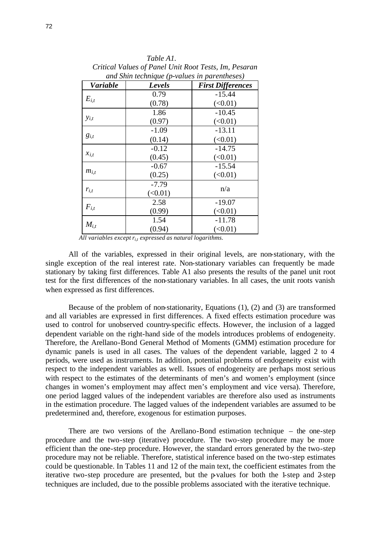| and Shin technique (p-values in parentheses) |         |                          |
|----------------------------------------------|---------|--------------------------|
| <b>Variable</b>                              | Levels  | <b>First Differences</b> |
| $E_{i,t}$                                    | 0.79    | $-15.44$                 |
|                                              | (0.78)  | (<0.01)                  |
| $y_{i,t}$                                    | 1.86    | $-10.45$                 |
|                                              | (0.97)  | (<0.01)                  |
| $g_{i,t}$                                    | $-1.09$ | $-13.11$                 |
|                                              | (0.14)  | (<0.01)                  |
| $x_{i,t}$                                    | $-0.12$ | $-14.75$                 |
|                                              | (0.45)  | (<0.01)                  |
| $m_{i,t}$                                    | $-0.67$ | $-15.54$                 |
|                                              | (0.25)  | (<0.01)                  |
| $r_{i,t}$                                    | $-7.79$ | n/a                      |
|                                              | (<0.01) |                          |
| $F_{i,t}$                                    | 2.58    | $-19.07$                 |
|                                              | (0.99)  | (<0.01)                  |
| $M_{i,t}$                                    | 1.54    | $-11.78$                 |
|                                              | (0.94)  | (<0.01)                  |

*Table A1. Critical Values of Panel Unit Root Tests, Im, Pesaran*

All variables except  $r_{i,t}$  expressed as natural logarithms.

All of the variables, expressed in their original levels, are non-stationary, with the single exception of the real interest rate. Non-stationary variables can frequently be made stationary by taking first differences. Table A1 also presents the results of the panel unit root test for the first differences of the non-stationary variables. In all cases, the unit roots vanish when expressed as first differences.

Because of the problem of non-stationarity, Equations (1), (2) and (3) are transformed and all variables are expressed in first differences. A fixed effects estimation procedure was used to control for unobserved country-specific effects. However, the inclusion of a lagged dependent variable on the right-hand side of the models introduces problems of endogeneity. Therefore, the Arellano-Bond General Method of Moments (GMM) estimation procedure for dynamic panels is used in all cases. The values of the dependent variable, lagged 2 to 4 periods, were used as instruments. In addition, potential problems of endogeneity exist with respect to the independent variables as well. Issues of endogeneity are perhaps most serious with respect to the estimates of the determinants of men's and women's employment (since changes in women's employment may affect men's employment and vice versa). Therefore, one period lagged values of the independent variables are therefore also used as instruments in the estimation procedure. The lagged values of the independent variables are assumed to be predetermined and, therefore, exogenous for estimation purposes.

There are two versions of the Arellano-Bond estimation technique – the one-step procedure and the two-step (iterative) procedure. The two-step procedure may be more efficient than the one-step procedure. However, the standard errors generated by the two-step procedure may not be reliable. Therefore, statistical inference based on the two-step estimates could be questionable. In Tables 11 and 12 of the main text, the coefficient estimates from the iterative two-step procedure are presented, but the p-values for both the 1-step and 2-step techniques are included, due to the possible problems associated with the iterative technique.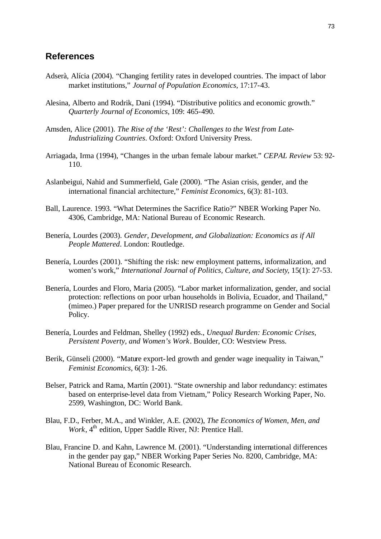# **References**

- Adserà, Alícia (2004). "Changing fertility rates in developed countries. The impact of labor market institutions," *Journal of Population Economics*, 17:17-43.
- Alesina, Alberto and Rodrik, Dani (1994). "Distributive politics and economic growth." *Quarterly Journal of Economics*, 109: 465-490.
- Amsden, Alice (2001). *The Rise of the 'Rest': Challenges to the West from Late-Industrializing Countries*. Oxford: Oxford University Press.
- Arriagada, Irma (1994), "Changes in the urban female labour market." *CEPAL Review* 53: 92- 110.
- Aslanbeigui, Nahid and Summerfield, Gale (2000). "The Asian crisis, gender, and the international financial architecture," *Feminist Economics*, 6(3): 81-103.
- Ball, Laurence. 1993. "What Determines the Sacrifice Ratio?" NBER Working Paper No. 4306, Cambridge, MA: National Bureau of Economic Research.
- Benería, Lourdes (2003). *Gender, Development, and Globalization: Economics as if All People Mattered*. London: Routledge.
- Benería, Lourdes (2001). "Shifting the risk: new employment patterns, informalization, and women's work," *International Journal of Politics, Culture, and Society*, 15(1): 27-53.
- Benería, Lourdes and Floro, Maria (2005). "Labor market informalization, gender, and social protection: reflections on poor urban households in Bolivia, Ecuador, and Thailand," (mimeo.) Paper prepared for the UNRISD research programme on Gender and Social Policy.
- Benería, Lourdes and Feldman, Shelley (1992) eds., *Unequal Burden: Economic Crises, Persistent Poverty, and Women's Work*. Boulder, CO: Westview Press.
- Berik, Günseli (2000). "Mature export-led growth and gender wage inequality in Taiwan," *Feminist Economics*, 6(3): 1-26.
- Belser, Patrick and Rama, Martín (2001). "State ownership and labor redundancy: estimates based on enterprise-level data from Vietnam," Policy Research Working Paper, No. 2599, Washington, DC: World Bank.
- Blau, F.D., Ferber, M.A., and Winkler, A.E. (2002), *The Economics of Women, Men, and Work*, 4<sup>th</sup> edition, Upper Saddle River, NJ: Prentice Hall.
- Blau, Francine D. and Kahn, Lawrence M. (2001). "Understanding international differences in the gender pay gap," NBER Working Paper Series No. 8200, Cambridge, MA: National Bureau of Economic Research.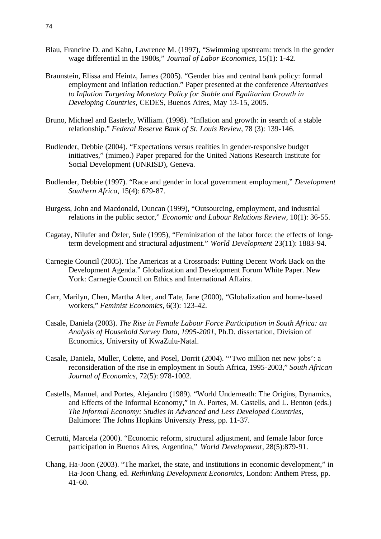- Blau, Francine D. and Kahn, Lawrence M. (1997), "Swimming upstream: trends in the gender wage differential in the 1980s," *Journal of Labor Economics*, 15(1): 1-42.
- Braunstein, Elissa and Heintz, James (2005). "Gender bias and central bank policy: formal employment and inflation reduction." Paper presented at the conference *Alternatives to Inflation Targeting Monetary Policy for Stable and Egalitarian Growth in Developing Countries*, CEDES, Buenos Aires, May 13-15, 2005.
- Bruno, Michael and Easterly, William. (1998). "Inflation and growth: in search of a stable relationship." *Federal Reserve Bank of St. Louis Review*, 78 (3): 139-146.
- Budlender, Debbie (2004). "Expectations versus realities in gender-responsive budget initiatives," (mimeo.) Paper prepared for the United Nations Research Institute for Social Development (UNRISD), Geneva.
- Budlender, Debbie (1997). "Race and gender in local government employment," *Development Southern Africa*, 15(4): 679-87.
- Burgess, John and Macdonald, Duncan (1999), "Outsourcing, employment, and industrial relations in the public sector," *Economic and Labour Relations Review*, 10(1): 36-55.
- Cagatay, Nilufer and Özler, Sule (1995), "Feminization of the labor force: the effects of longterm development and structural adjustment." *World Development* 23(11): 1883-94.
- Carnegie Council (2005). The Americas at a Crossroads: Putting Decent Work Back on the Development Agenda." Globalization and Development Forum White Paper. New York: Carnegie Council on Ethics and International Affairs.
- Carr, Marilyn, Chen, Martha Alter, and Tate, Jane (2000), "Globalization and home-based workers," *Feminist Economics*, 6(3): 123-42.
- Casale, Daniela (2003). *The Rise in Female Labour Force Participation in South Africa: an Analysis of Household Survey Data, 1995-2001*, Ph.D. dissertation, Division of Economics, University of KwaZulu-Natal.
- Casale, Daniela, Muller, Colette, and Posel, Dorrit (2004). "'Two million net new jobs': a reconsideration of the rise in employment in South Africa, 1995-2003," *South African Journal of Economics*, 72(5): 978-1002.
- Castells, Manuel, and Portes, Alejandro (1989). "World Underneath: The Origins, Dynamics, and Effects of the Informal Economy," in A. Portes, M. Castells, and L. Benton (eds.) *The Informal Economy: Studies in Advanced and Less Developed Countries*, Baltimore: The Johns Hopkins University Press, pp. 11-37.
- Cerrutti, Marcela (2000). "Economic reform, structural adjustment, and female labor force participation in Buenos Aires, Argentina," *World Development*, 28(5):879-91.
- Chang, Ha-Joon (2003). "The market, the state, and institutions in economic development," in Ha-Joon Chang, ed. *Rethinking Development Economics*, London: Anthem Press, pp. 41-60.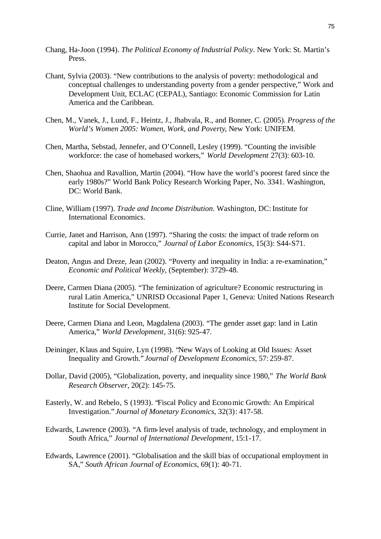- Chang, Ha-Joon (1994). *The Political Economy of Industrial Policy*. New York: St. Martin's Press.
- Chant, Sylvia (2003). "New contributions to the analysis of poverty: methodological and conceptual challenges to understanding poverty from a gender perspective," Work and Development Unit, ECLAC (CEPAL), Santiago: Economic Commission for Latin America and the Caribbean.
- Chen, M., Vanek, J., Lund, F., Heintz, J., Jhabvala, R., and Bonner, C. (2005). *Progress of the World's Women 2005: Women, Work, and Poverty*, New York: UNIFEM.
- Chen, Martha, Sebstad, Jennefer, and O'Connell, Lesley (1999). "Counting the invisible workforce: the case of homebased workers," *World Development* 27(3): 603-10.
- Chen, Shaohua and Ravallion, Martin (2004). "How have the world's poorest fared since the early 1980s?" World Bank Policy Research Working Paper, No. 3341. Washington, DC: World Bank.
- Cline, William (1997). *Trade and Income Distribution*. Washington, DC: Institute for International Economics.
- Currie, Janet and Harrison, Ann (1997). "Sharing the costs: the impact of trade reform on capital and labor in Morocco," *Journal of Labor Economics*, 15(3): S44-S71.
- Deaton, Angus and Dreze, Jean (2002). "Poverty and inequality in India: a re-examination," *Economic and Political Weekly*, (September): 3729-48.
- Deere, Carmen Diana (2005). "The feminization of agriculture? Economic restructuring in rural Latin America," UNRISD Occasional Paper 1, Geneva: United Nations Research Institute for Social Development.
- Deere, Carmen Diana and Leon, Magdalena (2003). "The gender asset gap: land in Latin America," *World Development*, 31(6): 925-47.
- Deininger, Klaus and Squire, Lyn (1998). "New Ways of Looking at Old Issues: Asset Inequality and Growth." *Journal of Development Economics*, 57: 259-87.
- Dollar, David (2005), "Globalization, poverty, and inequality since 1980," *The World Bank Research Observer*, 20(2): 145-75.
- Easterly, W. and Rebelo, S (1993). "Fiscal Policy and Economic Growth: An Empirical Investigation." *Journal of Monetary Economics*, 32(3): 417-58.
- Edwards, Lawrence (2003). "A firm-level analysis of trade, technology, and employment in South Africa," *Journal of International Development*, 15:1-17.
- Edwards, Lawrence (2001). "Globalisation and the skill bias of occupational employment in SA," *South African Journal of Economics*, 69(1): 40-71.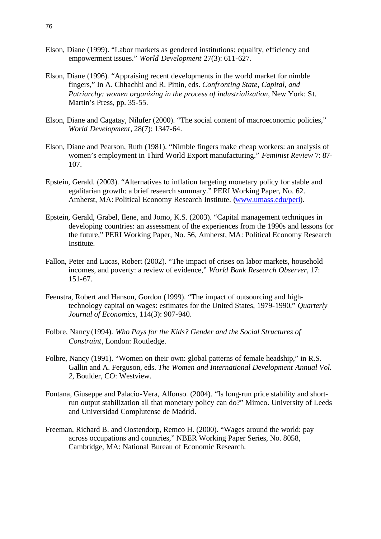- Elson, Diane (1999). "Labor markets as gendered institutions: equality, efficiency and empowerment issues." *World Development* 27(3): 611-627.
- Elson, Diane (1996). "Appraising recent developments in the world market for nimble fingers," In A. Chhachhi and R. Pittin, eds. *Confronting State, Capital, and Patriarchy: women organizing in the process of industrialization*, New York: St. Martin's Press, pp. 35-55.
- Elson, Diane and Cagatay, Nilufer (2000). "The social content of macroeconomic policies," *World Development*, 28(7): 1347-64.
- Elson, Diane and Pearson, Ruth (1981). "Nimble fingers make cheap workers: an analysis of women's employment in Third World Export manufacturing." *Feminist Review* 7: 87- 107.
- Epstein, Gerald. (2003). "Alternatives to inflation targeting monetary policy for stable and egalitarian growth: a brief research summary." PERI Working Paper, No. 62. Amherst, MA: Political Economy Research Institute. (www.umass.edu/peri).
- Epstein, Gerald, Grabel, Ilene, and Jomo, K.S. (2003). "Capital management techniques in developing countries: an assessment of the experiences from the 1990s and lessons for the future," PERI Working Paper, No. 56, Amherst, MA: Political Economy Research Institute.
- Fallon, Peter and Lucas, Robert (2002). "The impact of crises on labor markets, household incomes, and poverty: a review of evidence," *World Bank Research Observer*, 17: 151-67.
- Feenstra, Robert and Hanson, Gordon (1999). "The impact of outsourcing and hightechnology capital on wages: estimates for the United States, 1979-1990," *Quarterly Journal of Economics*, 114(3): 907-940.
- Folbre, Nancy (1994). *Who Pays for the Kids? Gender and the Social Structures of Constraint*, London: Routledge.
- Folbre, Nancy (1991). "Women on their own: global patterns of female headship," in R.S. Gallin and A. Ferguson, eds. *The Women and International Development Annual Vol. 2*, Boulder, CO: Westview.
- Fontana, Giuseppe and Palacio-Vera, Alfonso. (2004). "Is long-run price stability and shortrun output stabilization all that monetary policy can do?" Mimeo. University of Leeds and Universidad Complutense de Madrid.
- Freeman, Richard B. and Oostendorp, Remco H. (2000). "Wages around the world: pay across occupations and countries," NBER Working Paper Series, No. 8058, Cambridge, MA: National Bureau of Economic Research.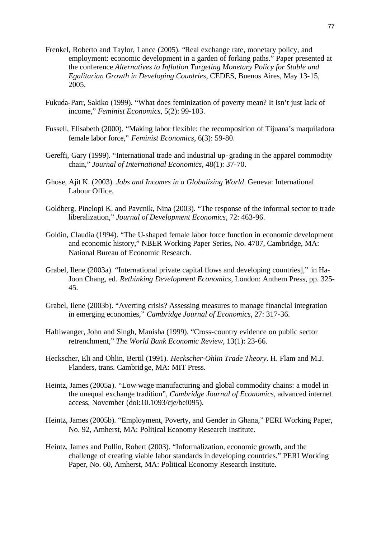- Frenkel, Roberto and Taylor, Lance (2005). "Real exchange rate, monetary policy, and employment: economic development in a garden of forking paths." Paper presented at the conference *Alternatives to Inflation Targeting Monetary Policy for Stable and Egalitarian Growth in Developing Countries*, CEDES, Buenos Aires, May 13-15, 2005.
- Fukuda-Parr, Sakiko (1999). "What does feminization of poverty mean? It isn't just lack of income," *Feminist Economics*, 5(2): 99-103.
- Fussell, Elisabeth (2000). "Making labor flexible: the recomposition of Tijuana's maquiladora female labor force," *Feminist Economics*, 6(3): 59-80.
- Gereffi, Gary (1999). "International trade and industrial up-grading in the apparel commodity chain," *Journal of International Economics*, 48(1): 37-70.
- Ghose, Ajit K. (2003). *Jobs and Incomes in a Globalizing World*. Geneva: International Labour Office.
- Goldberg, Pinelopi K. and Pavcnik, Nina (2003). "The response of the informal sector to trade liberalization," *Journal of Development Economics*, 72: 463-96.
- Goldin, Claudia (1994). "The U-shaped female labor force function in economic development and economic history," NBER Working Paper Series, No. 4707, Cambridge, MA: National Bureau of Economic Research.
- Grabel, Ilene (2003a). "International private capital flows and developing countries]," in Ha-Joon Chang, ed. *Rethinking Development Economics*, London: Anthem Press, pp. 325- 45.
- Grabel, Ilene (2003b). "Averting crisis? Assessing measures to manage financial integration in emerging economies," *Cambridge Journal of Economics*, 27: 317-36.
- Haltiwanger, John and Singh, Manisha (1999). "Cross-country evidence on public sector retrenchment," *The World Bank Economic Review*, 13(1): 23-66.
- Heckscher, Eli and Ohlin, Bertil (1991). *Heckscher-Ohlin Trade Theory*. H. Flam and M.J. Flanders, trans. Cambridge, MA: MIT Press.
- Heintz, James (2005a). "Low-wage manufacturing and global commodity chains: a model in the unequal exchange tradition", *Cambridge Journal of Economics*, advanced internet access, November (doi:10.1093/cje/bei095).
- Heintz, James (2005b). "Employment, Poverty, and Gender in Ghana," PERI Working Paper, No. 92, Amherst, MA: Political Economy Research Institute.
- Heintz, James and Pollin, Robert (2003). "Informalization, economic growth, and the challenge of creating viable labor standards in developing countries." PERI Working Paper, No. 60, Amherst, MA: Political Economy Research Institute.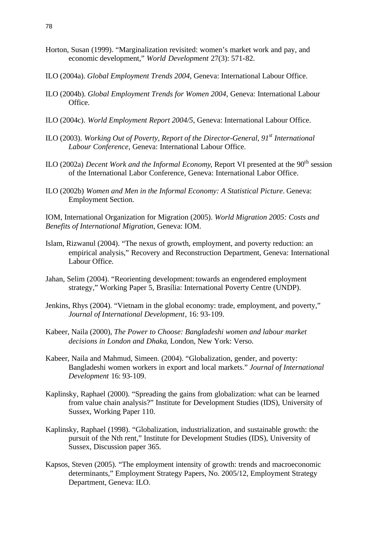- Horton, Susan (1999). "Marginalization revisited: women's market work and pay, and economic development," *World Development* 27(3): 571-82.
- ILO (2004a). *Global Employment Trends 2004*, Geneva: International Labour Office.
- ILO (2004b). *Global Employment Trends for Women 2004*, Geneva: International Labour Office.
- ILO (2004c). *World Employment Report 2004/5*, Geneva: International Labour Office.
- ILO (2003). *Working Out of Poverty, Report of the Director-General, 91st International Labour Conference*, Geneva: International Labour Office.
- ILO (2002a) *Decent Work and the Informal Economy*, Report VI presented at the 90<sup>th</sup> session of the International Labor Conference, Geneva: International Labor Office.
- ILO (2002b) *Women and Men in the Informal Economy: A Statistical Picture*. Geneva: Employment Section.

IOM, International Organization for Migration (2005). *World Migration 2005: Costs and Benefits of International Migration*, Geneva: IOM.

- Islam, Rizwanul (2004). "The nexus of growth, employment, and poverty reduction: an empirical analysis," Recovery and Reconstruction Department, Geneva: International Labour Office.
- Jahan, Selim (2004). "Reorienting development: towards an engendered employment strategy," Working Paper 5, Brasília: International Poverty Centre (UNDP).
- Jenkins, Rhys (2004). "Vietnam in the global economy: trade, employment, and poverty," *Journal of International Development*, 16: 93-109.
- Kabeer, Naila (2000), *The Power to Choose: Bangladeshi women and labour market decisions in London and Dhaka*, London, New York: Verso.
- Kabeer, Naila and Mahmud, Simeen. (2004). "Globalization, gender, and poverty: Bangladeshi women workers in export and local markets." *Journal of International Development* 16: 93-109.
- Kaplinsky, Raphael (2000). "Spreading the gains from globalization: what can be learned from value chain analysis?" Institute for Development Studies (IDS), University of Sussex, Working Paper 110.
- Kaplinsky, Raphael (1998). "Globalization, industrialization, and sustainable growth: the pursuit of the Nth rent," Institute for Development Studies (IDS), University of Sussex, Discussion paper 365.
- Kapsos, Steven (2005). "The employment intensity of growth: trends and macroeconomic determinants," Employment Strategy Papers, No. 2005/12, Employment Strategy Department, Geneva: ILO.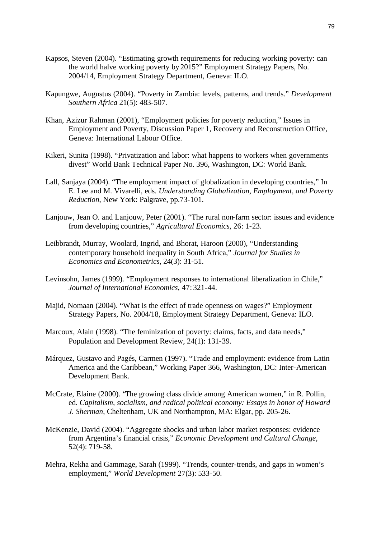- Kapsos, Steven (2004). "Estimating growth requirements for reducing working poverty: can the world halve working poverty by 2015?" Employment Strategy Papers, No. 2004/14, Employment Strategy Department, Geneva: ILO.
- Kapungwe, Augustus (2004). "Poverty in Zambia: levels, patterns, and trends." *Development Southern Africa* 21(5): 483-507.
- Khan, Azizur Rahman (2001), "Employment policies for poverty reduction," Issues in Employment and Poverty, Discussion Paper 1, Recovery and Reconstruction Office, Geneva: International Labour Office.
- Kikeri, Sunita (1998). "Privatization and labor: what happens to workers when governments divest" World Bank Technical Paper No. 396, Washington, DC: World Bank.
- Lall, Sanjaya (2004). "The employment impact of globalization in developing countries," In E. Lee and M. Vivarelli, eds. *Understanding Globalization, Employment, and Poverty Reduction*, New York: Palgrave, pp.73-101.
- Lanjouw, Jean O. and Lanjouw, Peter (2001). "The rural non-farm sector: issues and evidence from developing countries," *Agricultural Economics*, 26: 1-23.
- Leibbrandt, Murray, Woolard, Ingrid, and Bhorat, Haroon (2000), "Understanding contemporary household inequality in South Africa," *Journal for Studies in Economics and Econometrics*, 24(3): 31-51.
- Levinsohn, James (1999). "Employment responses to international liberalization in Chile," *Journal of International Economics*, 47: 321-44.
- Majid, Nomaan (2004). "What is the effect of trade openness on wages?" Employment Strategy Papers, No. 2004/18, Employment Strategy Department, Geneva: ILO.
- Marcoux, Alain (1998). "The feminization of poverty: claims, facts, and data needs," Population and Development Review, 24(1): 131-39.
- Márquez, Gustavo and Pagés, Carmen (1997). "Trade and employment: evidence from Latin America and the Caribbean," Working Paper 366, Washington, DC: Inter-American Development Bank.
- McCrate, Elaine (2000). "The growing class divide among American women," in R. Pollin, ed. *Capitalism, socialism, and radical political economy: Essays in honor of Howard J. Sherman*, Cheltenham, UK and Northampton, MA: Elgar, pp. 205-26.
- McKenzie, David (2004). "Aggregate shocks and urban labor market responses: evidence from Argentina's financial crisis," *Economic Development and Cultural Change*, 52(4): 719-58.
- Mehra, Rekha and Gammage, Sarah (1999). "Trends, counter-trends, and gaps in women's employment," *World Development* 27(3): 533-50.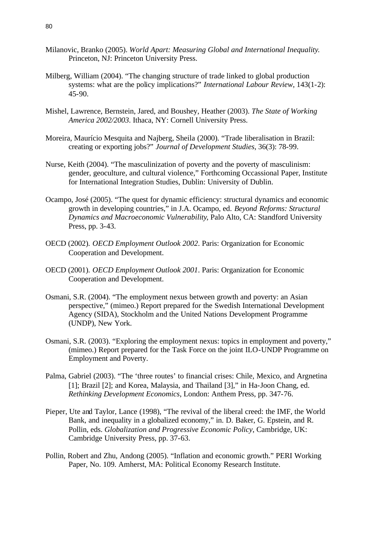- Milanovic, Branko (2005). *World Apart: Measuring Global and International Inequality*. Princeton, NJ: Princeton University Press.
- Milberg, William (2004). "The changing structure of trade linked to global production systems: what are the policy implications?" *International Labour Review*, 143(1-2): 45-90.
- Mishel, Lawrence, Bernstein, Jared, and Boushey, Heather (2003). *The State of Working America 2002/2003*. Ithaca, NY: Cornell University Press.
- Moreira, Maurício Mesquita and Najberg, Sheila (2000). "Trade liberalisation in Brazil: creating or exporting jobs?" *Journal of Development Studies*, 36(3): 78-99.
- Nurse, Keith (2004). "The masculinization of poverty and the poverty of masculinism: gender, geoculture, and cultural violence," Forthcoming Occassional Paper, Institute for International Integration Studies, Dublin: University of Dublin.
- Ocampo, José (2005). "The quest for dynamic efficiency: structural dynamics and economic growth in developing countries," in J.A. Ocampo, ed. *Beyond Reforms: Structural Dynamics and Macroeconomic Vulnerability*, Palo Alto, CA: Standford University Press, pp. 3-43.
- OECD (2002). *OECD Employment Outlook 2002*. Paris: Organization for Economic Cooperation and Development.
- OECD (2001). *OECD Employment Outlook 2001*. Paris: Organization for Economic Cooperation and Development.
- Osmani, S.R. (2004). "The employment nexus between growth and poverty: an Asian perspective," (mimeo.) Report prepared for the Swedish International Development Agency (SIDA), Stockholm and the United Nations Development Programme (UNDP), New York.
- Osmani, S.R. (2003). "Exploring the employment nexus: topics in employment and poverty," (mimeo.) Report prepared for the Task Force on the joint ILO-UNDP Programme on Employment and Poverty.
- Palma, Gabriel (2003). "The 'three routes' to financial crises: Chile, Mexico, and Argnetina [1]; Brazil [2]; and Korea, Malaysia, and Thailand [3]," in Ha-Joon Chang, ed. *Rethinking Development Economics*, London: Anthem Press, pp. 347-76.
- Pieper, Ute and Taylor, Lance (1998), "The revival of the liberal creed: the IMF, the World Bank, and inequality in a globalized economy," in. D. Baker, G. Epstein, and R. Pollin, eds. *Globalization and Progressive Economic Policy*, Cambridge, UK: Cambridge University Press, pp. 37-63.
- Pollin, Robert and Zhu, Andong (2005). "Inflation and economic growth." PERI Working Paper, No. 109. Amherst, MA: Political Economy Research Institute.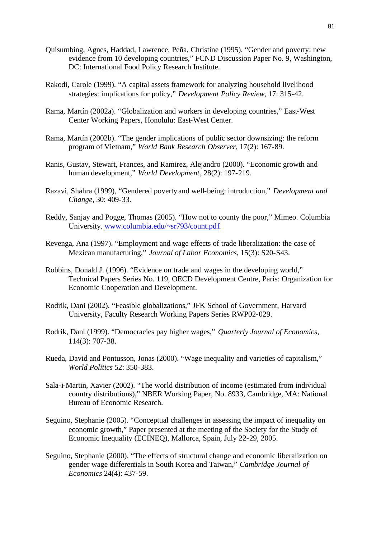- Quisumbing, Agnes, Haddad, Lawrence, Peña, Christine (1995). "Gender and poverty: new evidence from 10 developing countries," FCND Discussion Paper No. 9, Washington, DC: International Food Policy Research Institute.
- Rakodi, Carole (1999). "A capital assets framework for analyzing household livelihood strategies: implications for policy," *Development Policy Review*, 17: 315-42.
- Rama, Martín (2002a). "Globalization and workers in developing countries," East-West Center Working Papers, Honolulu: East-West Center.
- Rama, Martín (2002b). "The gender implications of public sector downsizing: the reform program of Vietnam," *World Bank Research Observer*, 17(2): 167-89.
- Ranis, Gustav, Stewart, Frances, and Ramirez, Alejandro (2000). "Economic growth and human development," *World Development*, 28(2): 197-219.
- Razavi, Shahra (1999), "Gendered poverty and well-being: introduction," *Development and Change*, 30: 409-33.
- Reddy, Sanjay and Pogge, Thomas (2005). "How not to county the poor," Mimeo. Columbia University. www.columbia.edu/~sr793/count.pdf.
- Revenga, Ana (1997). "Employment and wage effects of trade liberalization: the case of Mexican manufacturing," *Journal of Labor Economics*, 15(3): S20-S43.
- Robbins, Donald J. (1996). "Evidence on trade and wages in the developing world," Technical Papers Series No. 119, OECD Development Centre, Paris: Organization for Economic Cooperation and Development.
- Rodrik, Dani (2002). "Feasible globalizations," JFK School of Government, Harvard University, Faculty Research Working Papers Series RWP02-029.
- Rodrik, Dani (1999). "Democracies pay higher wages," *Quarterly Journal of Economics*, 114(3): 707-38.
- Rueda, David and Pontusson, Jonas (2000). "Wage inequality and varieties of capitalism," *World Politics* 52: 350-383.
- Sala-i-Martin, Xavier (2002). "The world distribution of income (estimated from individual country distributions)," NBER Working Paper, No. 8933, Cambridge, MA: National Bureau of Economic Research.
- Seguino, Stephanie (2005). "Conceptual challenges in assessing the impact of inequality on economic growth," Paper presented at the meeting of the Society for the Study of Economic Inequality (ECINEQ), Mallorca, Spain, July 22-29, 2005.
- Seguino, Stephanie (2000). "The effects of structural change and economic liberalization on gender wage differentials in South Korea and Taiwan," *Cambridge Journal of Economics* 24(4): 437-59.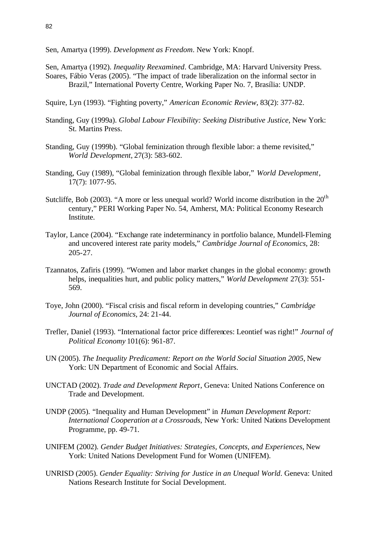- Sen, Amartya (1999). *Development as Freedom*. New York: Knopf.
- Sen, Amartya (1992). *Inequality Reexamined*. Cambridge, MA: Harvard University Press. Soares, Fábio Veras (2005). "The impact of trade liberalization on the informal sector in Brazil," International Poverty Centre, Working Paper No. 7, Brasília: UNDP.
- Squire, Lyn (1993). "Fighting poverty," *American Economic Review*, 83(2): 377-82.
- Standing, Guy (1999a). *Global Labour Flexibility: Seeking Distributive Justice*, New York: St. Martins Press.
- Standing, Guy (1999b). "Global feminization through flexible labor: a theme revisited," *World Development,* 27(3): 583-602.
- Standing, Guy (1989), "Global feminization through flexible labor," *World Development*, 17(7): 1077-95.
- Sutcliffe, Bob (2003). "A more or less unequal world? World income distribution in the  $20<sup>th</sup>$ century," PERI Working Paper No. 54, Amherst, MA: Political Economy Research Institute.
- Taylor, Lance (2004). "Exchange rate indeterminancy in portfolio balance, Mundell-Fleming and uncovered interest rate parity models," *Cambridge Journal of Economics*, 28: 205-27.
- Tzannatos, Zafiris (1999). "Women and labor market changes in the global economy: growth helps, inequalities hurt, and public policy matters," *World Development* 27(3): 551- 569.
- Toye, John (2000). "Fiscal crisis and fiscal reform in developing countries," *Cambridge Journal of Economics*, 24: 21-44.
- Trefler, Daniel (1993). "International factor price differences: Leontief was right!" *Journal of Political Economy* 101(6): 961-87.
- UN (2005). *The Inequality Predicament: Report on the World Social Situation 2005*, New York: UN Department of Economic and Social Affairs.
- UNCTAD (2002). *Trade and Development Report*, Geneva: United Nations Conference on Trade and Development.
- UNDP (2005). "Inequality and Human Development" in *Human Development Report: International Cooperation at a Crossroads*, New York: United Nations Development Programme, pp. 49-71.
- UNIFEM (2002). *Gender Budget Initiatives: Strategies, Concepts, and Experiences*, New York: United Nations Development Fund for Women (UNIFEM).
- UNRISD (2005). *Gender Equality: Striving for Justice in an Unequal World*. Geneva: United Nations Research Institute for Social Development.